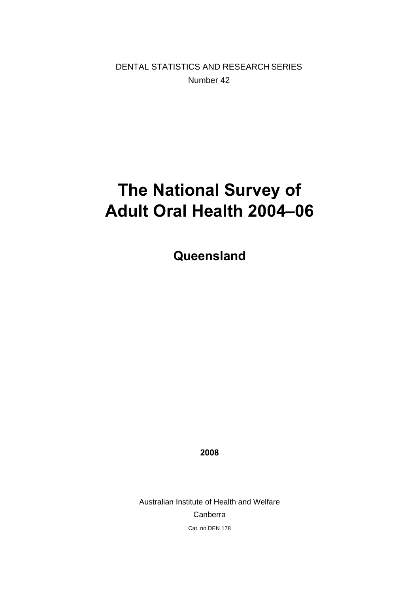DENTAL STATISTICS AND RESEARCH SERIES Number 42

# **The National Survey of Adult Oral Health 2004–06**

**Queensland** 

**2008** 

Australian Institute of Health and Welfare Canberra Cat. no DEN 178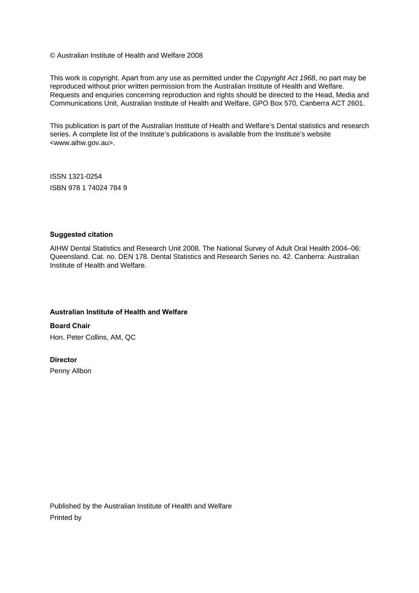© Australian Institute of Health and Welfare 2008

This work is copyright. Apart from any use as permitted under the *Copyright Act 1968*, no part may be reproduced without prior written permission from the Australian Institute of Health and Welfare. Requests and enquiries concerning reproduction and rights should be directed to the Head, Media and Communications Unit, Australian Institute of Health and Welfare, GPO Box 570, Canberra ACT 2601.

This publication is part of the Australian Institute of Health and Welfare's Dental statistics and research series. A complete list of the Institute's publications is available from the Institute's website <www.aihw.gov.au>.

ISSN 1321-0254 ISBN 978 1 74024 784 9

#### **Suggested citation**

AIHW Dental Statistics and Research Unit 2008. The National Survey of Adult Oral Health 2004–06: Queensland. Cat. no. DEN 178. Dental Statistics and Research Series no. 42. Canberra: Australian Institute of Health and Welfare.

#### **Australian Institute of Health and Welfare**

**Board Chair**  Hon. Peter Collins, AM, QC

#### **Director**

Penny Allbon

Published by the Australian Institute of Health and Welfare Printed by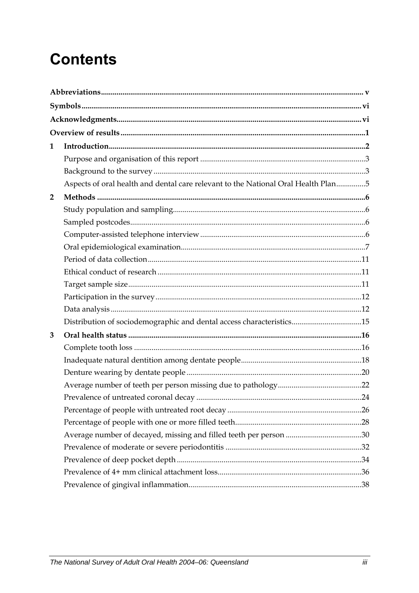# **Contents**

| 1              |                                                                                   |  |
|----------------|-----------------------------------------------------------------------------------|--|
|                |                                                                                   |  |
|                |                                                                                   |  |
|                | Aspects of oral health and dental care relevant to the National Oral Health Plan5 |  |
| $\overline{2}$ |                                                                                   |  |
|                |                                                                                   |  |
|                |                                                                                   |  |
|                |                                                                                   |  |
|                |                                                                                   |  |
|                |                                                                                   |  |
|                |                                                                                   |  |
|                |                                                                                   |  |
|                |                                                                                   |  |
|                |                                                                                   |  |
|                | Distribution of sociodemographic and dental access characteristics15              |  |
| 3              |                                                                                   |  |
|                |                                                                                   |  |
|                |                                                                                   |  |
|                |                                                                                   |  |
|                |                                                                                   |  |
|                |                                                                                   |  |
|                |                                                                                   |  |
|                |                                                                                   |  |
|                |                                                                                   |  |
|                |                                                                                   |  |
|                |                                                                                   |  |
|                |                                                                                   |  |
|                |                                                                                   |  |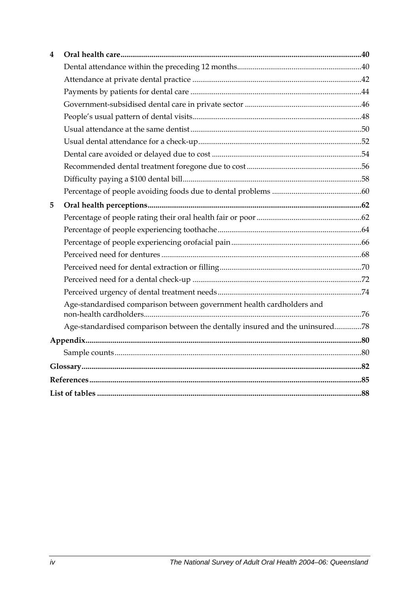| 4 |                                                                              |  |
|---|------------------------------------------------------------------------------|--|
|   |                                                                              |  |
|   |                                                                              |  |
|   |                                                                              |  |
|   |                                                                              |  |
|   |                                                                              |  |
|   |                                                                              |  |
|   |                                                                              |  |
|   |                                                                              |  |
|   |                                                                              |  |
|   |                                                                              |  |
|   |                                                                              |  |
| 5 |                                                                              |  |
|   |                                                                              |  |
|   |                                                                              |  |
|   |                                                                              |  |
|   |                                                                              |  |
|   |                                                                              |  |
|   |                                                                              |  |
|   |                                                                              |  |
|   | Age-standardised comparison between government health cardholders and        |  |
|   | Age-standardised comparison between the dentally insured and the uninsured78 |  |
|   |                                                                              |  |
|   |                                                                              |  |
|   |                                                                              |  |
|   |                                                                              |  |
|   |                                                                              |  |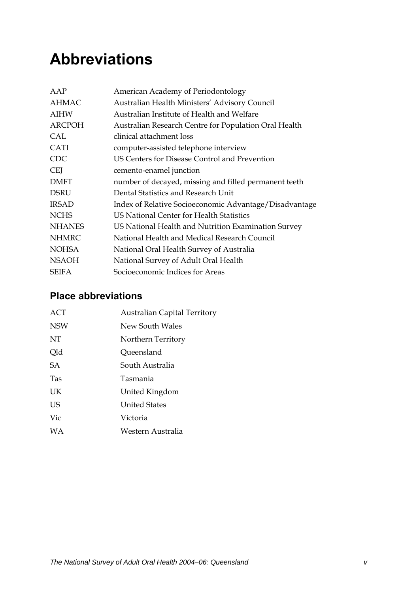# <span id="page-4-0"></span>**Abbreviations**

| AAP           | American Academy of Periodontology                     |
|---------------|--------------------------------------------------------|
| <b>AHMAC</b>  | Australian Health Ministers' Advisory Council          |
| <b>AIHW</b>   | Australian Institute of Health and Welfare             |
| <b>ARCPOH</b> | Australian Research Centre for Population Oral Health  |
| CAL           | clinical attachment loss                               |
| <b>CATI</b>   | computer-assisted telephone interview                  |
| <b>CDC</b>    | US Centers for Disease Control and Prevention          |
| <b>CEI</b>    | cemento-enamel junction                                |
| <b>DMFT</b>   | number of decayed, missing and filled permanent teeth  |
| <b>DSRU</b>   | Dental Statistics and Research Unit                    |
| <b>IRSAD</b>  | Index of Relative Socioeconomic Advantage/Disadvantage |
| <b>NCHS</b>   | US National Center for Health Statistics               |
| <b>NHANES</b> | US National Health and Nutrition Examination Survey    |
| <b>NHMRC</b>  | National Health and Medical Research Council           |
| <b>NOHSA</b>  | National Oral Health Survey of Australia               |
| <b>NSAOH</b>  | National Survey of Adult Oral Health                   |
| <b>SEIFA</b>  | Socioeconomic Indices for Areas                        |

### **Place abbreviations**

| ACT        | <b>Australian Capital Territory</b> |
|------------|-------------------------------------|
| <b>NSW</b> | New South Wales                     |
| NT         | Northern Territory                  |
| Qld        | Queensland                          |
| <b>SA</b>  | South Australia                     |
| <b>Tas</b> | Tasmania                            |
| UK         | United Kingdom                      |
| US         | <b>United States</b>                |
| Vic        | Victoria                            |
| <b>WA</b>  | Western Australia                   |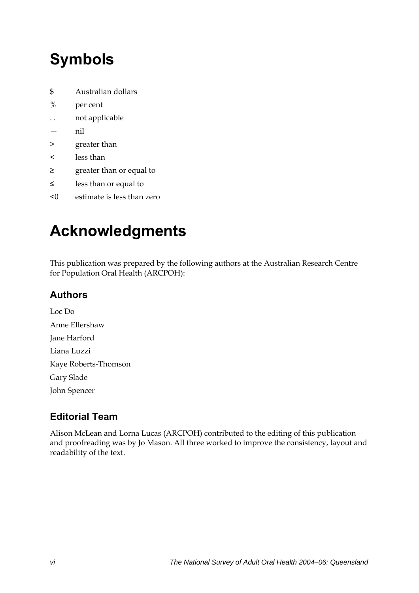# <span id="page-5-0"></span>**Symbols**

- \$ Australian dollars
- % per cent
- . . not applicable
- nil
- > greater than
- < less than
- ≥ greater than or equal to
- ≤ less than or equal to
- <0 estimate is less than zero

# **Acknowledgments**

This publication was prepared by the following authors at the Australian Research Centre for Population Oral Health (ARCPOH):

## **Authors**

Loc Do Anne Ellershaw Jane Harford Liana Luzzi Kaye Roberts-Thomson Gary Slade John Spencer

## **Editorial Team**

Alison McLean and Lorna Lucas (ARCPOH) contributed to the editing of this publication and proofreading was by Jo Mason. All three worked to improve the consistency, layout and readability of the text.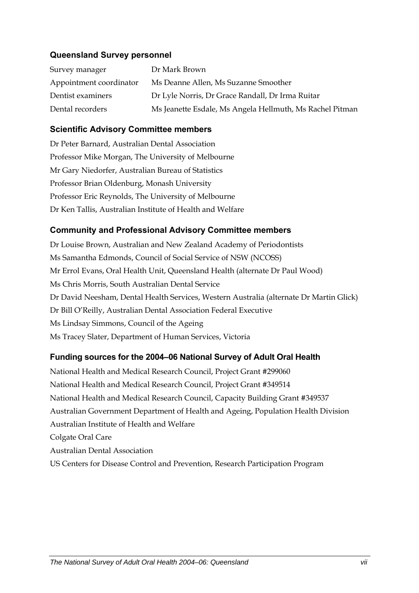#### **Queensland Survey personnel**

| Survey manager          | Dr Mark Brown                                            |
|-------------------------|----------------------------------------------------------|
| Appointment coordinator | Ms Deanne Allen, Ms Suzanne Smoother                     |
| Dentist examiners       | Dr Lyle Norris, Dr Grace Randall, Dr Irma Ruitar         |
| Dental recorders        | Ms Jeanette Esdale, Ms Angela Hellmuth, Ms Rachel Pitman |

#### **Scientific Advisory Committee members**

Dr Peter Barnard, Australian Dental Association Professor Mike Morgan, The University of Melbourne Mr Gary Niedorfer, Australian Bureau of Statistics Professor Brian Oldenburg, Monash University Professor Eric Reynolds, The University of Melbourne Dr Ken Tallis, Australian Institute of Health and Welfare

#### **Community and Professional Advisory Committee members**

Dr Louise Brown, Australian and New Zealand Academy of Periodontists Ms Samantha Edmonds, Council of Social Service of NSW (NCOSS) Mr Errol Evans, Oral Health Unit, Queensland Health (alternate Dr Paul Wood) Ms Chris Morris, South Australian Dental Service Dr David Neesham, Dental Health Services, Western Australia (alternate Dr Martin Glick) Dr Bill O'Reilly, Australian Dental Association Federal Executive Ms Lindsay Simmons, Council of the Ageing Ms Tracey Slater, Department of Human Services, Victoria

#### **Funding sources for the 2004–06 National Survey of Adult Oral Health**

National Health and Medical Research Council, Project Grant #299060 National Health and Medical Research Council, Project Grant #349514 National Health and Medical Research Council, Capacity Building Grant #349537 Australian Government Department of Health and Ageing, Population Health Division Australian Institute of Health and Welfare Colgate Oral Care Australian Dental Association US Centers for Disease Control and Prevention, Research Participation Program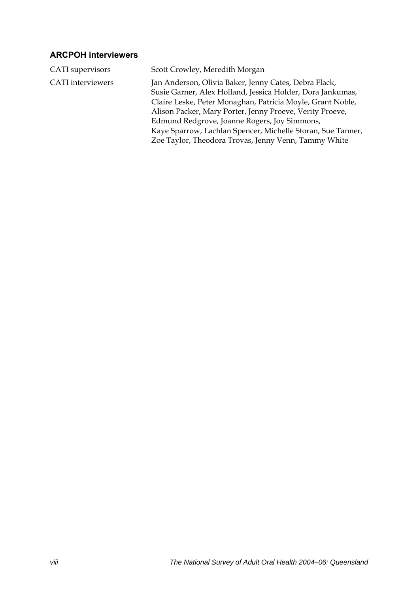### **ARCPOH interviewers**

| CATI supervisors         | Scott Crowley, Meredith Morgan                                                                                                                                                                                                                                                                                                                                                                                       |
|--------------------------|----------------------------------------------------------------------------------------------------------------------------------------------------------------------------------------------------------------------------------------------------------------------------------------------------------------------------------------------------------------------------------------------------------------------|
| <b>CATI</b> interviewers | Jan Anderson, Olivia Baker, Jenny Cates, Debra Flack,<br>Susie Garner, Alex Holland, Jessica Holder, Dora Jankumas,<br>Claire Leske, Peter Monaghan, Patricia Moyle, Grant Noble,<br>Alison Packer, Mary Porter, Jenny Proeve, Verity Proeve,<br>Edmund Redgrove, Joanne Rogers, Joy Simmons,<br>Kaye Sparrow, Lachlan Spencer, Michelle Storan, Sue Tanner,<br>Zoe Taylor, Theodora Trovas, Jenny Venn, Tammy White |
|                          |                                                                                                                                                                                                                                                                                                                                                                                                                      |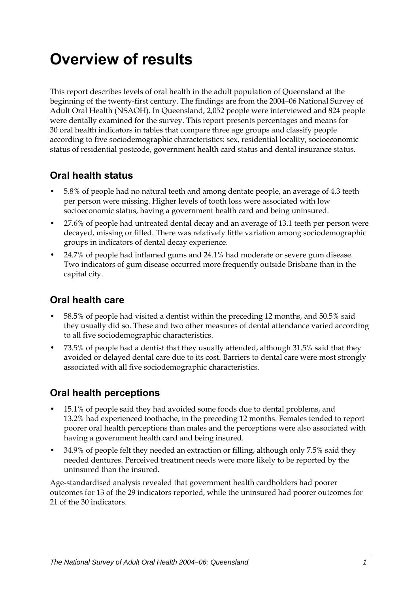# <span id="page-8-0"></span>**Overview of results**

This report describes levels of oral health in the adult population of Queensland at the beginning of the twenty-first century. The findings are from the 2004–06 National Survey of Adult Oral Health (NSAOH). In Queensland, 2,052 people were interviewed and 824 people were dentally examined for the survey. This report presents percentages and means for 30 oral health indicators in tables that compare three age groups and classify people according to five sociodemographic characteristics: sex, residential locality, socioeconomic status of residential postcode, government health card status and dental insurance status.

### **Oral health status**

- 5.8% of people had no natural teeth and among dentate people, an average of 4.3 teeth per person were missing. Higher levels of tooth loss were associated with low socioeconomic status, having a government health card and being uninsured.
- 27.6% of people had untreated dental decay and an average of 13.1 teeth per person were decayed, missing or filled. There was relatively little variation among sociodemographic groups in indicators of dental decay experience.
- 24.7% of people had inflamed gums and 24.1% had moderate or severe gum disease. Two indicators of gum disease occurred more frequently outside Brisbane than in the capital city.

### **Oral health care**

- 58.5% of people had visited a dentist within the preceding 12 months, and 50.5% said they usually did so. These and two other measures of dental attendance varied according to all five sociodemographic characteristics.
- 73.5% of people had a dentist that they usually attended, although 31.5% said that they avoided or delayed dental care due to its cost. Barriers to dental care were most strongly associated with all five sociodemographic characteristics.

### **Oral health perceptions**

- 15.1% of people said they had avoided some foods due to dental problems, and 13.2% had experienced toothache, in the preceding 12 months. Females tended to report poorer oral health perceptions than males and the perceptions were also associated with having a government health card and being insured.
- 34.9% of people felt they needed an extraction or filling, although only 7.5% said they needed dentures. Perceived treatment needs were more likely to be reported by the uninsured than the insured.

Age-standardised analysis revealed that government health cardholders had poorer outcomes for 13 of the 29 indicators reported, while the uninsured had poorer outcomes for 21 of the 30 indicators.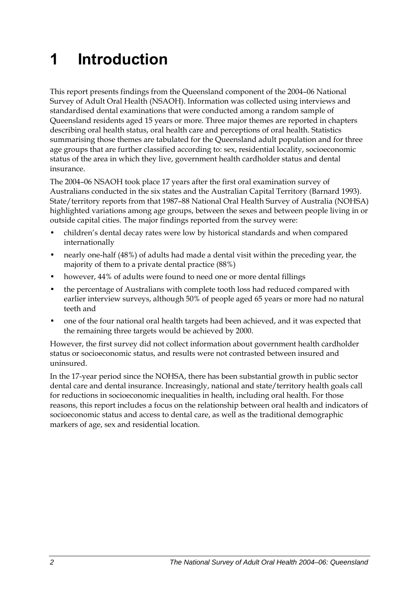# <span id="page-9-0"></span>**1 Introduction**

This report presents findings from the Queensland component of the 2004–06 National Survey of Adult Oral Health (NSAOH). Information was collected using interviews and standardised dental examinations that were conducted among a random sample of Queensland residents aged 15 years or more. Three major themes are reported in chapters describing oral health status, oral health care and perceptions of oral health. Statistics summarising those themes are tabulated for the Queensland adult population and for three age groups that are further classified according to: sex, residential locality, socioeconomic status of the area in which they live, government health cardholder status and dental insurance.

The 2004–06 NSAOH took place 17 years after the first oral examination survey of Australians conducted in the six states and the Australian Capital Territory (Barnard 1993). State/territory reports from that 1987–88 National Oral Health Survey of Australia (NOHSA) highlighted variations among age groups, between the sexes and between people living in or outside capital cities. The major findings reported from the survey were:

- children's dental decay rates were low by historical standards and when compared internationally
- nearly one-half (48%) of adults had made a dental visit within the preceding year, the majority of them to a private dental practice (88%)
- however, 44% of adults were found to need one or more dental fillings
- the percentage of Australians with complete tooth loss had reduced compared with earlier interview surveys, although 50% of people aged 65 years or more had no natural teeth and
- one of the four national oral health targets had been achieved, and it was expected that the remaining three targets would be achieved by 2000.

However, the first survey did not collect information about government health cardholder status or socioeconomic status, and results were not contrasted between insured and uninsured.

In the 17-year period since the NOHSA, there has been substantial growth in public sector dental care and dental insurance. Increasingly, national and state/territory health goals call for reductions in socioeconomic inequalities in health, including oral health. For those reasons, this report includes a focus on the relationship between oral health and indicators of socioeconomic status and access to dental care, as well as the traditional demographic markers of age, sex and residential location.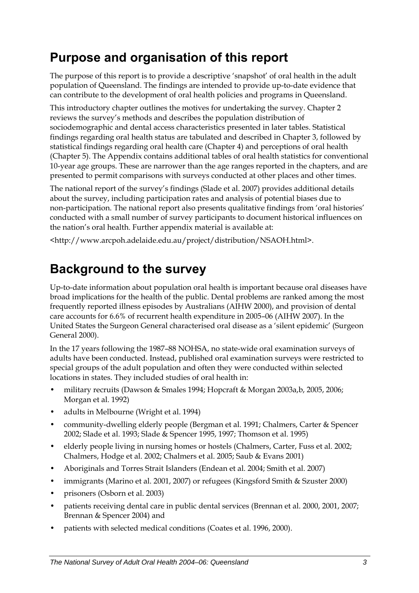# <span id="page-10-0"></span>**Purpose and organisation of this report**

The purpose of this report is to provide a descriptive 'snapshot' of oral health in the adult population of Queensland. The findings are intended to provide up-to-date evidence that can contribute to the development of oral health policies and programs in Queensland.

This introductory chapter outlines the motives for undertaking the survey. Chapter 2 reviews the survey's methods and describes the population distribution of sociodemographic and dental access characteristics presented in later tables. Statistical findings regarding oral health status are tabulated and described in Chapter 3, followed by statistical findings regarding oral health care (Chapter 4) and perceptions of oral health (Chapter 5). The Appendix contains additional tables of oral health statistics for conventional 10-year age groups. These are narrower than the age ranges reported in the chapters, and are presented to permit comparisons with surveys conducted at other places and other times.

The national report of the survey's findings (Slade et al. 2007) provides additional details about the survey, including participation rates and analysis of potential biases due to non-participation. The national report also presents qualitative findings from 'oral histories' conducted with a small number of survey participants to document historical influences on the nation's oral health. Further appendix material is available at:

<http://www.arcpoh.adelaide.edu.au/project/distribution/NSAOH.html>.

# **Background to the survey**

Up-to-date information about population oral health is important because oral diseases have broad implications for the health of the public. Dental problems are ranked among the most frequently reported illness episodes by Australians (AIHW 2000), and provision of dental care accounts for 6.6% of recurrent health expenditure in 2005–06 (AIHW 2007). In the United States the Surgeon General characterised oral disease as a 'silent epidemic' (Surgeon General 2000).

In the 17 years following the 1987–88 NOHSA, no state-wide oral examination surveys of adults have been conducted. Instead, published oral examination surveys were restricted to special groups of the adult population and often they were conducted within selected locations in states. They included studies of oral health in:

- military recruits (Dawson & Smales 1994; Hopcraft & Morgan 2003a,b, 2005, 2006; Morgan et al. 1992)
- adults in Melbourne (Wright et al. 1994)
- community-dwelling elderly people (Bergman et al. 1991; Chalmers, Carter & Spencer 2002; Slade et al. 1993; Slade & Spencer 1995, 1997; Thomson et al. 1995)
- elderly people living in nursing homes or hostels (Chalmers, Carter, Fuss et al. 2002; Chalmers, Hodge et al. 2002; Chalmers et al. 2005; Saub & Evans 2001)
- Aboriginals and Torres Strait Islanders (Endean et al. 2004; Smith et al. 2007)
- immigrants (Marino et al. 2001, 2007) or refugees (Kingsford Smith & Szuster 2000)
- prisoners (Osborn et al. 2003)
- patients receiving dental care in public dental services (Brennan et al. 2000, 2001, 2007; Brennan & Spencer 2004) and
- patients with selected medical conditions (Coates et al. 1996, 2000).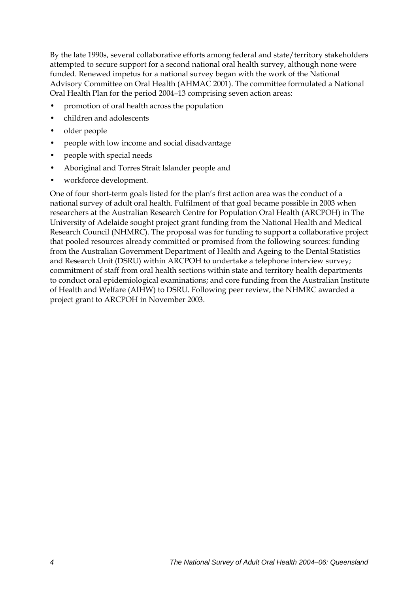By the late 1990s, several collaborative efforts among federal and state/territory stakeholders attempted to secure support for a second national oral health survey, although none were funded. Renewed impetus for a national survey began with the work of the National Advisory Committee on Oral Health (AHMAC 2001). The committee formulated a National Oral Health Plan for the period 2004–13 comprising seven action areas:

- promotion of oral health across the population
- children and adolescents
- older people
- people with low income and social disadvantage
- people with special needs
- Aboriginal and Torres Strait Islander people and
- workforce development.

One of four short-term goals listed for the plan's first action area was the conduct of a national survey of adult oral health. Fulfilment of that goal became possible in 2003 when researchers at the Australian Research Centre for Population Oral Health (ARCPOH) in The University of Adelaide sought project grant funding from the National Health and Medical Research Council (NHMRC). The proposal was for funding to support a collaborative project that pooled resources already committed or promised from the following sources: funding from the Australian Government Department of Health and Ageing to the Dental Statistics and Research Unit (DSRU) within ARCPOH to undertake a telephone interview survey; commitment of staff from oral health sections within state and territory health departments to conduct oral epidemiological examinations; and core funding from the Australian Institute of Health and Welfare (AIHW) to DSRU. Following peer review, the NHMRC awarded a project grant to ARCPOH in November 2003.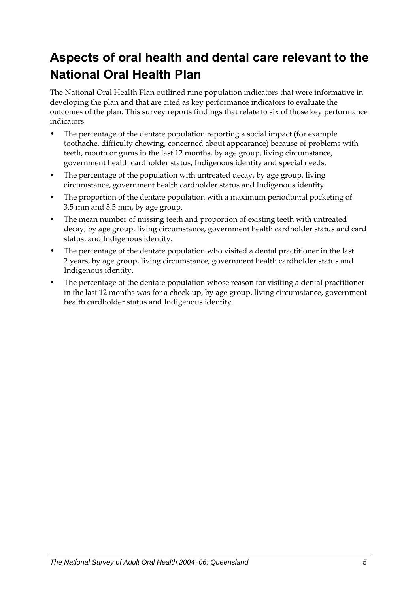# <span id="page-12-0"></span>**Aspects of oral health and dental care relevant to the National Oral Health Plan**

The National Oral Health Plan outlined nine population indicators that were informative in developing the plan and that are cited as key performance indicators to evaluate the outcomes of the plan. This survey reports findings that relate to six of those key performance indicators:

- The percentage of the dentate population reporting a social impact (for example toothache, difficulty chewing, concerned about appearance) because of problems with teeth, mouth or gums in the last 12 months, by age group, living circumstance, government health cardholder status, Indigenous identity and special needs.
- The percentage of the population with untreated decay, by age group, living circumstance, government health cardholder status and Indigenous identity.
- The proportion of the dentate population with a maximum periodontal pocketing of 3.5 mm and 5.5 mm, by age group.
- The mean number of missing teeth and proportion of existing teeth with untreated decay, by age group, living circumstance, government health cardholder status and card status, and Indigenous identity.
- The percentage of the dentate population who visited a dental practitioner in the last 2 years, by age group, living circumstance, government health cardholder status and Indigenous identity.
- The percentage of the dentate population whose reason for visiting a dental practitioner in the last 12 months was for a check-up, by age group, living circumstance, government health cardholder status and Indigenous identity.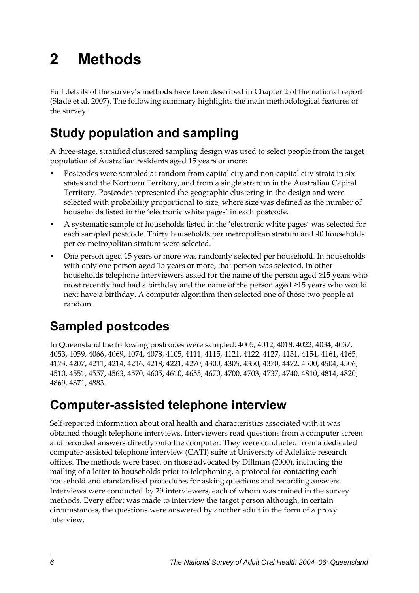# <span id="page-13-0"></span>**2 Methods**

Full details of the survey's methods have been described in Chapter 2 of the national report (Slade et al. 2007). The following summary highlights the main methodological features of the survey.

# **Study population and sampling**

A three-stage, stratified clustered sampling design was used to select people from the target population of Australian residents aged 15 years or more:

- Postcodes were sampled at random from capital city and non-capital city strata in six states and the Northern Territory, and from a single stratum in the Australian Capital Territory. Postcodes represented the geographic clustering in the design and were selected with probability proportional to size, where size was defined as the number of households listed in the 'electronic white pages' in each postcode.
- A systematic sample of households listed in the 'electronic white pages' was selected for each sampled postcode. Thirty households per metropolitan stratum and 40 households per ex-metropolitan stratum were selected.
- One person aged 15 years or more was randomly selected per household. In households with only one person aged 15 years or more, that person was selected. In other households telephone interviewers asked for the name of the person aged ≥15 years who most recently had had a birthday and the name of the person aged ≥15 years who would next have a birthday. A computer algorithm then selected one of those two people at random.

# **Sampled postcodes**

In Queensland the following postcodes were sampled: 4005, 4012, 4018, 4022, 4034, 4037, 4053, 4059, 4066, 4069, 4074, 4078, 4105, 4111, 4115, 4121, 4122, 4127, 4151, 4154, 4161, 4165, 4173, 4207, 4211, 4214, 4216, 4218, 4221, 4270, 4300, 4305, 4350, 4370, 4472, 4500, 4504, 4506, 4510, 4551, 4557, 4563, 4570, 4605, 4610, 4655, 4670, 4700, 4703, 4737, 4740, 4810, 4814, 4820, 4869, 4871, 4883.

# **Computer-assisted telephone interview**

Self-reported information about oral health and characteristics associated with it was obtained though telephone interviews. Interviewers read questions from a computer screen and recorded answers directly onto the computer. They were conducted from a dedicated computer-assisted telephone interview (CATI) suite at University of Adelaide research offices. The methods were based on those advocated by Dillman (2000), including the mailing of a letter to households prior to telephoning, a protocol for contacting each household and standardised procedures for asking questions and recording answers. Interviews were conducted by 29 interviewers, each of whom was trained in the survey methods. Every effort was made to interview the target person although, in certain circumstances, the questions were answered by another adult in the form of a proxy interview.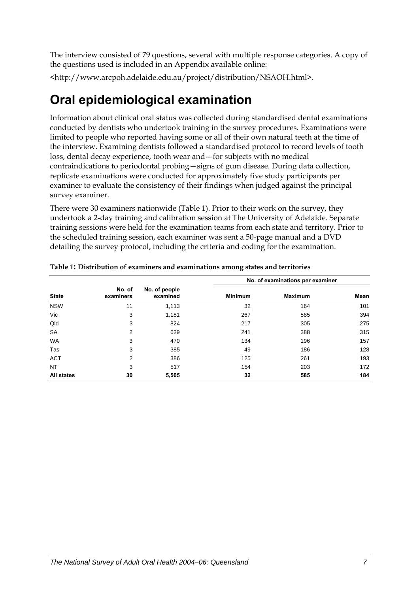<span id="page-14-0"></span>The interview consisted of 79 questions, several with multiple response categories. A copy of the questions used is included in an Appendix available online:

<http://www.arcpoh.adelaide.edu.au/project/distribution/NSAOH.html>.

# **Oral epidemiological examination**

Information about clinical oral status was collected during standardised dental examinations conducted by dentists who undertook training in the survey procedures. Examinations were limited to people who reported having some or all of their own natural teeth at the time of the interview. Examining dentists followed a standardised protocol to record levels of tooth loss, dental decay experience, tooth wear and—for subjects with no medical contraindications to periodontal probing—signs of gum disease. During data collection, replicate examinations were conducted for approximately five study participants per examiner to evaluate the consistency of their findings when judged against the principal survey examiner.

There were 30 examiners nationwide (Table 1). Prior to their work on the survey, they undertook a 2-day training and calibration session at The University of Adelaide. Separate training sessions were held for the examination teams from each state and territory. Prior to the scheduled training session, each examiner was sent a 50-page manual and a DVD detailing the survey protocol, including the criteria and coding for the examination.

|                   |                     |                           | No. of examinations per examiner |                |      |  |
|-------------------|---------------------|---------------------------|----------------------------------|----------------|------|--|
| <b>State</b>      | No. of<br>examiners | No. of people<br>examined | <b>Minimum</b>                   | <b>Maximum</b> | Mean |  |
| <b>NSW</b>        | 11                  | 1,113                     | 32                               | 164            | 101  |  |
| Vic               | 3                   | 1,181                     | 267                              | 585            | 394  |  |
| Qld               | 3                   | 824                       | 217                              | 305            | 275  |  |
| <b>SA</b>         | 2                   | 629                       | 241                              | 388            | 315  |  |
| <b>WA</b>         | 3                   | 470                       | 134                              | 196            | 157  |  |
| Tas               | 3                   | 385                       | 49                               | 186            | 128  |  |
| <b>ACT</b>        | 2                   | 386                       | 125                              | 261            | 193  |  |
| <b>NT</b>         | 3                   | 517                       | 154                              | 203            | 172  |  |
| <b>All states</b> | 30                  | 5,505                     | 32                               | 585            | 184  |  |

**Table 1: Distribution of examiners and examinations among states and territories**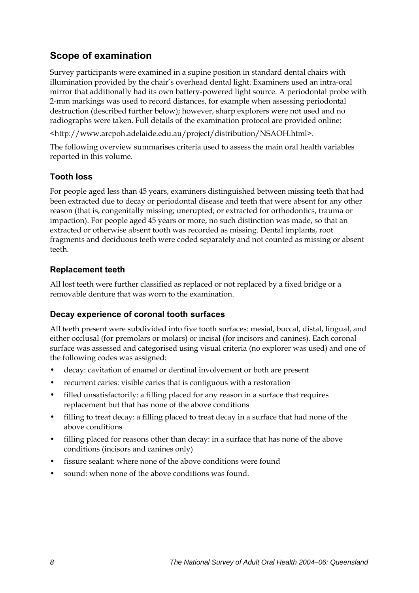### **Scope of examination**

Survey participants were examined in a supine position in standard dental chairs with illumination provided by the chair's overhead dental light. Examiners used an intra-oral mirror that additionally had its own battery-powered light source. A periodontal probe with 2-mm markings was used to record distances, for example when assessing periodontal destruction (described further below); however, sharp explorers were not used and no radiographs were taken. Full details of the examination protocol are provided online:

<http://www.arcpoh.adelaide.edu.au/project/distribution/NSAOH.html>.

The following overview summarises criteria used to assess the main oral health variables reported in this volume.

#### **Tooth loss**

For people aged less than 45 years, examiners distinguished between missing teeth that had been extracted due to decay or periodontal disease and teeth that were absent for any other reason (that is, congenitally missing; unerupted; or extracted for orthodontics, trauma or impaction). For people aged 45 years or more, no such distinction was made, so that an extracted or otherwise absent tooth was recorded as missing. Dental implants, root fragments and deciduous teeth were coded separately and not counted as missing or absent teeth.

#### **Replacement teeth**

All lost teeth were further classified as replaced or not replaced by a fixed bridge or a removable denture that was worn to the examination.

#### **Decay experience of coronal tooth surfaces**

All teeth present were subdivided into five tooth surfaces: mesial, buccal, distal, lingual, and either occlusal (for premolars or molars) or incisal (for incisors and canines). Each coronal surface was assessed and categorised using visual criteria (no explorer was used) and one of the following codes was assigned:

- decay: cavitation of enamel or dentinal involvement or both are present
- recurrent caries: visible caries that is contiguous with a restoration
- filled unsatisfactorily: a filling placed for any reason in a surface that requires replacement but that has none of the above conditions
- filling to treat decay: a filling placed to treat decay in a surface that had none of the above conditions
- filling placed for reasons other than decay: in a surface that has none of the above conditions (incisors and canines only)
- fissure sealant: where none of the above conditions were found
- sound: when none of the above conditions was found.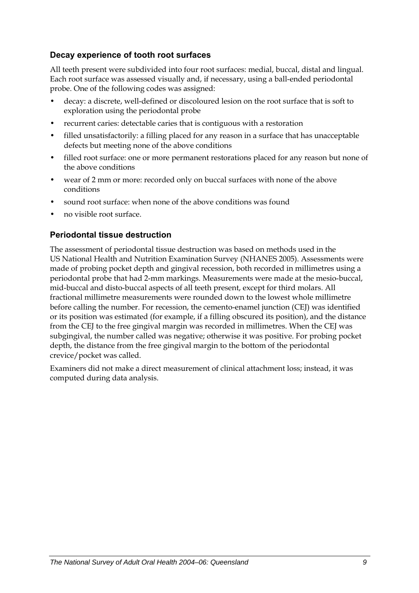#### **Decay experience of tooth root surfaces**

All teeth present were subdivided into four root surfaces: medial, buccal, distal and lingual. Each root surface was assessed visually and, if necessary, using a ball-ended periodontal probe. One of the following codes was assigned:

- decay: a discrete, well-defined or discoloured lesion on the root surface that is soft to exploration using the periodontal probe
- recurrent caries: detectable caries that is contiguous with a restoration
- filled unsatisfactorily: a filling placed for any reason in a surface that has unacceptable defects but meeting none of the above conditions
- filled root surface: one or more permanent restorations placed for any reason but none of the above conditions
- wear of 2 mm or more: recorded only on buccal surfaces with none of the above conditions
- sound root surface: when none of the above conditions was found
- no visible root surface.

#### **Periodontal tissue destruction**

The assessment of periodontal tissue destruction was based on methods used in the US National Health and Nutrition Examination Survey (NHANES 2005). Assessments were made of probing pocket depth and gingival recession, both recorded in millimetres using a periodontal probe that had 2-mm markings. Measurements were made at the mesio-buccal, mid-buccal and disto-buccal aspects of all teeth present, except for third molars. All fractional millimetre measurements were rounded down to the lowest whole millimetre before calling the number. For recession, the cemento-enamel junction (CEJ) was identified or its position was estimated (for example, if a filling obscured its position), and the distance from the CEJ to the free gingival margin was recorded in millimetres. When the CEJ was subgingival, the number called was negative; otherwise it was positive. For probing pocket depth, the distance from the free gingival margin to the bottom of the periodontal crevice/pocket was called.

Examiners did not make a direct measurement of clinical attachment loss; instead, it was computed during data analysis.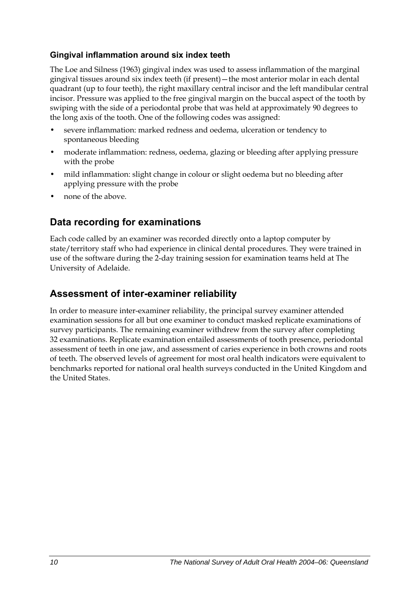#### **Gingival inflammation around six index teeth**

The Loe and Silness (1963) gingival index was used to assess inflammation of the marginal gingival tissues around six index teeth (if present)—the most anterior molar in each dental quadrant (up to four teeth), the right maxillary central incisor and the left mandibular central incisor. Pressure was applied to the free gingival margin on the buccal aspect of the tooth by swiping with the side of a periodontal probe that was held at approximately 90 degrees to the long axis of the tooth. One of the following codes was assigned:

- severe inflammation: marked redness and oedema, ulceration or tendency to spontaneous bleeding
- moderate inflammation: redness, oedema, glazing or bleeding after applying pressure with the probe
- mild inflammation: slight change in colour or slight oedema but no bleeding after applying pressure with the probe
- none of the above.

### **Data recording for examinations**

Each code called by an examiner was recorded directly onto a laptop computer by state/territory staff who had experience in clinical dental procedures. They were trained in use of the software during the 2-day training session for examination teams held at The University of Adelaide.

### **Assessment of inter-examiner reliability**

In order to measure inter-examiner reliability, the principal survey examiner attended examination sessions for all but one examiner to conduct masked replicate examinations of survey participants. The remaining examiner withdrew from the survey after completing 32 examinations. Replicate examination entailed assessments of tooth presence, periodontal assessment of teeth in one jaw, and assessment of caries experience in both crowns and roots of teeth. The observed levels of agreement for most oral health indicators were equivalent to benchmarks reported for national oral health surveys conducted in the United Kingdom and the United States.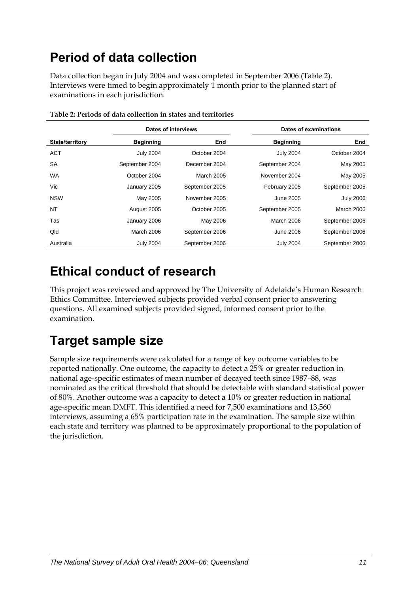# <span id="page-18-0"></span>**Period of data collection**

Data collection began in July 2004 and was completed in September 2006 ([Table 2\)](#page-18-1). Interviews were timed to begin approximately 1 month prior to the planned start of examinations in each jurisdiction.

<span id="page-18-1"></span>

|                        | Dates of interviews |                | Dates of examinations |                   |
|------------------------|---------------------|----------------|-----------------------|-------------------|
| <b>State/territory</b> | <b>Beginning</b>    | End            | <b>Beginning</b>      | End               |
| <b>ACT</b>             | <b>July 2004</b>    | October 2004   | <b>July 2004</b>      | October 2004      |
| <b>SA</b>              | September 2004      | December 2004  | September 2004        | May 2005          |
| <b>WA</b>              | October 2004        | March 2005     | November 2004         | May 2005          |
| Vic                    | January 2005        | September 2005 | February 2005         | September 2005    |
| <b>NSW</b>             | May 2005            | November 2005  | June 2005             | <b>July 2006</b>  |
| <b>NT</b>              | August 2005         | October 2005   | September 2005        | <b>March 2006</b> |
| Tas                    | January 2006        | May 2006       | March 2006            | September 2006    |
| Qld                    | March 2006          | September 2006 | June 2006             | September 2006    |
| Australia              | <b>July 2004</b>    | September 2006 | <b>July 2004</b>      | September 2006    |

## **Ethical conduct of research**

This project was reviewed and approved by The University of Adelaide's Human Research Ethics Committee. Interviewed subjects provided verbal consent prior to answering questions. All examined subjects provided signed, informed consent prior to the examination.

# **Target sample size**

Sample size requirements were calculated for a range of key outcome variables to be reported nationally. One outcome, the capacity to detect a 25% or greater reduction in national age-specific estimates of mean number of decayed teeth since 1987–88, was nominated as the critical threshold that should be detectable with standard statistical power of 80%. Another outcome was a capacity to detect a 10% or greater reduction in national age-specific mean DMFT. This identified a need for 7,500 examinations and 13,560 interviews, assuming a 65% participation rate in the examination. The sample size within each state and territory was planned to be approximately proportional to the population of the jurisdiction.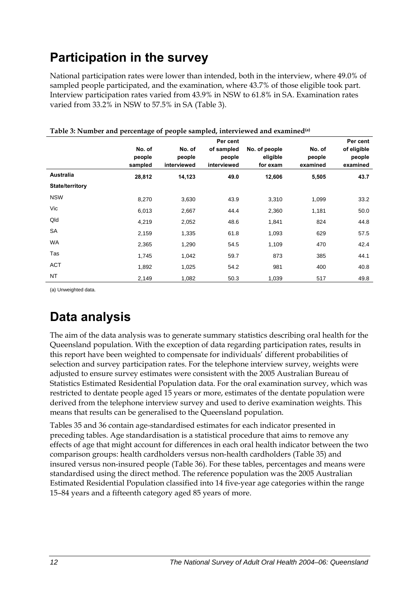# <span id="page-19-0"></span>**Participation in the survey**

National participation rates were lower than intended, both in the interview, where 49.0% of sampled people participated, and the examination, where 43.7% of those eligible took part. Interview participation rates varied from 43.9% in NSW to 61.8% in SA. Examination rates varied from 33.2% in NSW to 57.5% in SA [\(Table 3](#page-19-1)).

|                 | No. of<br>people<br>sampled | No. of<br>people<br>interviewed | Per cent<br>of sampled<br>people<br>interviewed | No. of people<br>eligible<br>for exam | No. of<br>people<br>examined | Per cent<br>of eligible<br>people<br>examined |
|-----------------|-----------------------------|---------------------------------|-------------------------------------------------|---------------------------------------|------------------------------|-----------------------------------------------|
| Australia       | 28,812                      | 14,123                          | 49.0                                            | 12,606                                | 5,505                        | 43.7                                          |
| State/territory |                             |                                 |                                                 |                                       |                              |                                               |
| <b>NSW</b>      | 8,270                       | 3,630                           | 43.9                                            | 3,310                                 | 1,099                        | 33.2                                          |
| Vic             | 6,013                       | 2,667                           | 44.4                                            | 2,360                                 | 1,181                        | 50.0                                          |
| Qld             | 4,219                       | 2,052                           | 48.6                                            | 1,841                                 | 824                          | 44.8                                          |
| <b>SA</b>       | 2,159                       | 1,335                           | 61.8                                            | 1,093                                 | 629                          | 57.5                                          |
| WA              | 2,365                       | 1,290                           | 54.5                                            | 1,109                                 | 470                          | 42.4                                          |
| Tas             | 1,745                       | 1,042                           | 59.7                                            | 873                                   | 385                          | 44.1                                          |
| ACT             | 1,892                       | 1,025                           | 54.2                                            | 981                                   | 400                          | 40.8                                          |
| <b>NT</b>       | 2,149                       | 1,082                           | 50.3                                            | 1,039                                 | 517                          | 49.8                                          |

#### <span id="page-19-1"></span>**Table 3: Number and percentage of people sampled, interviewed and examined(a)**

(a) Unweighted data.

# **Data analysis**

The aim of the data analysis was to generate summary statistics describing oral health for the Queensland population. With the exception of data regarding participation rates, results in this report have been weighted to compensate for individuals' different probabilities of selection and survey participation rates. For the telephone interview survey, weights were adjusted to ensure survey estimates were consistent with the 2005 Australian Bureau of Statistics Estimated Residential Population data. For the oral examination survey, which was restricted to dentate people aged 15 years or more, estimates of the dentate population were derived from the telephone interview survey and used to derive examination weights. This means that results can be generalised to the Queensland population.

Tables 35 and 36 contain age-standardised estimates for each indicator presented in preceding tables. Age standardisation is a statistical procedure that aims to remove any effects of age that might account for differences in each oral health indicator between the two comparison groups: health cardholders versus non-health cardholders (Table 35) and insured versus non-insured people (Table 36). For these tables, percentages and means were standardised using the direct method. The reference population was the 2005 Australian Estimated Residential Population classified into 14 five-year age categories within the range 15–84 years and a fifteenth category aged 85 years of more.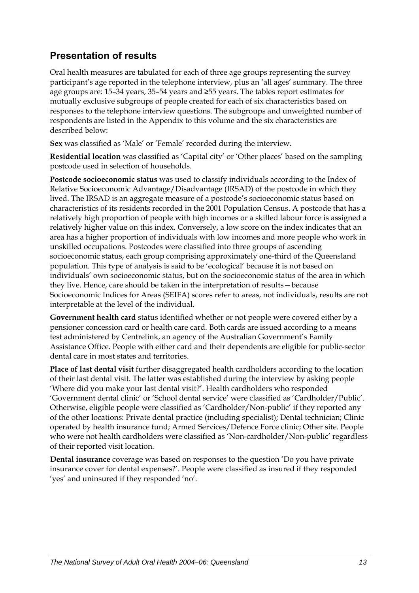## **Presentation of results**

Oral health measures are tabulated for each of three age groups representing the survey participant's age reported in the telephone interview, plus an 'all ages' summary. The three age groups are: 15–34 years, 35–54 years and ≥55 years. The tables report estimates for mutually exclusive subgroups of people created for each of six characteristics based on responses to the telephone interview questions. The subgroups and unweighted number of respondents are listed in the Appendix to this volume and the six characteristics are described below:

**Sex** was classified as 'Male' or 'Female' recorded during the interview.

**Residential location** was classified as 'Capital city' or 'Other places' based on the sampling postcode used in selection of households.

**Postcode socioeconomic status** was used to classify individuals according to the Index of Relative Socioeconomic Advantage/Disadvantage (IRSAD) of the postcode in which they lived. The IRSAD is an aggregate measure of a postcode's socioeconomic status based on characteristics of its residents recorded in the 2001 Population Census. A postcode that has a relatively high proportion of people with high incomes or a skilled labour force is assigned a relatively higher value on this index. Conversely, a low score on the index indicates that an area has a higher proportion of individuals with low incomes and more people who work in unskilled occupations. Postcodes were classified into three groups of ascending socioeconomic status, each group comprising approximately one-third of the Queensland population. This type of analysis is said to be 'ecological' because it is not based on individuals' own socioeconomic status, but on the socioeconomic status of the area in which they live. Hence, care should be taken in the interpretation of results—because Socioeconomic Indices for Areas (SEIFA) scores refer to areas, not individuals, results are not interpretable at the level of the individual.

**Government health card** status identified whether or not people were covered either by a pensioner concession card or health care card. Both cards are issued according to a means test administered by Centrelink, an agency of the Australian Government's Family Assistance Office. People with either card and their dependents are eligible for public-sector dental care in most states and territories.

**Place of last dental visit** further disaggregated health cardholders according to the location of their last dental visit. The latter was established during the interview by asking people 'Where did you make your last dental visit?'. Health cardholders who responded 'Government dental clinic' or 'School dental service' were classified as 'Cardholder/Public'. Otherwise, eligible people were classified as 'Cardholder/Non-public' if they reported any of the other locations: Private dental practice (including specialist); Dental technician; Clinic operated by health insurance fund; Armed Services/Defence Force clinic; Other site. People who were not health cardholders were classified as 'Non-cardholder/Non-public' regardless of their reported visit location.

**Dental insurance** coverage was based on responses to the question 'Do you have private insurance cover for dental expenses?'. People were classified as insured if they responded 'yes' and uninsured if they responded 'no'.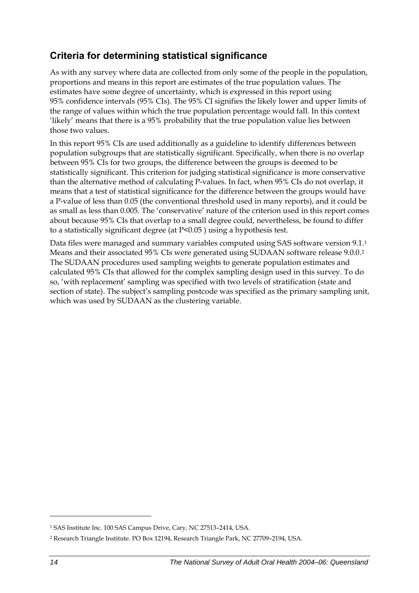### <span id="page-21-0"></span>**Criteria for determining statistical significance**

As with any survey where data are collected from only some of the people in the population, proportions and means in this report are estimates of the true population values. The estimates have some degree of uncertainty, which is expressed in this report using 95% confidence intervals (95% CIs). The 95% CI signifies the likely lower and upper limits of the range of values within which the true population percentage would fall. In this context 'likely' means that there is a 95% probability that the true population value lies between those two values.

In this report 95% CIs are used additionally as a guideline to identify differences between population subgroups that are statistically significant. Specifically, when there is no overlap between 95% CIs for two groups, the difference between the groups is deemed to be statistically significant. This criterion for judging statistical significance is more conservative than the alternative method of calculating P-values. In fact, when 95% CIs do not overlap, it means that a test of statistical significance for the difference between the groups would have a P-value of less than 0.05 (the conventional threshold used in many reports), and it could be as small as less than 0.005. The 'conservative' nature of the criterion used in this report comes about because 95% CIs that overlap to a small degree could, nevertheless, be found to differ to a statistically significant degree (at P<0.05 ) using a hypothesis test.

Data files were managed and summary variables computed using SAS software version 9[.1](#page-21-0).<sup>1</sup> Means and their associated 95% CIs were generated using SUDAAN software release 9.0.0.[2](#page-21-0) The SUDAAN procedures used sampling weights to generate population estimates and calculated 95% CIs that allowed for the complex sampling design used in this survey. To do so, 'with replacement' sampling was specified with two levels of stratification (state and section of state). The subject's sampling postcode was specified as the primary sampling unit, which was used by SUDAAN as the clustering variable.

 $\overline{a}$ 

<sup>1</sup> SAS Institute Inc. 100 SAS Campus Drive, Cary, NC 27513–2414, USA.

<sup>2</sup> Research Triangle Institute. PO Box 12194, Research Triangle Park, NC 27709–2194, USA.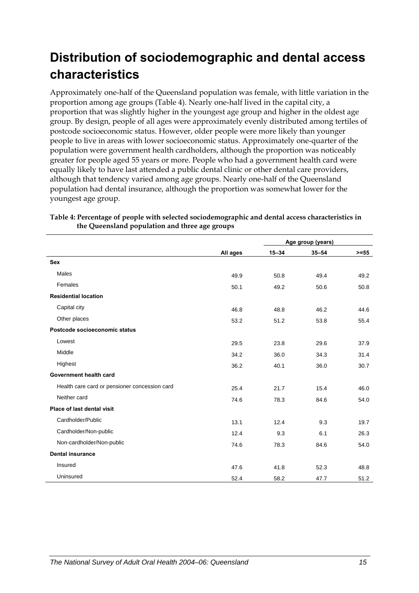# <span id="page-22-0"></span>**Distribution of sociodemographic and dental access characteristics**

Approximately one-half of the Queensland population was female, with little variation in the proportion among age groups ([Table 4\)](#page-22-1). Nearly one-half lived in the capital city, a proportion that was slightly higher in the youngest age group and higher in the oldest age group. By design, people of all ages were approximately evenly distributed among tertiles of postcode socioeconomic status. However, older people were more likely than younger people to live in areas with lower socioeconomic status. Approximately one-quarter of the population were government health cardholders, although the proportion was noticeably greater for people aged 55 years or more. People who had a government health card were equally likely to have last attended a public dental clinic or other dental care providers, although that tendency varied among age groups. Nearly one-half of the Queensland population had dental insurance, although the proportion was somewhat lower for the youngest age group.

|                                               |          | Age group (years) |           |         |  |
|-----------------------------------------------|----------|-------------------|-----------|---------|--|
|                                               | All ages | $15 - 34$         | $35 - 54$ | $>= 55$ |  |
| <b>Sex</b>                                    |          |                   |           |         |  |
| Males                                         | 49.9     | 50.8              | 49.4      | 49.2    |  |
| Females                                       | 50.1     | 49.2              | 50.6      | 50.8    |  |
| <b>Residential location</b>                   |          |                   |           |         |  |
| Capital city                                  | 46.8     | 48.8              | 46.2      | 44.6    |  |
| Other places                                  | 53.2     | 51.2              | 53.8      | 55.4    |  |
| Postcode socioeconomic status                 |          |                   |           |         |  |
| Lowest                                        | 29.5     | 23.8              | 29.6      | 37.9    |  |
| Middle                                        | 34.2     | 36.0              | 34.3      | 31.4    |  |
| Highest                                       | 36.2     | 40.1              | 36.0      | 30.7    |  |
| Government health card                        |          |                   |           |         |  |
| Health care card or pensioner concession card | 25.4     | 21.7              | 15.4      | 46.0    |  |
| Neither card                                  | 74.6     | 78.3              | 84.6      | 54.0    |  |
| Place of last dental visit                    |          |                   |           |         |  |
| Cardholder/Public                             | 13.1     | 12.4              | 9.3       | 19.7    |  |
| Cardholder/Non-public                         | 12.4     | 9.3               | 6.1       | 26.3    |  |
| Non-cardholder/Non-public                     | 74.6     | 78.3              | 84.6      | 54.0    |  |
| <b>Dental insurance</b>                       |          |                   |           |         |  |
| Insured                                       | 47.6     | 41.8              | 52.3      | 48.8    |  |
| Uninsured                                     | 52.4     | 58.2              | 47.7      | 51.2    |  |

#### <span id="page-22-1"></span>**Table 4: Percentage of people with selected sociodemographic and dental access characteristics in the Queensland population and three age groups**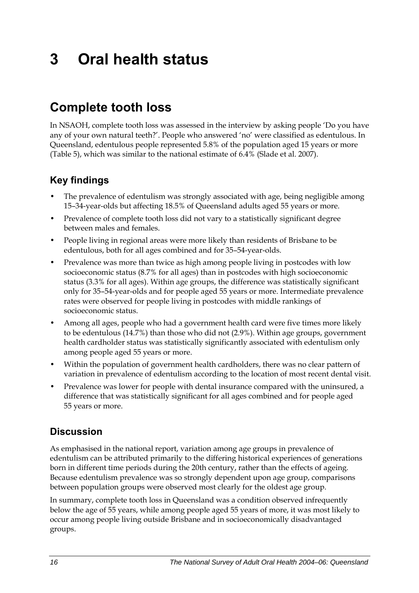# <span id="page-23-0"></span>**3 Oral health status**

# **Complete tooth loss**

In NSAOH, complete tooth loss was assessed in the interview by asking people 'Do you have any of your own natural teeth?'. People who answered 'no' were classified as edentulous. In Queensland, edentulous people represented 5.8% of the population aged 15 years or more ([Table 5\)](#page-24-0), which was similar to the national estimate of 6.4% (Slade et al. 2007).

### **Key findings**

- The prevalence of edentulism was strongly associated with age, being negligible among 15–34-year-olds but affecting 18.5% of Queensland adults aged 55 years or more.
- Prevalence of complete tooth loss did not vary to a statistically significant degree between males and females.
- People living in regional areas were more likely than residents of Brisbane to be edentulous, both for all ages combined and for 35–54-year-olds.
- Prevalence was more than twice as high among people living in postcodes with low socioeconomic status (8.7% for all ages) than in postcodes with high socioeconomic status (3.3% for all ages). Within age groups, the difference was statistically significant only for 35–54-year-olds and for people aged 55 years or more. Intermediate prevalence rates were observed for people living in postcodes with middle rankings of socioeconomic status.
- Among all ages, people who had a government health card were five times more likely to be edentulous (14.7%) than those who did not (2.9%). Within age groups, government health cardholder status was statistically significantly associated with edentulism only among people aged 55 years or more.
- Within the population of government health cardholders, there was no clear pattern of variation in prevalence of edentulism according to the location of most recent dental visit.
- Prevalence was lower for people with dental insurance compared with the uninsured, a difference that was statistically significant for all ages combined and for people aged 55 years or more.

### **Discussion**

As emphasised in the national report, variation among age groups in prevalence of edentulism can be attributed primarily to the differing historical experiences of generations born in different time periods during the 20th century, rather than the effects of ageing. Because edentulism prevalence was so strongly dependent upon age group, comparisons between population groups were observed most clearly for the oldest age group.

In summary, complete tooth loss in Queensland was a condition observed infrequently below the age of 55 years, while among people aged 55 years of more, it was most likely to occur among people living outside Brisbane and in socioeconomically disadvantaged groups.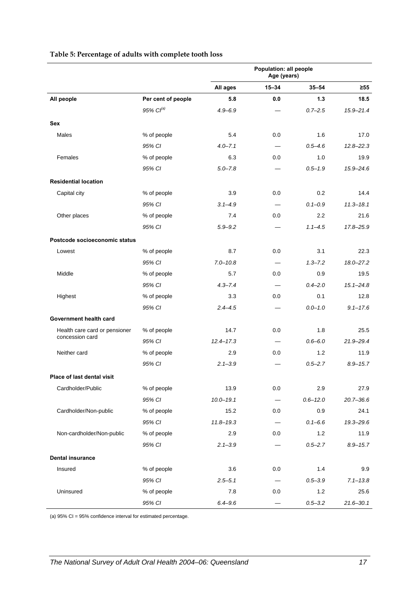### **All ages 15–34 35–54 ≥55 All people Per cent of people 5.8 0.0 1.3 18.5** *95% CI(a) 4.9–6.9 — 0.7–2.5 15.9–21.4* **Sex**  Males 6.4 0.0 1.6 17.0 *95% CI 4.0–7.1 — 0.5–4.6 12.8–22.3* Females % of people 6.3 0.0 1.0 19.9 *95% CI 5.0–7.8 — 0.5–1.9 15.9–24.6* **Residential location**  Capital city  $\begin{array}{cccc} \text{6.2} \end{array}$   $\begin{array}{cccc} \text{7.3} \end{array}$   $\begin{array}{cccc} \text{8.4} \end{array}$   $\begin{array}{cccc} \text{7.5} \end{array}$   $\begin{array}{cccc} \text{8.5} \end{array}$   $\begin{array}{cccc} \text{9.6} \end{array}$   $\begin{array}{cccc} \text{14.4} \end{array}$ *95% CI 3.1–4.9 — 0.1–0.9 11.3–18.1* Other places 6 to the complement of the Model of the Model of the Model of the Model of the Model of the Model o *95% CI 5.9–9.2 — 1.1–4.5 17.8–25.9* **Postcode socioeconomic status**  Lowest % of people 8.7 0.0 3.1 22.3 *95% CI 7.0–10.8 — 1.3–7.2 18.0–27.2* Middle % of people 5.7 0.0 0.9 19.5 *95% CI 4.3–7.4 — 0.4–2.0 15.1–24.8* Highest % of people 3.3 0.0 0.1 12.8 *95% CI 2.4–4.5 — 0.0–1.0 9.1–17.6* **Government health card**  Health care card or pensioner % of people 14.7 0.0 1.8 25.5 concession card *95% CI 12.4–17.3 — 0.6–6.0 21.9–29.4* Neither card % of people 2.9 0.0 1.2 11.9 *95% CI 2.1–3.9 — 0.5–2.7 8.9–15.7* **Place of last dental visit**  Cardholder/Public  $\%$  of people  $\%$  and  $\%$  and  $\%$  13.9 0.0 2.9 27.9 27.9 *95% CI 10.0–19.1 — 0.6–12.0 20.7–36.6* Cardholder/Non-public % of people 15.2 0.0 0.9 24.1 *95% CI 11.8–19.3 — 0.1–6.6 19.3–29.6* Non-cardholder/Non-public % of people 2.9 0.0 1.2 11.9 *95% CI 2.1–3.9 — 0.5–2.7 8.9–15.7*

Insured % of people 3.6 0.0 1.4 9.9

Uninsured % of people 7.8 0.0 1.2 25.6

*95% CI 2.5–5.1 — 0.5–3.9 7.1–13.8*

*95% CI 6.4–9.6 — 0.5–3.2 21.6–30.1*

**Population: all people Age (years)** 

#### <span id="page-24-0"></span>**Table 5: Percentage of adults with complete tooth loss**

(a) 95% CI = 95% confidence interval for estimated percentage.

**Dental insurance**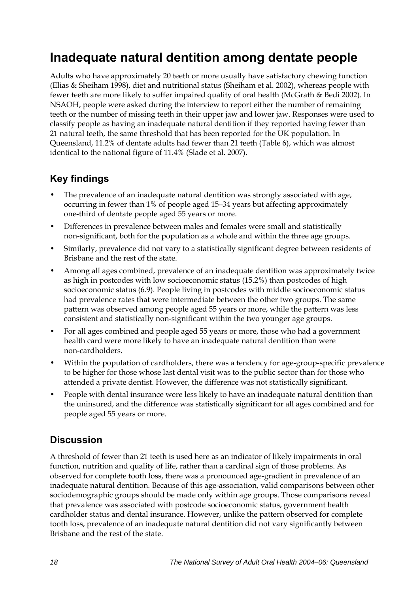## <span id="page-25-0"></span>**Inadequate natural dentition among dentate people**

Adults who have approximately 20 teeth or more usually have satisfactory chewing function (Elias & Sheiham 1998), diet and nutritional status (Sheiham et al. 2002), whereas people with fewer teeth are more likely to suffer impaired quality of oral health (McGrath & Bedi 2002). In NSAOH, people were asked during the interview to report either the number of remaining teeth or the number of missing teeth in their upper jaw and lower jaw. Responses were used to classify people as having an inadequate natural dentition if they reported having fewer than 21 natural teeth, the same threshold that has been reported for the UK population. In Queensland, 11.2% of dentate adults had fewer than 21 teeth ([Table 6\)](#page-26-0), which was almost identical to the national figure of 11.4% (Slade et al. 2007).

### **Key findings**

- The prevalence of an inadequate natural dentition was strongly associated with age, occurring in fewer than 1% of people aged 15–34 years but affecting approximately one-third of dentate people aged 55 years or more.
- Differences in prevalence between males and females were small and statistically non-significant, both for the population as a whole and within the three age groups.
- Similarly, prevalence did not vary to a statistically significant degree between residents of Brisbane and the rest of the state.
- Among all ages combined, prevalence of an inadequate dentition was approximately twice as high in postcodes with low socioeconomic status (15.2%) than postcodes of high socioeconomic status (6.9). People living in postcodes with middle socioeconomic status had prevalence rates that were intermediate between the other two groups. The same pattern was observed among people aged 55 years or more, while the pattern was less consistent and statistically non-significant within the two younger age groups.
- For all ages combined and people aged 55 years or more, those who had a government health card were more likely to have an inadequate natural dentition than were non-cardholders.
- Within the population of cardholders, there was a tendency for age-group-specific prevalence to be higher for those whose last dental visit was to the public sector than for those who attended a private dentist. However, the difference was not statistically significant.
- People with dental insurance were less likely to have an inadequate natural dentition than the uninsured, and the difference was statistically significant for all ages combined and for people aged 55 years or more.

### **Discussion**

A threshold of fewer than 21 teeth is used here as an indicator of likely impairments in oral function, nutrition and quality of life, rather than a cardinal sign of those problems. As observed for complete tooth loss, there was a pronounced age-gradient in prevalence of an inadequate natural dentition. Because of this age-association, valid comparisons between other sociodemographic groups should be made only within age groups. Those comparisons reveal that prevalence was associated with postcode socioeconomic status, government health cardholder status and dental insurance. However, unlike the pattern observed for complete tooth loss, prevalence of an inadequate natural dentition did not vary significantly between Brisbane and the rest of the state.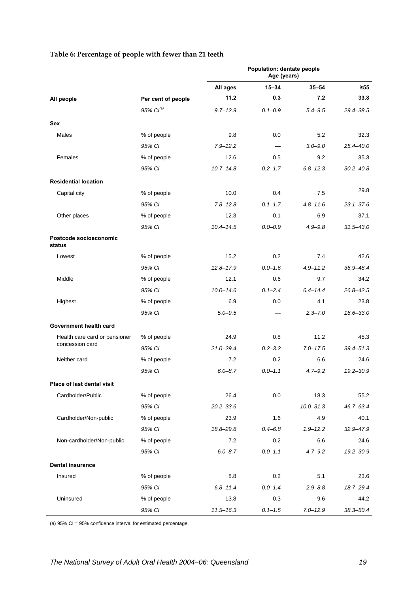<span id="page-26-0"></span>

|                                  |                       | Population: dentate people<br>Age (years) |             |               |               |
|----------------------------------|-----------------------|-------------------------------------------|-------------|---------------|---------------|
|                                  |                       | All ages                                  | $15 - 34$   | $35 - 54$     | $\geq 55$     |
| All people                       | Per cent of people    | 11.2                                      | 0.3         | 7.2           | 33.8          |
|                                  | 95% Cl <sup>(a)</sup> | $9.7 - 12.9$                              | $0.1 - 0.9$ | $5.4 - 9.5$   | 29.4-38.5     |
| <b>Sex</b>                       |                       |                                           |             |               |               |
| <b>Males</b>                     | % of people           | 9.8                                       | 0.0         | 5.2           | 32.3          |
|                                  | 95% CI                | $7.9 - 12.2$                              |             | $3.0 - 9.0$   | $25.4 - 40.0$ |
| Females                          | % of people           | 12.6                                      | 0.5         | 9.2           | 35.3          |
|                                  | 95% CI                | $10.7 - 14.8$                             | $0.2 - 1.7$ | $6.8 - 12.3$  | $30.2 - 40.8$ |
| <b>Residential location</b>      |                       |                                           |             |               |               |
| Capital city                     | % of people           | 10.0                                      | 0.4         | 7.5           | 29.8          |
|                                  | 95% CI                | $7.8 - 12.8$                              | $0.1 - 1.7$ | $4.8 - 11.6$  | $23.1 - 37.6$ |
| Other places                     | % of people           | 12.3                                      | 0.1         | 6.9           | 37.1          |
|                                  | 95% CI                | $10.4 - 14.5$                             | $0.0 - 0.9$ | $4.9 - 9.8$   | $31.5 - 43.0$ |
| Postcode socioeconomic<br>status |                       |                                           |             |               |               |
| Lowest                           | % of people           | 15.2                                      | 0.2         | 7.4           | 42.6          |
|                                  | 95% CI                | $12.8 - 17.9$                             | $0.0 - 1.6$ | $4.9 - 11.2$  | 36.9-48.4     |
| Middle                           | % of people           | 12.1                                      | 0.6         | 9.7           | 34.2          |
|                                  | 95% CI                | $10.0 - 14.6$                             | $0.1 - 2.4$ | $6.4 - 14.4$  | $26.8 - 42.5$ |
| Highest                          | % of people           | 6.9                                       | 0.0         | 4.1           | 23.8          |
|                                  | 95% CI                | $5.0 - 9.5$                               |             | $2.3 - 7.0$   | $16.6 - 33.0$ |
| Government health card           |                       |                                           |             |               |               |
| Health care card or pensioner    | % of people           | 24.9                                      | 0.8         | 11.2          | 45.3          |
| concession card                  | 95% CI                | $21.0 - 29.4$                             | $0.2 - 3.2$ | $7.0 - 17.5$  | $39.4 - 51.3$ |
| Neither card                     | % of people           | 7.2                                       | 0.2         | 6.6           | 24.6          |
|                                  | 95% CI                | $6.0 - 8.7$                               | $0.0 - 1.1$ | $4.7 - 9.2$   | $19.2 - 30.9$ |
| Place of last dental visit       |                       |                                           |             |               |               |
| Cardholder/Public                | % of people           | 26.4                                      | 0.0         | 18.3          | 55.2          |
|                                  | 95% CI                | $20.2 - 33.6$                             | $\equiv$    | $10.0 - 31.3$ | 46.7-63.4     |
| Cardholder/Non-public            | % of people           | 23.9                                      | 1.6         | 4.9           | 40.1          |
|                                  | 95% CI                | 18.8-29.8                                 | $0.4 - 6.8$ | $1.9 - 12.2$  | 32.9-47.9     |
| Non-cardholder/Non-public        | % of people           | 7.2                                       | 0.2         | 6.6           | 24.6          |
|                                  | 95% CI                | $6.0 - 8.7$                               | $0.0 - 1.1$ | $4.7 - 9.2$   | $19.2 - 30.9$ |
| <b>Dental insurance</b>          |                       |                                           |             |               |               |
| Insured                          | % of people           | 8.8                                       | 0.2         | 5.1           | 23.6          |
|                                  | 95% CI                | $6.8 - 11.4$                              | $0.0 - 1.4$ | $2.9 - 8.8$   | 18.7-29.4     |
| Uninsured                        | % of people           | 13.8                                      | 0.3         | 9.6           | 44.2          |
|                                  | 95% CI                | $11.5 - 16.3$                             | $0.1 - 1.5$ | $7.0 - 12.9$  | $38.3 - 50.4$ |

#### **Table 6: Percentage of people with fewer than 21 teeth**

(a) 95% CI = 95% confidence interval for estimated percentage.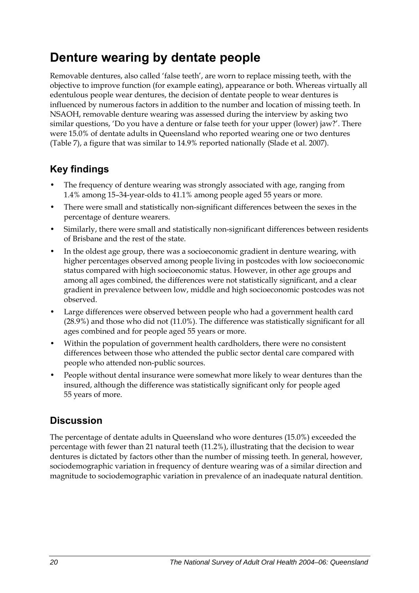# <span id="page-27-0"></span>**Denture wearing by dentate people**

Removable dentures, also called 'false teeth', are worn to replace missing teeth, with the objective to improve function (for example eating), appearance or both. Whereas virtually all edentulous people wear dentures, the decision of dentate people to wear dentures is influenced by numerous factors in addition to the number and location of missing teeth. In NSAOH, removable denture wearing was assessed during the interview by asking two similar questions, 'Do you have a denture or false teeth for your upper (lower) jaw?'. There were 15.0% of dentate adults in Queensland who reported wearing one or two dentures ([Table 7\)](#page-28-0), a figure that was similar to 14.9% reported nationally (Slade et al. 2007).

## **Key findings**

- The frequency of denture wearing was strongly associated with age, ranging from 1.4% among 15–34-year-olds to 41.1% among people aged 55 years or more.
- There were small and statistically non-significant differences between the sexes in the percentage of denture wearers.
- Similarly, there were small and statistically non-significant differences between residents of Brisbane and the rest of the state.
- In the oldest age group, there was a socioeconomic gradient in denture wearing, with higher percentages observed among people living in postcodes with low socioeconomic status compared with high socioeconomic status. However, in other age groups and among all ages combined, the differences were not statistically significant, and a clear gradient in prevalence between low, middle and high socioeconomic postcodes was not observed.
- Large differences were observed between people who had a government health card (28.9%) and those who did not (11.0%). The difference was statistically significant for all ages combined and for people aged 55 years or more.
- Within the population of government health cardholders, there were no consistent differences between those who attended the public sector dental care compared with people who attended non-public sources.
- People without dental insurance were somewhat more likely to wear dentures than the insured, although the difference was statistically significant only for people aged 55 years of more.

### **Discussion**

The percentage of dentate adults in Queensland who wore dentures (15.0%) exceeded the percentage with fewer than 21 natural teeth (11.2%), illustrating that the decision to wear dentures is dictated by factors other than the number of missing teeth. In general, however, sociodemographic variation in frequency of denture wearing was of a similar direction and magnitude to sociodemographic variation in prevalence of an inadequate natural dentition.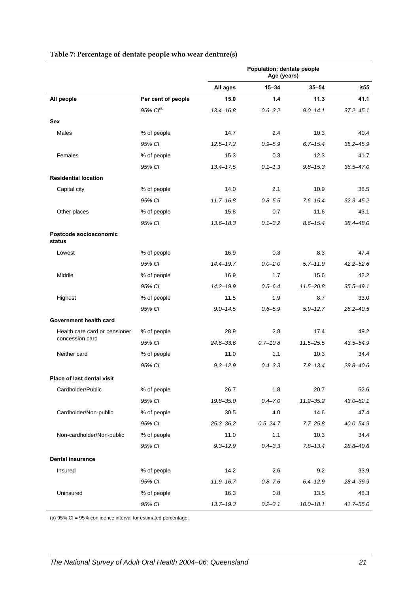<span id="page-28-0"></span>

|                                                  |                       | Population: dentate people<br>Age (years) |              |               |               |
|--------------------------------------------------|-----------------------|-------------------------------------------|--------------|---------------|---------------|
|                                                  |                       | All ages                                  | $15 - 34$    | $35 - 54$     | $\geq 55$     |
| All people                                       | Per cent of people    | 15.0                                      | 1.4          | 11.3          | 41.1          |
|                                                  | 95% Cl <sup>(a)</sup> | $13.4 - 16.8$                             | $0.6 - 3.2$  | $9.0 - 14.1$  | $37.2 - 45.1$ |
| Sex                                              |                       |                                           |              |               |               |
| Males                                            | % of people           | 14.7                                      | 2.4          | 10.3          | 40.4          |
|                                                  | 95% CI                | $12.5 - 17.2$                             | $0.9 - 5.9$  | $6.7 - 15.4$  | $35.2 - 45.9$ |
| Females                                          | % of people           | 15.3                                      | 0.3          | 12.3          | 41.7          |
|                                                  | 95% CI                | $13.4 - 17.5$                             | $0.1 - 1.3$  | $9.8 - 15.3$  | $36.5 - 47.0$ |
| <b>Residential location</b>                      |                       |                                           |              |               |               |
| Capital city                                     | % of people           | 14.0                                      | 2.1          | 10.9          | 38.5          |
|                                                  | 95% CI                | $11.7 - 16.8$                             | $0.8 - 5.5$  | $7.6 - 15.4$  | $32.3 - 45.2$ |
| Other places                                     | % of people           | 15.8                                      | 0.7          | 11.6          | 43.1          |
|                                                  | 95% CI                | $13.6 - 18.3$                             | $0.1 - 3.2$  | $8.6 - 15.4$  | 38.4-48.0     |
| Postcode socioeconomic<br>status                 |                       |                                           |              |               |               |
| Lowest                                           | % of people           | 16.9                                      | 0.3          | 8.3           | 47.4          |
|                                                  | 95% CI                | $14.4 - 19.7$                             | $0.0 - 2.0$  | $5.7 - 11.9$  | $42.2 - 52.6$ |
| Middle                                           | % of people           | 16.9                                      | 1.7          | 15.6          | 42.2          |
|                                                  | 95% CI                | $14.2 - 19.9$                             | $0.5 - 6.4$  | $11.5 - 20.8$ | $35.5 - 49.1$ |
| Highest                                          | % of people           | 11.5                                      | 1.9          | 8.7           | 33.0          |
|                                                  | 95% CI                | $9.0 - 14.5$                              | $0.6 - 5.9$  | $5.9 - 12.7$  | $26.2 - 40.5$ |
| Government health card                           |                       |                                           |              |               |               |
| Health care card or pensioner<br>concession card | % of people           | 28.9                                      | 2.8          | 17.4          | 49.2          |
|                                                  | 95% CI                | $24.6 - 33.6$                             | $0.7 - 10.8$ | $11.5 - 25.5$ | 43.5-54.9     |
| Neither card                                     | % of people           | 11.0                                      | 1.1          | 10.3          | 34.4          |
|                                                  | 95% CI                | $9.3 - 12.9$                              | $0.4 - 3.3$  | $7.8 - 13.4$  | 28.8-40.6     |
| Place of last dental visit                       |                       |                                           |              |               |               |
| Cardholder/Public                                | % of people           | 26.7                                      | 1.8          | 20.7          | 52.6          |
|                                                  | 95% CI                | 19.8-35.0                                 | $0.4 - 7.0$  | $11.2 - 35.2$ | $43.0 - 62.1$ |
| Cardholder/Non-public                            | % of people           | 30.5                                      | 4.0          | 14.6          | 47.4          |
|                                                  | 95% CI                | $25.3 - 36.2$                             | $0.5 - 24.7$ | $7.7 - 25.8$  | $40.0 - 54.9$ |
| Non-cardholder/Non-public                        | % of people           | 11.0                                      | 1.1          | 10.3          | 34.4          |
|                                                  | 95% CI                | $9.3 - 12.9$                              | $0.4 - 3.3$  | $7.8 - 13.4$  | 28.8-40.6     |
| <b>Dental insurance</b>                          |                       |                                           |              |               |               |
| Insured                                          | % of people           | 14.2                                      | 2.6          | 9.2           | 33.9          |
|                                                  | 95% CI                | $11.9 - 16.7$                             | $0.8 - 7.6$  | $6.4 - 12.9$  | 28.4-39.9     |
| Uninsured                                        | % of people           | 16.3                                      | 0.8          | 13.5          | 48.3          |
|                                                  | 95% CI                | $13.7 - 19.3$                             | $0.2 - 3.1$  | $10.0 - 18.1$ | $41.7 - 55.0$ |

#### **Table 7: Percentage of dentate people who wear denture(s)**

(a) 95% CI = 95% confidence interval for estimated percentage.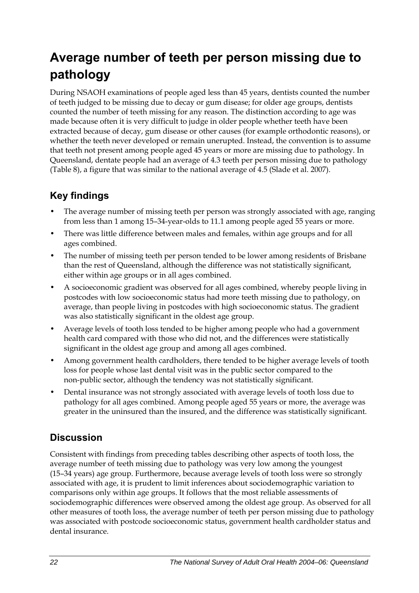# <span id="page-29-0"></span>**Average number of teeth per person missing due to pathology**

During NSAOH examinations of people aged less than 45 years, dentists counted the number of teeth judged to be missing due to decay or gum disease; for older age groups, dentists counted the number of teeth missing for any reason. The distinction according to age was made because often it is very difficult to judge in older people whether teeth have been extracted because of decay, gum disease or other causes (for example orthodontic reasons), or whether the teeth never developed or remain unerupted. Instead, the convention is to assume that teeth not present among people aged 45 years or more are missing due to pathology. In Queensland, dentate people had an average of 4.3 teeth per person missing due to pathology ([Table 8\)](#page-30-0), a figure that was similar to the national average of 4.5 (Slade et al. 2007).

## **Key findings**

- The average number of missing teeth per person was strongly associated with age, ranging from less than 1 among 15–34-year-olds to 11.1 among people aged 55 years or more.
- There was little difference between males and females, within age groups and for all ages combined.
- The number of missing teeth per person tended to be lower among residents of Brisbane than the rest of Queensland, although the difference was not statistically significant, either within age groups or in all ages combined.
- A socioeconomic gradient was observed for all ages combined, whereby people living in postcodes with low socioeconomic status had more teeth missing due to pathology, on average, than people living in postcodes with high socioeconomic status. The gradient was also statistically significant in the oldest age group.
- Average levels of tooth loss tended to be higher among people who had a government health card compared with those who did not, and the differences were statistically significant in the oldest age group and among all ages combined.
- Among government health cardholders, there tended to be higher average levels of tooth loss for people whose last dental visit was in the public sector compared to the non-public sector, although the tendency was not statistically significant.
- Dental insurance was not strongly associated with average levels of tooth loss due to pathology for all ages combined. Among people aged 55 years or more, the average was greater in the uninsured than the insured, and the difference was statistically significant.

### **Discussion**

Consistent with findings from preceding tables describing other aspects of tooth loss, the average number of teeth missing due to pathology was very low among the youngest (15–34 years) age group. Furthermore, because average levels of tooth loss were so strongly associated with age, it is prudent to limit inferences about sociodemographic variation to comparisons only within age groups. It follows that the most reliable assessments of sociodemographic differences were observed among the oldest age group. As observed for all other measures of tooth loss, the average number of teeth per person missing due to pathology was associated with postcode socioeconomic status, government health cardholder status and dental insurance.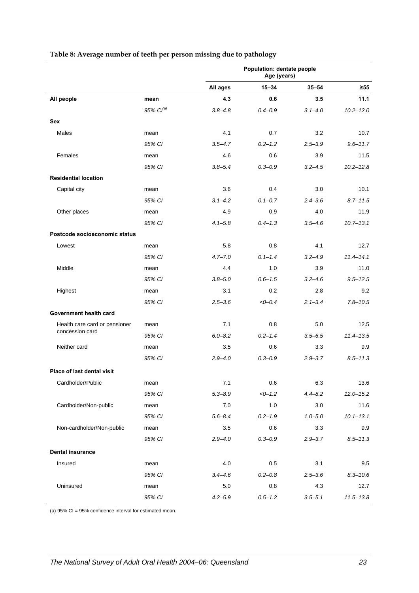|                                   |                | Population: dentate people<br>Age (years) |             |             |               |
|-----------------------------------|----------------|-------------------------------------------|-------------|-------------|---------------|
|                                   |                | All ages                                  | $15 - 34$   | $35 - 54$   | $\geq 55$     |
| All people                        | mean           | 4.3                                       | 0.6         | 3.5         | 11.1          |
|                                   | 95% $Cl^{(a)}$ | $3.8 - 4.8$                               | $0.4 - 0.9$ | $3.1 - 4.0$ | $10.2 - 12.0$ |
| Sex                               |                |                                           |             |             |               |
| Males                             | mean           | 4.1                                       | 0.7         | 3.2         | 10.7          |
|                                   | 95% CI         | $3.5 - 4.7$                               | $0.2 - 1.2$ | $2.5 - 3.9$ | $9.6 - 11.7$  |
| Females                           | mean           | 4.6                                       | 0.6         | 3.9         | 11.5          |
|                                   | 95% CI         | $3.8 - 5.4$                               | $0.3 - 0.9$ | $3.2 - 4.5$ | $10.2 - 12.8$ |
| <b>Residential location</b>       |                |                                           |             |             |               |
| Capital city                      | mean           | 3.6                                       | 0.4         | 3.0         | 10.1          |
|                                   | 95% CI         | $3.1 - 4.2$                               | $0.1 - 0.7$ | $2.4 - 3.6$ | $8.7 - 11.5$  |
| Other places                      | mean           | 4.9                                       | 0.9         | 4.0         | 11.9          |
|                                   | 95% CI         | $4.1 - 5.8$                               | $0.4 - 1.3$ | $3.5 - 4.6$ | $10.7 - 13.1$ |
| Postcode socioeconomic status     |                |                                           |             |             |               |
| Lowest                            | mean           | 5.8                                       | 0.8         | 4.1         | 12.7          |
|                                   | 95% CI         | $4.7 - 7.0$                               | $0.1 - 1.4$ | $3.2 - 4.9$ | $11.4 - 14.1$ |
| Middle                            | mean           | 4.4                                       | 1.0         | 3.9         | 11.0          |
|                                   | 95% CI         | $3.8 - 5.0$                               | $0.6 - 1.5$ | $3.2 - 4.6$ | $9.5 - 12.5$  |
| Highest                           | mean           | 3.1                                       | 0.2         | 2.8         | 9.2           |
|                                   | 95% CI         | $2.5 - 3.6$                               | $<0-0.4$    | $2.1 - 3.4$ | $7.8 - 10.5$  |
| Government health card            |                |                                           |             |             |               |
| Health care card or pensioner     | mean           | 7.1                                       | 0.8         | 5.0         | 12.5          |
| concession card                   | 95% CI         | $6.0 - 8.2$                               | $0.2 - 1.4$ | $3.5 - 6.5$ | $11.4 - 13.5$ |
| Neither card                      | mean           | 3.5                                       | 0.6         | 3.3         | 9.9           |
|                                   | 95% CI         | $2.9 - 4.0$                               | $0.3 - 0.9$ | $2.9 - 3.7$ | $8.5 - 11.3$  |
| <b>Place of last dental visit</b> |                |                                           |             |             |               |
| Cardholder/Public                 | mean           | 7.1                                       | 0.6         | 6.3         | 13.6          |
|                                   | 95% CI         | $5.3 - 8.9$                               | $<-1.2$     | $4.4 - 8.2$ | $12.0 - 15.2$ |
| Cardholder/Non-public             | mean           | 7.0                                       | 1.0         | 3.0         | 11.6          |
|                                   | 95% CI         | $5.6 - 8.4$                               | $0.2 - 1.9$ | $1.0 - 5.0$ | $10.1 - 13.1$ |
| Non-cardholder/Non-public         | mean           | 3.5                                       | 0.6         | 3.3         | 9.9           |
|                                   | 95% CI         | $2.9 - 4.0$                               | $0.3 - 0.9$ | $2.9 - 3.7$ | $8.5 - 11.3$  |
| <b>Dental insurance</b>           |                |                                           |             |             |               |
| Insured                           | mean           | 4.0                                       | 0.5         | 3.1         | 9.5           |
|                                   | 95% CI         | $3.4 - 4.6$                               | $0.2 - 0.8$ | $2.5 - 3.6$ | $8.3 - 10.6$  |
| Uninsured                         | mean           | $5.0\,$                                   | 0.8         | 4.3         | 12.7          |
|                                   | 95% CI         | $4.2 - 5.9$                               | $0.5 - 1.2$ | $3.5 - 5.1$ | $11.5 - 13.8$ |

#### <span id="page-30-0"></span>**Table 8: Average number of teeth per person missing due to pathology**

(a) 95% CI = 95% confidence interval for estimated mean.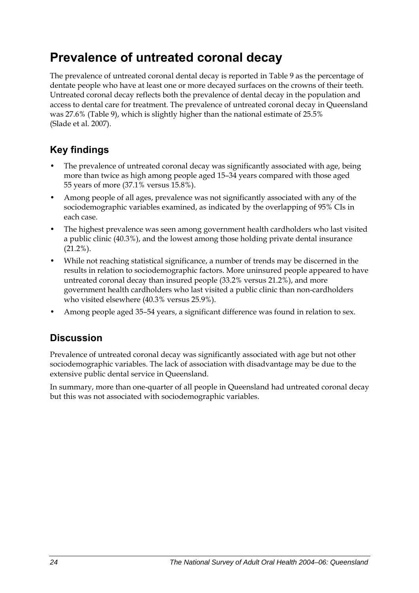# <span id="page-31-0"></span>**Prevalence of untreated coronal decay**

The prevalence of untreated coronal dental decay is reported in Table 9 as the percentage of dentate people who have at least one or more decayed surfaces on the crowns of their teeth. Untreated coronal decay reflects both the prevalence of dental decay in the population and access to dental care for treatment. The prevalence of untreated coronal decay in Queensland was 27.6% ([Table 9\)](#page-32-0), which is slightly higher than the national estimate of 25.5% (Slade et al. 2007).

## **Key findings**

- The prevalence of untreated coronal decay was significantly associated with age, being more than twice as high among people aged 15–34 years compared with those aged 55 years of more (37.1% versus 15.8%).
- Among people of all ages, prevalence was not significantly associated with any of the sociodemographic variables examined, as indicated by the overlapping of 95% CIs in each case.
- The highest prevalence was seen among government health cardholders who last visited a public clinic (40.3%), and the lowest among those holding private dental insurance  $(21.2\%)$ .
- While not reaching statistical significance, a number of trends may be discerned in the results in relation to sociodemographic factors. More uninsured people appeared to have untreated coronal decay than insured people (33.2% versus 21.2%), and more government health cardholders who last visited a public clinic than non-cardholders who visited elsewhere (40.3% versus 25.9%).
- Among people aged 35–54 years, a significant difference was found in relation to sex.

### **Discussion**

Prevalence of untreated coronal decay was significantly associated with age but not other sociodemographic variables. The lack of association with disadvantage may be due to the extensive public dental service in Queensland.

In summary, more than one-quarter of all people in Queensland had untreated coronal decay but this was not associated with sociodemographic variables.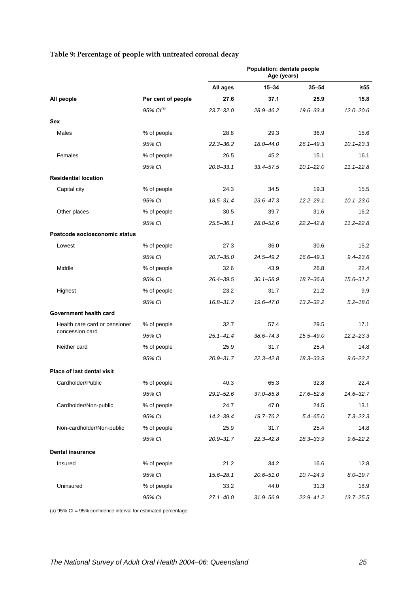|                                   |                       | Population: dentate people<br>Age (years) |               |               |               |
|-----------------------------------|-----------------------|-------------------------------------------|---------------|---------------|---------------|
|                                   |                       | All ages                                  | $15 - 34$     | $35 - 54$     | $\geq 55$     |
| All people                        | Per cent of people    | 27.6                                      | 37.1          | 25.9          | 15.8          |
|                                   | 95% Cl <sup>(a)</sup> | $23.7 - 32.0$                             | 28.9-46.2     | $19.6 - 33.4$ | $12.0 - 20.6$ |
| <b>Sex</b>                        |                       |                                           |               |               |               |
| Males                             | % of people           | 28.8                                      | 29.3          | 36.9          | 15.6          |
|                                   | 95% CI                | $22.3 - 36.2$                             | 18.0-44.0     | $26.1 - 49.3$ | $10.1 - 23.3$ |
| Females                           | % of people           | 26.5                                      | 45.2          | 15.1          | 16.1          |
|                                   | 95% CI                | $20.8 - 33.1$                             | $33.4 - 57.5$ | $10.1 - 22.0$ | $11.1 - 22.8$ |
| <b>Residential location</b>       |                       |                                           |               |               |               |
| Capital city                      | % of people           | 24.3                                      | 34.5          | 19.3          | 15.5          |
|                                   | 95% CI                | $18.5 - 31.4$                             | $23.6 - 47.3$ | $12.2 - 29.1$ | $10.1 - 23.0$ |
| Other places                      | % of people           | 30.5                                      | 39.7          | 31.6          | 16.2          |
|                                   | 95% CI                | $25.5 - 36.1$                             | $28.0 - 52.6$ | $22.2 - 42.8$ | $11.2 - 22.8$ |
| Postcode socioeconomic status     |                       |                                           |               |               |               |
| Lowest                            | % of people           | 27.3                                      | 36.0          | 30.6          | 15.2          |
|                                   | 95% CI                | $20.7 - 35.0$                             | 24.5-49.2     | $16.6 - 49.3$ | $9.4 - 23.6$  |
| Middle                            | % of people           | 32.6                                      | 43.9          | 26.8          | 22.4          |
|                                   | 95% CI                | 26.4-39.5                                 | $30.1 - 58.9$ | 18.7-36.8     | $15.6 - 31.2$ |
| Highest                           | % of people           | 23.2                                      | 31.7          | 21.2          | 9.9           |
|                                   | 95% CI                | $16.8 - 31.2$                             | 19.6-47.0     | $13.2 - 32.2$ | $5.2 - 18.0$  |
| Government health card            |                       |                                           |               |               |               |
| Health care card or pensioner     | % of people           | 32.7                                      | 57.4          | 29.5          | 17.1          |
| concession card                   | 95% CI                | $25.1 - 41.4$                             | $38.6 - 74.3$ | $15.5 - 49.0$ | $12.2 - 23.3$ |
| Neither card                      | % of people           | 25.9                                      | 31.7          | 25.4          | 14.8          |
|                                   | 95% CI                | $20.9 - 31.7$                             | $22.3 - 42.8$ | $18.3 - 33.9$ | $9.6 - 22.2$  |
| <b>Place of last dental visit</b> |                       |                                           |               |               |               |
| Cardholder/Public                 | % of people           | 40.3                                      | 65.3          | 32.8          | 22.4          |
|                                   | 95% CI                | $29.2 - 52.6$                             | 37.0-85.8     | 17.6-52.8     | $14.6 - 32.7$ |
| Cardholder/Non-public             | % of people           | 24.7                                      | 47.0          | 24.5          | 13.1          |
|                                   | 95% CI                | $14.2 - 39.4$                             | 19.7-76.2     | $5.4 - 65.0$  | $7.3 - 22.3$  |
| Non-cardholder/Non-public         | % of people           | 25.9                                      | 31.7          | 25.4          | 14.8          |
|                                   | 95% CI                | $20.9 - 31.7$                             | $22.3 - 42.8$ | 18.3-33.9     | $9.6 - 22.2$  |
| <b>Dental insurance</b>           |                       |                                           |               |               |               |
| Insured                           | % of people           | 21.2                                      | 34.2          | 16.6          | 12.8          |
|                                   | 95% CI                | $15.6 - 28.1$                             | $20.6 - 51.0$ | $10.7 - 24.9$ | $8.0 - 19.7$  |
| Uninsured                         | % of people           | 33.2                                      | 44.0          | 31.3          | 18.9          |
|                                   | 95% CI                | $27.1 - 40.0$                             | 31.9-56.9     | 22.9-41.2     | $13.7 - 25.5$ |

#### <span id="page-32-0"></span>**Table 9: Percentage of people with untreated coronal decay**

(a) 95% CI = 95% confidence interval for estimated percentage.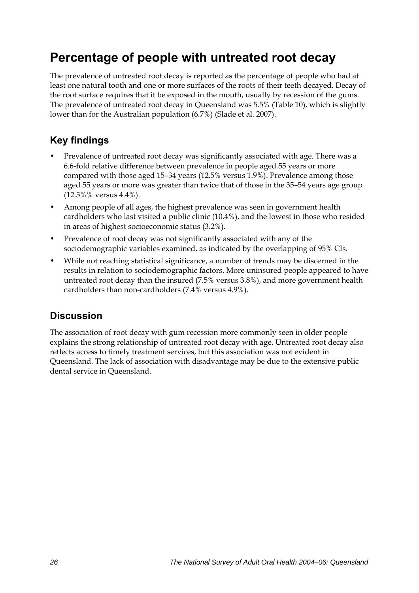# <span id="page-33-0"></span>**Percentage of people with untreated root decay**

The prevalence of untreated root decay is reported as the percentage of people who had at least one natural tooth and one or more surfaces of the roots of their teeth decayed. Decay of the root surface requires that it be exposed in the mouth, usually by recession of the gums. The prevalence of untreated root decay in Queensland was 5.5% ([Table 10](#page-34-0)), which is slightly lower than for the Australian population (6.7%) (Slade et al. 2007).

## **Key findings**

- Prevalence of untreated root decay was significantly associated with age. There was a 6.6-fold relative difference between prevalence in people aged 55 years or more compared with those aged 15–34 years (12.5% versus 1.9%). Prevalence among those aged 55 years or more was greater than twice that of those in the 35–54 years age group (12.5%% versus 4.4%).
- Among people of all ages, the highest prevalence was seen in government health cardholders who last visited a public clinic (10.4%), and the lowest in those who resided in areas of highest socioeconomic status (3.2%).
- Prevalence of root decay was not significantly associated with any of the sociodemographic variables examined, as indicated by the overlapping of 95% CIs.
- While not reaching statistical significance, a number of trends may be discerned in the results in relation to sociodemographic factors. More uninsured people appeared to have untreated root decay than the insured (7.5% versus 3.8%), and more government health cardholders than non-cardholders (7.4% versus 4.9%).

### **Discussion**

The association of root decay with gum recession more commonly seen in older people explains the strong relationship of untreated root decay with age. Untreated root decay also reflects access to timely treatment services, but this association was not evident in Queensland. The lack of association with disadvantage may be due to the extensive public dental service in Queensland.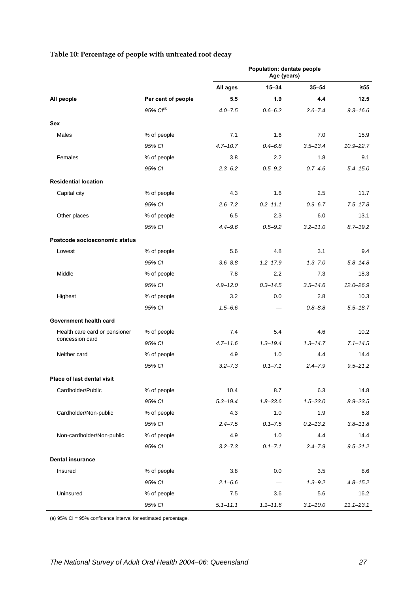<span id="page-34-0"></span>

|                                                  |                       | Population: dentate people<br>Age (years) |              |              |               |
|--------------------------------------------------|-----------------------|-------------------------------------------|--------------|--------------|---------------|
|                                                  |                       | All ages                                  | $15 - 34$    | $35 - 54$    | $\geq 55$     |
| All people                                       | Per cent of people    | 5.5                                       | 1.9          | 4.4          | 12.5          |
|                                                  | 95% Cl <sup>(a)</sup> | $4.0 - 7.5$                               | $0.6 - 6.2$  | $2.6 - 7.4$  | $9.3 - 16.6$  |
| <b>Sex</b>                                       |                       |                                           |              |              |               |
| Males                                            | % of people           | 7.1                                       | 1.6          | 7.0          | 15.9          |
|                                                  | 95% CI                | $4.7 - 10.7$                              | $0.4 - 6.8$  | $3.5 - 13.4$ | $10.9 - 22.7$ |
| Females                                          | % of people           | 3.8                                       | 2.2          | 1.8          | 9.1           |
|                                                  | 95% CI                | $2.3 - 6.2$                               | $0.5 - 9.2$  | $0.7 - 4.6$  | $5.4 - 15.0$  |
| <b>Residential location</b>                      |                       |                                           |              |              |               |
| Capital city                                     | % of people           | 4.3                                       | 1.6          | 2.5          | 11.7          |
|                                                  | 95% CI                | $2.6 - 7.2$                               | $0.2 - 11.1$ | $0.9 - 6.7$  | $7.5 - 17.8$  |
| Other places                                     | % of people           | 6.5                                       | 2.3          | 6.0          | 13.1          |
|                                                  | 95% CI                | $4.4 - 9.6$                               | $0.5 - 9.2$  | $3.2 - 11.0$ | $8.7 - 19.2$  |
| Postcode socioeconomic status                    |                       |                                           |              |              |               |
| Lowest                                           | % of people           | 5.6                                       | 4.8          | 3.1          | 9.4           |
|                                                  | 95% CI                | $3.6 - 8.8$                               | $1.2 - 17.9$ | $1.3 - 7.0$  | $5.8 - 14.8$  |
| Middle                                           | % of people           | 7.8                                       | 2.2          | 7.3          | 18.3          |
|                                                  | 95% CI                | $4.9 - 12.0$                              | $0.3 - 14.5$ | $3.5 - 14.6$ | $12.0 - 26.9$ |
| Highest                                          | % of people           | 3.2                                       | 0.0          | 2.8          | 10.3          |
|                                                  | 95% CI                | $1.5 - 6.6$                               |              | $0.8 - 8.8$  | $5.5 - 18.7$  |
| Government health card                           |                       |                                           |              |              |               |
| Health care card or pensioner<br>concession card | % of people           | 7.4                                       | 5.4          | 4.6          | 10.2          |
|                                                  | 95% CI                | $4.7 - 11.6$                              | $1.3 - 19.4$ | $1.3 - 14.7$ | $7.1 - 14.5$  |
| Neither card                                     | % of people           | 4.9                                       | 1.0          | 4.4          | 14.4          |
|                                                  | 95% CI                | $3.2 - 7.3$                               | $0.1 - 7.1$  | $2.4 - 7.9$  | $9.5 - 21.2$  |
| Place of last dental visit                       |                       |                                           |              |              |               |
| Cardholder/Public                                | % of people           | 10.4                                      | 8.7          | 6.3          | 14.8          |
|                                                  | 95% CI                | $5.3 - 19.4$                              | $1.8 - 33.6$ | $1.5 - 23.0$ | $8.9 - 23.5$  |
| Cardholder/Non-public                            | % of people           | 4.3                                       | 1.0          | 1.9          | 6.8           |
|                                                  | 95% CI                | $2.4 - 7.5$                               | $0.1 - 7.5$  | $0.2 - 13.2$ | $3.8 - 11.8$  |
| Non-cardholder/Non-public                        | % of people           | 4.9                                       | 1.0          | 4.4          | 14.4          |
|                                                  | 95% CI                | $3.2 - 7.3$                               | $0.1 - 7.1$  | $2.4 - 7.9$  | $9.5 - 21.2$  |
| <b>Dental insurance</b>                          |                       |                                           |              |              |               |
| Insured                                          | % of people           | 3.8                                       | 0.0          | 3.5          | 8.6           |
|                                                  | 95% CI                | $2.1 - 6.6$                               |              | $1.3 - 9.2$  | $4.8 - 15.2$  |
| Uninsured                                        | % of people           | 7.5                                       | 3.6          | 5.6          | 16.2          |
|                                                  | 95% CI                | $5.1 - 11.1$                              | $1.1 - 11.6$ | $3.1 - 10.0$ | $11.1 - 23.1$ |

#### **Table 10: Percentage of people with untreated root decay**

(a) 95% CI = 95% confidence interval for estimated percentage.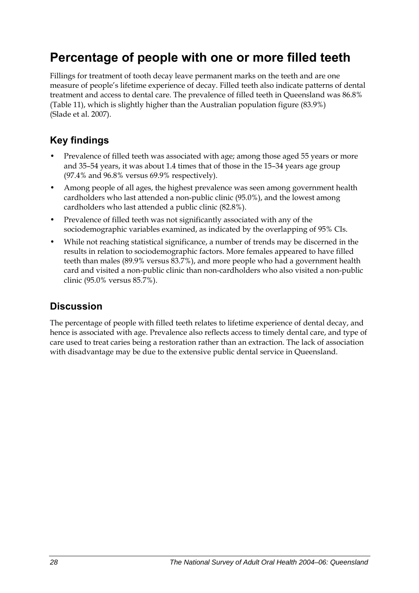# <span id="page-35-0"></span>**Percentage of people with one or more filled teeth**

Fillings for treatment of tooth decay leave permanent marks on the teeth and are one measure of people's lifetime experience of decay. Filled teeth also indicate patterns of dental treatment and access to dental care. The prevalence of filled teeth in Queensland was 86.8% ([Table 11](#page-36-0)), which is slightly higher than the Australian population figure (83.9%) (Slade et al. 2007).

## **Key findings**

- Prevalence of filled teeth was associated with age; among those aged 55 years or more and 35–54 years, it was about 1.4 times that of those in the 15–34 years age group (97.4% and 96.8% versus 69.9% respectively).
- Among people of all ages, the highest prevalence was seen among government health cardholders who last attended a non-public clinic (95.0%), and the lowest among cardholders who last attended a public clinic (82.8%).
- Prevalence of filled teeth was not significantly associated with any of the sociodemographic variables examined, as indicated by the overlapping of 95% CIs.
- While not reaching statistical significance, a number of trends may be discerned in the results in relation to sociodemographic factors. More females appeared to have filled teeth than males (89.9% versus 83.7%), and more people who had a government health card and visited a non-public clinic than non-cardholders who also visited a non-public clinic (95.0% versus 85.7%).

### **Discussion**

The percentage of people with filled teeth relates to lifetime experience of dental decay, and hence is associated with age. Prevalence also reflects access to timely dental care, and type of care used to treat caries being a restoration rather than an extraction. The lack of association with disadvantage may be due to the extensive public dental service in Queensland.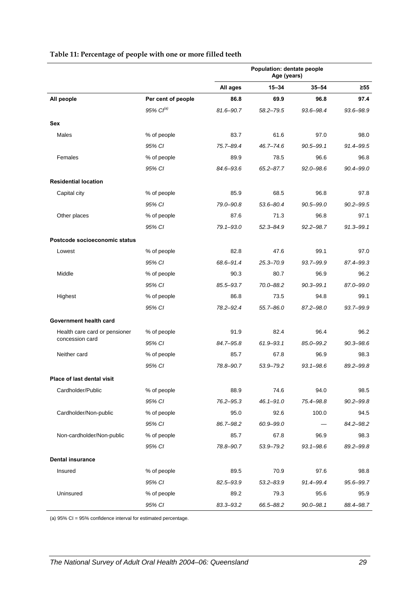|                               |                       | Population: dentate people<br>Age (years) |               |               |               |
|-------------------------------|-----------------------|-------------------------------------------|---------------|---------------|---------------|
|                               |                       | All ages                                  | $15 - 34$     | $35 - 54$     | $\geq 55$     |
| All people                    | Per cent of people    | 86.8                                      | 69.9          | 96.8          | 97.4          |
|                               | 95% Cl <sup>(a)</sup> | 81.6-90.7                                 | $58.2 - 79.5$ | 93.6-98.4     | 93.6-98.9     |
| <b>Sex</b>                    |                       |                                           |               |               |               |
| Males                         | % of people           | 83.7                                      | 61.6          | 97.0          | 98.0          |
|                               | 95% CI                | 75.7-89.4                                 | $46.7 - 74.6$ | $90.5 - 99.1$ | 91.4-99.5     |
| Females                       | % of people           | 89.9                                      | 78.5          | 96.6          | 96.8          |
|                               | 95% CI                | 84.6-93.6                                 | $65.2 - 87.7$ | $92.0 - 98.6$ | 90.4-99.0     |
| <b>Residential location</b>   |                       |                                           |               |               |               |
| Capital city                  | % of people           | 85.9                                      | 68.5          | 96.8          | 97.8          |
|                               | 95% CI                | 79.0-90.8                                 | 53.6-80.4     | $90.5 - 99.0$ | $90.2 - 99.5$ |
| Other places                  | % of people           | 87.6                                      | 71.3          | 96.8          | 97.1          |
|                               | 95% CI                | $79.1 - 93.0$                             | $52.3 - 84.9$ | $92.2 - 98.7$ | 91.3-99.1     |
| Postcode socioeconomic status |                       |                                           |               |               |               |
| Lowest                        | % of people           | 82.8                                      | 47.6          | 99.1          | 97.0          |
|                               | 95% CI                | 68.6-91.4                                 | $25.3 - 70.9$ | 93.7-99.9     | 87.4-99.3     |
| Middle                        | % of people           | 90.3                                      | 80.7          | 96.9          | 96.2          |
|                               | 95% CI                | 85.5-93.7                                 | 70.0-88.2     | $90.3 - 99.1$ | 87.0-99.0     |
| Highest                       | % of people           | 86.8                                      | 73.5          | 94.8          | 99.1          |
|                               | 95% CI                | 78.2-92.4                                 | $55.7 - 86.0$ | 87.2-98.0     | 93.7-99.9     |
| Government health card        |                       |                                           |               |               |               |
| Health care card or pensioner | % of people           | 91.9                                      | 82.4          | 96.4          | 96.2          |
| concession card               | 95% CI                | 84.7-95.8                                 | $61.9 - 93.1$ | 85.0-99.2     | $90.3 - 98.6$ |
| Neither card                  | % of people           | 85.7                                      | 67.8          | 96.9          | 98.3          |
|                               | 95% CI                | 78.8-90.7                                 | 53.9-79.2     | $93.1 - 98.6$ | 89.2-99.8     |
| Place of last dental visit    |                       |                                           |               |               |               |
| Cardholder/Public             | % of people           | 88.9                                      | 74.6          | 94.0          | 98.5          |
|                               | 95% CI                | 76.2-95.3                                 | $46.1 - 91.0$ | 75.4-98.8     | $90.2 - 99.8$ |
| Cardholder/Non-public         | % of people           | 95.0                                      | 92.6          | 100.0         | 94.5          |
|                               | 95% CI                | 86.7-98.2                                 | 60.9-99.0     |               | 84.2-98.2     |
| Non-cardholder/Non-public     | % of people           | 85.7                                      | 67.8          | 96.9          | 98.3          |
|                               | 95% CI                | 78.8-90.7                                 | 53.9-79.2     | $93.1 - 98.6$ | 89.2-99.8     |
| <b>Dental insurance</b>       |                       |                                           |               |               |               |
| Insured                       | % of people           | 89.5                                      | 70.9          | 97.6          | 98.8          |
|                               | 95% CI                | 82.5-93.9                                 | $53.2 - 83.9$ | 91.4-99.4     | 95.6-99.7     |
| Uninsured                     | % of people           | 89.2                                      | 79.3          | 95.6          | 95.9          |
|                               | 95% CI                | 83.3-93.2                                 | 66.5-88.2     | $90.0 - 98.1$ | 88.4-98.7     |

#### **Table 11: Percentage of people with one or more filled teeth**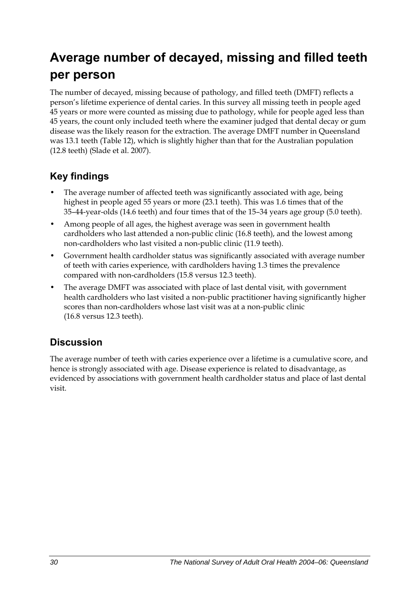# **Average number of decayed, missing and filled teeth per person**

The number of decayed, missing because of pathology, and filled teeth (DMFT) reflects a person's lifetime experience of dental caries. In this survey all missing teeth in people aged 45 years or more were counted as missing due to pathology, while for people aged less than 45 years, the count only included teeth where the examiner judged that dental decay or gum disease was the likely reason for the extraction. The average DMFT number in Queensland was 13.1 teeth ([Table 12](#page-38-0)), which is slightly higher than that for the Australian population (12.8 teeth) (Slade et al. 2007).

## **Key findings**

- The average number of affected teeth was significantly associated with age, being highest in people aged 55 years or more (23.1 teeth). This was 1.6 times that of the 35–44-year-olds (14.6 teeth) and four times that of the 15–34 years age group (5.0 teeth).
- Among people of all ages, the highest average was seen in government health cardholders who last attended a non-public clinic (16.8 teeth), and the lowest among non-cardholders who last visited a non-public clinic (11.9 teeth).
- Government health cardholder status was significantly associated with average number of teeth with caries experience, with cardholders having 1.3 times the prevalence compared with non-cardholders (15.8 versus 12.3 teeth).
- The average DMFT was associated with place of last dental visit, with government health cardholders who last visited a non-public practitioner having significantly higher scores than non-cardholders whose last visit was at a non-public clinic (16.8 versus 12.3 teeth).

## **Discussion**

The average number of teeth with caries experience over a lifetime is a cumulative score, and hence is strongly associated with age. Disease experience is related to disadvantage, as evidenced by associations with government health cardholder status and place of last dental visit.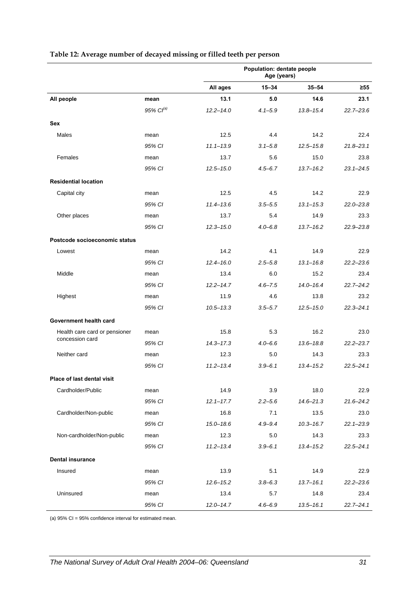<span id="page-38-0"></span>

|                               |                   | Population: dentate people<br>Age (years) |             |               |               |
|-------------------------------|-------------------|-------------------------------------------|-------------|---------------|---------------|
|                               |                   | All ages                                  | $15 - 34$   | $35 - 54$     | $\geq 55$     |
| All people                    | mean              | 13.1                                      | 5.0         | 14.6          | 23.1          |
|                               | $95\%$ $Cl^{(a)}$ | $12.2 - 14.0$                             | $4.1 - 5.9$ | $13.8 - 15.4$ | $22.7 - 23.6$ |
| <b>Sex</b>                    |                   |                                           |             |               |               |
| Males                         | mean              | 12.5                                      | 4.4         | 14.2          | 22.4          |
|                               | 95% CI            | $11.1 - 13.9$                             | $3.1 - 5.8$ | $12.5 - 15.8$ | $21.8 - 23.1$ |
| Females                       | mean              | 13.7                                      | 5.6         | 15.0          | 23.8          |
|                               | 95% CI            | $12.5 - 15.0$                             | $4.5 - 6.7$ | $13.7 - 16.2$ | $23.1 - 24.5$ |
| <b>Residential location</b>   |                   |                                           |             |               |               |
| Capital city                  | mean              | 12.5                                      | 4.5         | 14.2          | 22.9          |
|                               | 95% CI            | $11.4 - 13.6$                             | $3.5 - 5.5$ | $13.1 - 15.3$ | $22.0 - 23.8$ |
| Other places                  | mean              | 13.7                                      | 5.4         | 14.9          | 23.3          |
|                               | 95% CI            | $12.3 - 15.0$                             | $4.0 - 6.8$ | $13.7 - 16.2$ | $22.9 - 23.8$ |
| Postcode socioeconomic status |                   |                                           |             |               |               |
| Lowest                        | mean              | 14.2                                      | 4.1         | 14.9          | 22.9          |
|                               | 95% CI            | $12.4 - 16.0$                             | $2.5 - 5.8$ | $13.1 - 16.8$ | $22.2 - 23.6$ |
| Middle                        | mean              | 13.4                                      | 6.0         | 15.2          | 23.4          |
|                               | 95% CI            | $12.2 - 14.7$                             | $4.6 - 7.5$ | $14.0 - 16.4$ | $22.7 - 24.2$ |
| Highest                       | mean              | 11.9                                      | 4.6         | 13.8          | 23.2          |
|                               | 95% CI            | $10.5 - 13.3$                             | $3.5 - 5.7$ | $12.5 - 15.0$ | $22.3 - 24.1$ |
| Government health card        |                   |                                           |             |               |               |
| Health care card or pensioner | mean              | 15.8                                      | 5.3         | 16.2          | 23.0          |
| concession card               | 95% CI            | $14.3 - 17.3$                             | $4.0 - 6.6$ | $13.6 - 18.8$ | $22.2 - 23.7$ |
| Neither card                  | mean              | 12.3                                      | 5.0         | 14.3          | 23.3          |
|                               | 95% CI            | $11.2 - 13.4$                             | $3.9 - 6.1$ | $13.4 - 15.2$ | $22.5 - 24.1$ |
| Place of last dental visit    |                   |                                           |             |               |               |
| Cardholder/Public             | mean              | 14.9                                      | 3.9         | 18.0          | 22.9          |
|                               | 95% CI            | $12.1 - 17.7$                             | $2.2 - 5.6$ | $14.6 - 21.3$ | $21.6 - 24.2$ |
| Cardholder/Non-public         | mean              | 16.8                                      | 7.1         | 13.5          | 23.0          |
|                               | 95% CI            | $15.0 - 18.6$                             | $4.9 - 9.4$ | $10.3 - 16.7$ | $22.1 - 23.9$ |
| Non-cardholder/Non-public     | mean              | 12.3                                      | 5.0         | 14.3          | 23.3          |
|                               | 95% CI            | $11.2 - 13.4$                             | $3.9 - 6.1$ | $13.4 - 15.2$ | $22.5 - 24.1$ |
| <b>Dental insurance</b>       |                   |                                           |             |               |               |
| Insured                       | mean              | 13.9                                      | 5.1         | 14.9          | 22.9          |
|                               | 95% CI            | $12.6 - 15.2$                             | $3.8 - 6.3$ | $13.7 - 16.1$ | $22.2 - 23.6$ |
| Uninsured                     | mean              | 13.4                                      | 5.7         | 14.8          | 23.4          |
|                               | 95% CI            | $12.0 - 14.7$                             | $4.6 - 6.9$ | $13.5 - 16.1$ | $22.7 - 24.1$ |

#### **Table 12: Average number of decayed missing or filled teeth per person**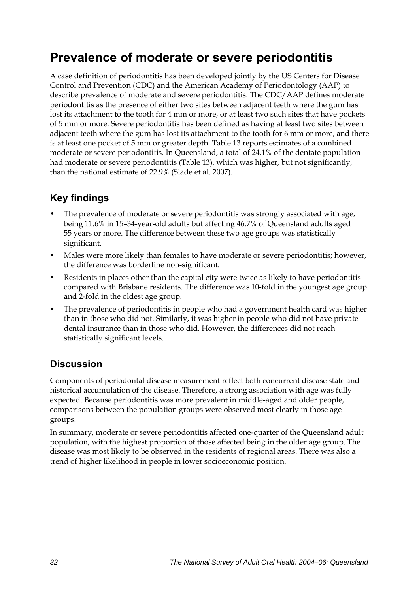## **Prevalence of moderate or severe periodontitis**

A case definition of periodontitis has been developed jointly by the US Centers for Disease Control and Prevention (CDC) and the American Academy of Periodontology (AAP) to describe prevalence of moderate and severe periodontitis. The CDC/AAP defines moderate periodontitis as the presence of either two sites between adjacent teeth where the gum has lost its attachment to the tooth for 4 mm or more, or at least two such sites that have pockets of 5 mm or more. Severe periodontitis has been defined as having at least two sites between adjacent teeth where the gum has lost its attachment to the tooth for 6 mm or more, and there is at least one pocket of 5 mm or greater depth. Table 13 reports estimates of a combined moderate or severe periodontitis. In Queensland, a total of 24.1% of the dentate population had moderate or severe periodontitis ([Table 13](#page-40-0)), which was higher, but not significantly, than the national estimate of 22.9% (Slade et al. 2007).

## **Key findings**

- The prevalence of moderate or severe periodontitis was strongly associated with age, being 11.6% in 15–34-year-old adults but affecting 46.7% of Queensland adults aged 55 years or more. The difference between these two age groups was statistically significant.
- Males were more likely than females to have moderate or severe periodontitis; however, the difference was borderline non-significant.
- Residents in places other than the capital city were twice as likely to have periodontitis compared with Brisbane residents. The difference was 10-fold in the youngest age group and 2-fold in the oldest age group.
- The prevalence of periodontitis in people who had a government health card was higher than in those who did not. Similarly, it was higher in people who did not have private dental insurance than in those who did. However, the differences did not reach statistically significant levels.

## **Discussion**

Components of periodontal disease measurement reflect both concurrent disease state and historical accumulation of the disease. Therefore, a strong association with age was fully expected. Because periodontitis was more prevalent in middle-aged and older people, comparisons between the population groups were observed most clearly in those age groups.

In summary, moderate or severe periodontitis affected one-quarter of the Queensland adult population, with the highest proportion of those affected being in the older age group. The disease was most likely to be observed in the residents of regional areas. There was also a trend of higher likelihood in people in lower socioeconomic position.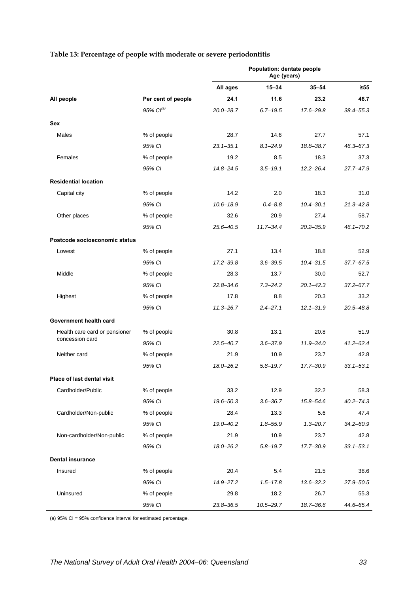<span id="page-40-0"></span>

|                               |                       | Population: dentate people<br>Age (years) |               |               |               |
|-------------------------------|-----------------------|-------------------------------------------|---------------|---------------|---------------|
|                               |                       | All ages                                  | $15 - 34$     | $35 - 54$     | $\geq 55$     |
| All people                    | Per cent of people    | 24.1                                      | 11.6          | 23.2          | 46.7          |
|                               | 95% Cl <sup>(a)</sup> | $20.0 - 28.7$                             | $6.7 - 19.5$  | 17.6-29.8     | 38.4-55.3     |
| Sex                           |                       |                                           |               |               |               |
| Males                         | % of people           | 28.7                                      | 14.6          | 27.7          | 57.1          |
|                               | 95% CI                | $23.1 - 35.1$                             | $8.1 - 24.9$  | 18.8-38.7     | $46.3 - 67.3$ |
| Females                       | % of people           | 19.2                                      | 8.5           | 18.3          | 37.3          |
|                               | 95% CI                | $14.8 - 24.5$                             | $3.5 - 19.1$  | $12.2 - 26.4$ | $27.7 - 47.9$ |
| <b>Residential location</b>   |                       |                                           |               |               |               |
| Capital city                  | % of people           | 14.2                                      | 2.0           | 18.3          | 31.0          |
|                               | 95% CI                | $10.6 - 18.9$                             | $0.4 - 8.8$   | $10.4 - 30.1$ | $21.3 - 42.8$ |
| Other places                  | % of people           | 32.6                                      | 20.9          | 27.4          | 58.7          |
|                               | 95% CI                | $25.6 - 40.5$                             | $11.7 - 34.4$ | $20.2 - 35.9$ | $46.1 - 70.2$ |
| Postcode socioeconomic status |                       |                                           |               |               |               |
| Lowest                        | % of people           | 27.1                                      | 13.4          | 18.8          | 52.9          |
|                               | 95% CI                | $17.2 - 39.8$                             | $3.6 - 39.5$  | $10.4 - 31.5$ | 37.7-67.5     |
| Middle                        | % of people           | 28.3                                      | 13.7          | 30.0          | 52.7          |
|                               | 95% CI                | $22.8 - 34.6$                             | $7.3 - 24.2$  | $20.1 - 42.3$ | $37.2 - 67.7$ |
| Highest                       | % of people           | 17.8                                      | 8.8           | 20.3          | 33.2          |
|                               | 95% CI                | $11.3 - 26.7$                             | $2.4 - 27.1$  | $12.1 - 31.9$ | $20.5 - 48.8$ |
| Government health card        |                       |                                           |               |               |               |
| Health care card or pensioner | % of people           | 30.8                                      | 13.1          | 20.8          | 51.9          |
| concession card               | 95% CI                | $22.5 - 40.7$                             | $3.6 - 37.9$  | $11.9 - 34.0$ | $41.2 - 62.4$ |
| Neither card                  | % of people           | 21.9                                      | 10.9          | 23.7          | 42.8          |
|                               | 95% CI                | 18.0-26.2                                 | $5.8 - 19.7$  | 17.7-30.9     | $33.1 - 53.1$ |
| Place of last dental visit    |                       |                                           |               |               |               |
| Cardholder/Public             | % of people           | 33.2                                      | 12.9          | 32.2          | 58.3          |
|                               | 95% CI                | 19.6-50.3                                 | $3.6 - 36.7$  | $15.8 - 54.6$ | $40.2 - 74.3$ |
| Cardholder/Non-public         | % of people           | 28.4                                      | 13.3          | 5.6           | 47.4          |
|                               | 95% CI                | 19.0-40.2                                 | $1.8 - 55.9$  | $1.3 - 20.7$  | $34.2 - 60.9$ |
| Non-cardholder/Non-public     | % of people           | 21.9                                      | 10.9          | 23.7          | 42.8          |
|                               | 95% CI                | 18.0-26.2                                 | $5.8 - 19.7$  | 17.7-30.9     | $33.1 - 53.1$ |
| <b>Dental insurance</b>       |                       |                                           |               |               |               |
| Insured                       | % of people           | 20.4                                      | 5.4           | 21.5          | 38.6          |
|                               | 95% CI                | 14.9-27.2                                 | $1.5 - 17.8$  | $13.6 - 32.2$ | 27.9-50.5     |
| Uninsured                     | % of people           | 29.8                                      | 18.2          | 26.7          | 55.3          |
|                               | 95% CI                | $23.8 - 36.5$                             | $10.5 - 29.7$ | 18.7-36.6     | 44.6-65.4     |

#### **Table 13: Percentage of people with moderate or severe periodontitis**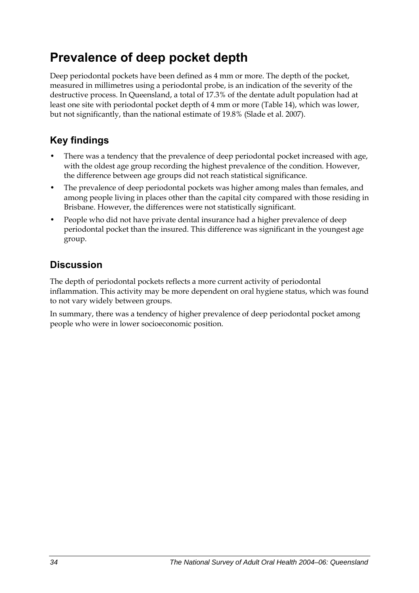## **Prevalence of deep pocket depth**

Deep periodontal pockets have been defined as 4 mm or more. The depth of the pocket, measured in millimetres using a periodontal probe, is an indication of the severity of the destructive process. In Queensland, a total of 17.3% of the dentate adult population had at least one site with periodontal pocket depth of 4 mm or more ([Table 14](#page-42-0)), which was lower, but not significantly, than the national estimate of 19.8% (Slade et al. 2007).

## **Key findings**

- There was a tendency that the prevalence of deep periodontal pocket increased with age, with the oldest age group recording the highest prevalence of the condition. However, the difference between age groups did not reach statistical significance.
- The prevalence of deep periodontal pockets was higher among males than females, and among people living in places other than the capital city compared with those residing in Brisbane. However, the differences were not statistically significant.
- People who did not have private dental insurance had a higher prevalence of deep periodontal pocket than the insured. This difference was significant in the youngest age group.

## **Discussion**

The depth of periodontal pockets reflects a more current activity of periodontal inflammation. This activity may be more dependent on oral hygiene status, which was found to not vary widely between groups.

In summary, there was a tendency of higher prevalence of deep periodontal pocket among people who were in lower socioeconomic position.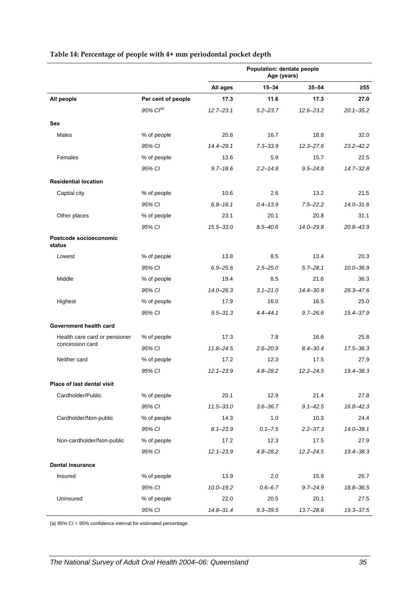<span id="page-42-0"></span>

|                                  |                       | Population: dentate people<br>Age (years) |              |               |               |
|----------------------------------|-----------------------|-------------------------------------------|--------------|---------------|---------------|
|                                  |                       | All ages                                  | $15 - 34$    | $35 - 54$     | $\geq 55$     |
| All people                       | Per cent of people    | 17.3                                      | 11.6         | 17.3          | 27.0          |
|                                  | 95% Cl <sup>(a)</sup> | $12.7 - 23.1$                             | $5.2 - 23.7$ | $12.6 - 23.2$ | $20.1 - 35.2$ |
| Sex                              |                       |                                           |              |               |               |
| Males                            | % of people           | 20.8                                      | 16.7         | 18.8          | 32.0          |
|                                  | 95% CI                | 14.4-29.1                                 | $7.3 - 33.9$ | $12.3 - 27.6$ | $23.2 - 42.2$ |
| Females                          | % of people           | 13.6                                      | 5.9          | 15.7          | 22.5          |
|                                  | 95% CI                | $9.7 - 18.6$                              | $2.2 - 14.8$ | $9.5 - 24.8$  | $14.7 - 32.8$ |
| <b>Residential location</b>      |                       |                                           |              |               |               |
| Capital city                     | % of people           | 10.6                                      | 2.6          | 13.2          | 21.5          |
|                                  | 95% CI                | $6.8 - 16.1$                              | $0.4 - 13.9$ | $7.5 - 22.2$  | $14.0 - 31.6$ |
| Other places                     | % of people           | 23.1                                      | 20.1         | 20.8          | 31.1          |
|                                  | 95% CI                | $15.5 - 33.0$                             | $8.5 - 40.6$ | $14.0 - 29.8$ | $20.8 - 43.9$ |
| Postcode socioeconomic<br>status |                       |                                           |              |               |               |
| Lowest                           | % of people           | 13.8                                      | 8.5          | 13.4          | 20.3          |
|                                  | 95% CI                | $6.9 - 25.6$                              | $2.5 - 25.0$ | $5.7 - 28.1$  | $10.0 - 36.9$ |
| Middle                           | % of people           | 19.4                                      | 8.5          | 21.6          | 36.3          |
|                                  | 95% CI                | $14.0 - 26.3$                             | $3.1 - 21.0$ | 14.4-30.9     | 26.3-47.6     |
| Highest                          | % of people           | 17.9                                      | 16.0         | 16.5          | 25.0          |
|                                  | 95% CI                | $9.5 - 31.3$                              | $4.4 - 44.1$ | $9.7 - 26.6$  | 15.4-37.9     |
| Government health card           |                       |                                           |              |               |               |
| Health care card or pensioner    | % of people           | 17.3                                      | 7.8          | 16.6          | 25.8          |
| concession card                  | 95% CI                | $11.8 - 24.5$                             | $2.6 - 20.9$ | $8.4 - 30.4$  | $17.5 - 36.3$ |
| Neither card                     | % of people           | 17.2                                      | 12.3         | 17.5          | 27.9          |
|                                  | 95% CI                | $12.1 - 23.9$                             | $4.8 - 28.2$ | $12.2 - 24.5$ | 19.4-38.3     |
| Place of last dental visit       |                       |                                           |              |               |               |
| Cardholder/Public                | % of people           | 20.1                                      | 12.9         | 21.4          | 27.8          |
|                                  | 95% CI                | $11.5 - 33.0$                             | $3.6 - 36.7$ | $9.1 - 42.5$  | $16.8 - 42.3$ |
| Cardholder/Non-public            | % of people           | 14.3                                      | 1.0          | 10.3          | 24.4          |
|                                  | 95% CI                | $8.1 - 23.9$                              | $0.1 - 7.5$  | $2.2 - 37.3$  | $14.0 - 39.1$ |
| Non-cardholder/Non-public        | % of people           | 17.2                                      | 12.3         | 17.5          | 27.9          |
|                                  | 95% CI                | $12.1 - 23.9$                             | $4.8 - 28.2$ | $12.2 - 24.5$ | 19.4-38.3     |
| <b>Dental insurance</b>          |                       |                                           |              |               |               |
| Insured                          | % of people           | 13.9                                      | 2.0          | 15.9          | 26.7          |
|                                  | 95% CI                | $10.0 - 19.2$                             | $0.6 - 6.7$  | $9.7 - 24.9$  | 18.8-36.5     |
| Uninsured                        | % of people           | 22.0                                      | 20.5         | 20.1          | 27.5          |
|                                  | 95% CI                | $14.8 - 31.4$                             | $9.3 - 39.5$ | $13.7 - 28.6$ | 19.3-37.5     |

#### **Table 14: Percentage of people with 4+ mm periodontal pocket depth**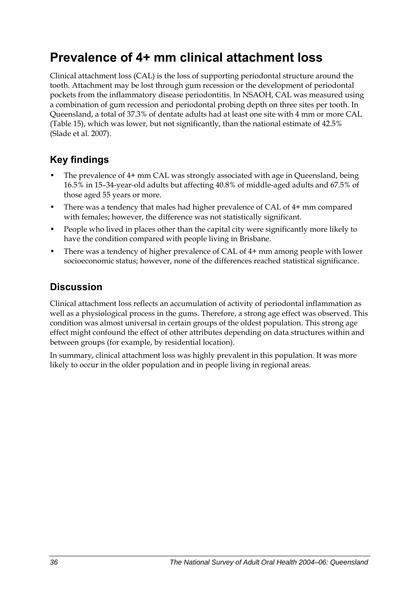## **Prevalence of 4+ mm clinical attachment loss**

Clinical attachment loss (CAL) is the loss of supporting periodontal structure around the tooth. Attachment may be lost through gum recession or the development of periodontal pockets from the inflammatory disease periodontitis. In NSAOH, CAL was measured using a combination of gum recession and periodontal probing depth on three sites per tooth. In Queensland, a total of 37.3% of dentate adults had at least one site with 4 mm or more CAL ([Table 15](#page-44-0)), which was lower, but not significantly, than the national estimate of 42.5% (Slade et al. 2007).

## **Key findings**

- The prevalence of 4+ mm CAL was strongly associated with age in Queensland, being 16.5% in 15–34-year-old adults but affecting 40.8% of middle-aged adults and 67.5% of those aged 55 years or more.
- There was a tendency that males had higher prevalence of CAL of 4+ mm compared with females; however, the difference was not statistically significant.
- People who lived in places other than the capital city were significantly more likely to have the condition compared with people living in Brisbane.
- There was a tendency of higher prevalence of CAL of 4+ mm among people with lower socioeconomic status; however, none of the differences reached statistical significance.

## **Discussion**

Clinical attachment loss reflects an accumulation of activity of periodontal inflammation as well as a physiological process in the gums. Therefore, a strong age effect was observed. This condition was almost universal in certain groups of the oldest population. This strong age effect might confound the effect of other attributes depending on data structures within and between groups (for example, by residential location).

In summary, clinical attachment loss was highly prevalent in this population. It was more likely to occur in the older population and in people living in regional areas.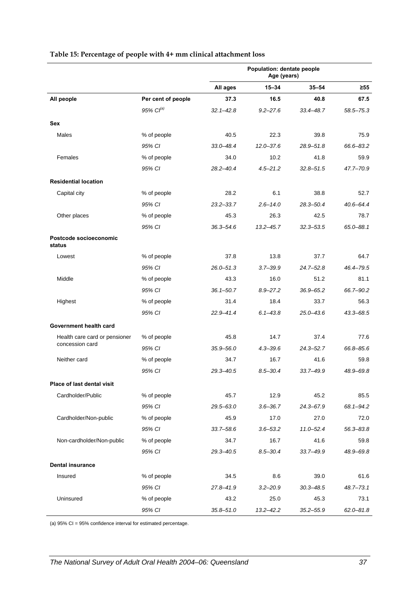<span id="page-44-0"></span>

|                                  |                       | Population: dentate people<br>Age (years) |               |               |               |
|----------------------------------|-----------------------|-------------------------------------------|---------------|---------------|---------------|
|                                  |                       | All ages                                  | $15 - 34$     | $35 - 54$     | ≥55           |
| All people                       | Per cent of people    | 37.3                                      | 16.5          | 40.8          | 67.5          |
|                                  | 95% Cl <sup>(a)</sup> | $32.1 - 42.8$                             | $9.2 - 27.6$  | $33.4 - 48.7$ | 58.5-75.3     |
| Sex                              |                       |                                           |               |               |               |
| Males                            | % of people           | 40.5                                      | 22.3          | 39.8          | 75.9          |
|                                  | 95% CI                | 33.0-48.4                                 | $12.0 - 37.6$ | 28.9-51.8     | 66.6-83.2     |
| Females                          | % of people           | 34.0                                      | 10.2          | 41.8          | 59.9          |
|                                  | 95% CI                | $28.2 - 40.4$                             | $4.5 - 21.2$  | $32.8 - 51.5$ | 47.7-70.9     |
| <b>Residential location</b>      |                       |                                           |               |               |               |
| Capital city                     | % of people           | 28.2                                      | 6.1           | 38.8          | 52.7          |
|                                  | 95% CI                | $23.2 - 33.7$                             | $2.6 - 14.0$  | 28.3-50.4     | $40.6 - 64.4$ |
| Other places                     | % of people           | 45.3                                      | 26.3          | 42.5          | 78.7          |
|                                  | 95% CI                | $36.3 - 54.6$                             | $13.2 - 45.7$ | $32.3 - 53.5$ | 65.0-88.1     |
| Postcode socioeconomic<br>status |                       |                                           |               |               |               |
| Lowest                           | % of people           | 37.8                                      | 13.8          | 37.7          | 64.7          |
|                                  | 95% CI                | $26.0 - 51.3$                             | $3.7 - 39.9$  | $24.7 - 52.8$ | 46.4-79.5     |
| Middle                           | % of people           | 43.3                                      | 16.0          | 51.2          | 81.1          |
|                                  | 95% CI                | $36.1 - 50.7$                             | $8.9 - 27.2$  | $36.9 - 65.2$ | 66.7-90.2     |
| Highest                          | % of people           | 31.4                                      | 18.4          | 33.7          | 56.3          |
|                                  | 95% CI                | $22.9 - 41.4$                             | $6.1 - 43.8$  | $25.0 - 43.6$ | 43.3-68.5     |
| Government health card           |                       |                                           |               |               |               |
| Health care card or pensioner    | % of people           | 45.8                                      | 14.7          | 37.4          | 77.6          |
| concession card                  | 95% CI                | $35.9 - 56.0$                             | $4.3 - 39.6$  | $24.3 - 52.7$ | 66.8-85.6     |
| Neither card                     | % of people           | 34.7                                      | 16.7          | 41.6          | 59.8          |
|                                  | 95% CI                | $29.3 - 40.5$                             | $8.5 - 30.4$  | 33.7-49.9     | 48.9-69.8     |
| Place of last dental visit       |                       |                                           |               |               |               |
| Cardholder/Public                | % of people           | 45.7                                      | 12.9          | 45.2          | 85.5          |
|                                  | 95% CI                | 29.5-63.0                                 | $3.6 - 36.7$  | $24.3 - 67.9$ | 68.1-94.2     |
| Cardholder/Non-public            | % of people           | 45.9                                      | 17.0          | 27.0          | 72.0          |
|                                  | 95% CI                | $33.7 - 58.6$                             | $3.6 - 53.2$  | $11.0 - 52.4$ | 56.3-83.8     |
| Non-cardholder/Non-public        | % of people           | 34.7                                      | 16.7          | 41.6          | 59.8          |
|                                  | 95% CI                | 29.3-40.5                                 | $8.5 - 30.4$  | $33.7 - 49.9$ | 48.9-69.8     |
| <b>Dental insurance</b>          |                       |                                           |               |               |               |
| Insured                          | % of people           | 34.5                                      | 8.6           | 39.0          | 61.6          |
|                                  | 95% CI                | 27.8-41.9                                 | $3.2 - 20.9$  | $30.3 - 48.5$ | $48.7 - 73.1$ |
| Uninsured                        | % of people           | 43.2                                      | 25.0          | 45.3          | 73.1          |
|                                  | 95% CI                | $35.8 - 51.0$                             | $13.2 - 42.2$ | $35.2 - 55.9$ | $62.0 - 81.8$ |

#### **Table 15: Percentage of people with 4+ mm clinical attachment loss**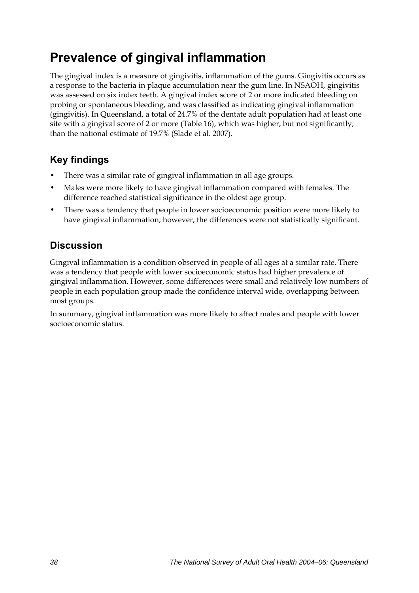## **Prevalence of gingival inflammation**

The gingival index is a measure of gingivitis, inflammation of the gums. Gingivitis occurs as a response to the bacteria in plaque accumulation near the gum line. In NSAOH, gingivitis was assessed on six index teeth. A gingival index score of 2 or more indicated bleeding on probing or spontaneous bleeding, and was classified as indicating gingival inflammation (gingivitis). In Queensland, a total of 24.7% of the dentate adult population had at least one site with a gingival score of 2 or more ([Table 16](#page-46-0)), which was higher, but not significantly, than the national estimate of 19.7% (Slade et al. 2007).

## **Key findings**

- There was a similar rate of gingival inflammation in all age groups.
- Males were more likely to have gingival inflammation compared with females. The difference reached statistical significance in the oldest age group.
- There was a tendency that people in lower socioeconomic position were more likely to have gingival inflammation; however, the differences were not statistically significant.

## **Discussion**

Gingival inflammation is a condition observed in people of all ages at a similar rate. There was a tendency that people with lower socioeconomic status had higher prevalence of gingival inflammation. However, some differences were small and relatively low numbers of people in each population group made the confidence interval wide, overlapping between most groups.

In summary, gingival inflammation was more likely to affect males and people with lower socioeconomic status.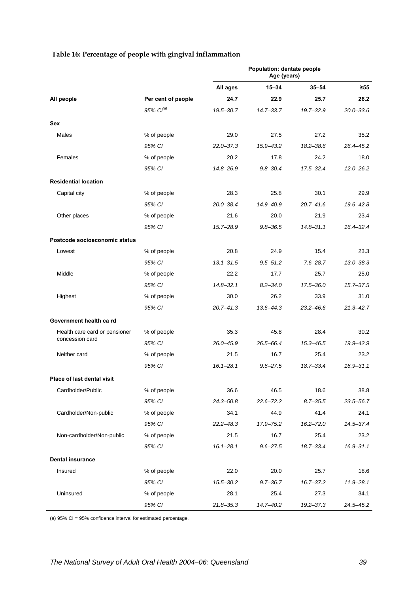<span id="page-46-0"></span>

|                               |                       | Population: dentate people<br>Age (years) |               |               |               |
|-------------------------------|-----------------------|-------------------------------------------|---------------|---------------|---------------|
|                               |                       | All ages                                  | $15 - 34$     | $35 - 54$     | $\geq 55$     |
| All people                    | Per cent of people    | 24.7                                      | 22.9          | 25.7          | 26.2          |
|                               | 95% Cl <sup>(a)</sup> | 19.5-30.7                                 | $14.7 - 33.7$ | 19.7-32.9     | $20.0 - 33.6$ |
| Sex                           |                       |                                           |               |               |               |
| Males                         | % of people           | 29.0                                      | 27.5          | 27.2          | 35.2          |
|                               | 95% CI                | $22.0 - 37.3$                             | 15.9-43.2     | $18.2 - 38.6$ | 26.4-45.2     |
| Females                       | % of people           | 20.2                                      | 17.8          | 24.2          | 18.0          |
|                               | 95% CI                | 14.8-26.9                                 | $9.8 - 30.4$  | $17.5 - 32.4$ | $12.0 - 26.2$ |
| <b>Residential location</b>   |                       |                                           |               |               |               |
| Capital city                  | % of people           | 28.3                                      | 25.8          | 30.1          | 29.9          |
|                               | 95% CI                | $20.0 - 38.4$                             | 14.9-40.9     | $20.7 - 41.6$ | $19.6 - 42.8$ |
| Other places                  | % of people           | 21.6                                      | 20.0          | 21.9          | 23.4          |
|                               | 95% CI                | 15.7-28.9                                 | $9.8 - 36.5$  | $14.8 - 31.1$ | $16.4 - 32.4$ |
| Postcode socioeconomic status |                       |                                           |               |               |               |
| Lowest                        | % of people           | 20.8                                      | 24.9          | 15.4          | 23.3          |
|                               | 95% CI                | $13.1 - 31.5$                             | $9.5 - 51.2$  | $7.6 - 28.7$  | $13.0 - 38.3$ |
| Middle                        | % of people           | 22.2                                      | 17.7          | 25.7          | 25.0          |
|                               | 95% CI                | $14.8 - 32.1$                             | $8.2 - 34.0$  | 17.5-36.0     | $15.7 - 37.5$ |
| Highest                       | % of people           | 30.0                                      | 26.2          | 33.9          | 31.0          |
|                               | 95% CI                | $20.7 - 41.3$                             | 13.6–44.3     | $23.2 - 46.6$ | 21.3-42.7     |
| Government health ca rd       |                       |                                           |               |               |               |
| Health care card or pensioner | % of people           | 35.3                                      | 45.8          | 28.4          | 30.2          |
| concession card               | 95% CI                | $26.0 - 45.9$                             | 26.5-66.4     | $15.3 - 46.5$ | 19.9-42.9     |
| Neither card                  | % of people           | 21.5                                      | 16.7          | 25.4          | 23.2          |
|                               | 95% CI                | $16.1 - 28.1$                             | $9.6 - 27.5$  | 18.7-33.4     | $16.9 - 31.1$ |
| Place of last dental visit    |                       |                                           |               |               |               |
| Cardholder/Public             | % of people           | 36.6                                      | 46.5          | 18.6          | 38.8          |
|                               | 95% CI                | $24.3 - 50.8$                             | $22.6 - 72.2$ | $8.7 - 35.5$  | 23.5-56.7     |
| Cardholder/Non-public         | % of people           | 34.1                                      | 44.9          | 41.4          | 24.1          |
|                               | 95% CI                | $22.2 - 48.3$                             | 17.9-75.2     | $16.2 - 72.0$ | $14.5 - 37.4$ |
| Non-cardholder/Non-public     | % of people           | 21.5                                      | 16.7          | 25.4          | 23.2          |
|                               | 95% CI                | $16.1 - 28.1$                             | $9.6 - 27.5$  | 18.7-33.4     | $16.9 - 31.1$ |
| <b>Dental insurance</b>       |                       |                                           |               |               |               |
| Insured                       | % of people           | 22.0                                      | 20.0          | 25.7          | 18.6          |
|                               | 95% CI                | 15.5-30.2                                 | $9.7 - 36.7$  | 16.7-37.2     | 11.9-28.1     |
| Uninsured                     | % of people           | 28.1                                      | 25.4          | 27.3          | 34.1          |
|                               | 95% CI                | $21.8 - 35.3$                             | 14.7-40.2     | 19.2-37.3     | 24.5-45.2     |

#### **Table 16: Percentage of people with gingival inflammation**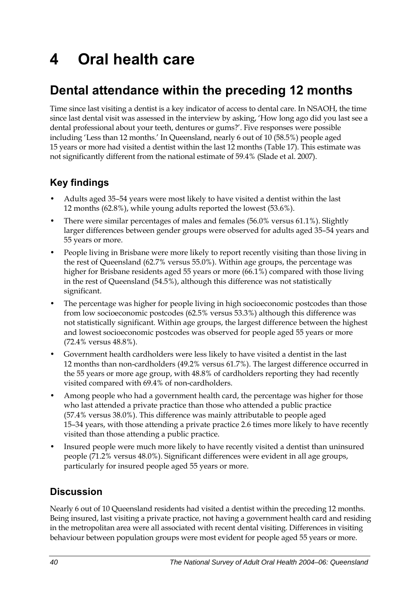# **4 Oral health care**

## **Dental attendance within the preceding 12 months**

Time since last visiting a dentist is a key indicator of access to dental care. In NSAOH, the time since last dental visit was assessed in the interview by asking, 'How long ago did you last see a dental professional about your teeth, dentures or gums?'. Five responses were possible including 'Less than 12 months.' In Queensland, nearly 6 out of 10 (58.5%) people aged 15 years or more had visited a dentist within the last 12 months ([Table 17](#page-48-0)). This estimate was not significantly different from the national estimate of 59.4% (Slade et al. 2007).

## **Key findings**

- Adults aged 35–54 years were most likely to have visited a dentist within the last 12 months (62.8%), while young adults reported the lowest (53.6%).
- There were similar percentages of males and females (56.0% versus 61.1%). Slightly larger differences between gender groups were observed for adults aged 35–54 years and 55 years or more.
- People living in Brisbane were more likely to report recently visiting than those living in the rest of Queensland (62.7% versus 55.0%). Within age groups, the percentage was higher for Brisbane residents aged 55 years or more (66.1%) compared with those living in the rest of Queensland (54.5%), although this difference was not statistically significant.
- The percentage was higher for people living in high socioeconomic postcodes than those from low socioeconomic postcodes (62.5% versus 53.3%) although this difference was not statistically significant. Within age groups, the largest difference between the highest and lowest socioeconomic postcodes was observed for people aged 55 years or more (72.4% versus 48.8%).
- Government health cardholders were less likely to have visited a dentist in the last 12 months than non-cardholders (49.2% versus 61.7%). The largest difference occurred in the 55 years or more age group, with 48.8% of cardholders reporting they had recently visited compared with 69.4% of non-cardholders.
- Among people who had a government health card, the percentage was higher for those who last attended a private practice than those who attended a public practice (57.4% versus 38.0%). This difference was mainly attributable to people aged 15–34 years, with those attending a private practice 2.6 times more likely to have recently visited than those attending a public practice.
- Insured people were much more likely to have recently visited a dentist than uninsured people (71.2% versus 48.0%). Significant differences were evident in all age groups, particularly for insured people aged 55 years or more.

## **Discussion**

Nearly 6 out of 10 Queensland residents had visited a dentist within the preceding 12 months. Being insured, last visiting a private practice, not having a government health card and residing in the metropolitan area were all associated with recent dental visiting. Differences in visiting behaviour between population groups were most evident for people aged 55 years or more.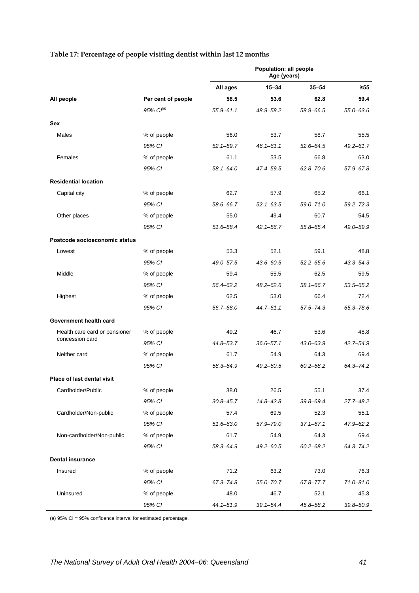|                               |                    | Population: all people<br>Age (years) |               |               |               |
|-------------------------------|--------------------|---------------------------------------|---------------|---------------|---------------|
|                               |                    | All ages                              | $15 - 34$     | $35 - 54$     | $\geq 55$     |
| All people                    | Per cent of people | 58.5                                  | 53.6          | 62.8          | 59.4          |
|                               | $95\%$ $Cl^{(a)}$  | $55.9 - 61.1$                         | 48.9-58.2     | 58.9-66.5     | $55.0 - 63.6$ |
| Sex                           |                    |                                       |               |               |               |
| Males                         | % of people        | 56.0                                  | 53.7          | 58.7          | 55.5          |
|                               | 95% CI             | $52.1 - 59.7$                         | $46.1 - 61.1$ | $52.6 - 64.5$ | $49.2 - 61.7$ |
| Females                       | % of people        | 61.1                                  | 53.5          | 66.8          | 63.0          |
|                               | 95% CI             | $58.1 - 64.0$                         | 47.4-59.5     | $62.8 - 70.6$ | 57.9-67.8     |
| <b>Residential location</b>   |                    |                                       |               |               |               |
| Capital city                  | % of people        | 62.7                                  | 57.9          | 65.2          | 66.1          |
|                               | 95% CI             | 58.6-66.7                             | $52.1 - 63.5$ | $59.0 - 71.0$ | $59.2 - 72.3$ |
| Other places                  | % of people        | 55.0                                  | 49.4          | 60.7          | 54.5          |
|                               | 95% CI             | 51.6-58.4                             | $42.1 - 56.7$ | 55.8-65.4     | 49.0-59.9     |
| Postcode socioeconomic status |                    |                                       |               |               |               |
| Lowest                        | % of people        | 53.3                                  | 52.1          | 59.1          | 48.8          |
|                               | 95% CI             | 49.0-57.5                             | 43.6-60.5     | $52.2 - 65.6$ | $43.3 - 54.3$ |
| Middle                        | % of people        | 59.4                                  | 55.5          | 62.5          | 59.5          |
|                               | 95% CI             | $56.4 - 62.2$                         | $48.2 - 62.6$ | $58.1 - 66.7$ | $53.5 - 65.2$ |
| Highest                       | % of people        | 62.5                                  | 53.0          | 66.4          | 72.4          |
|                               | 95% CI             | 56.7-68.0                             | 44.7-61.1     | $57.5 - 74.3$ | 65.3-78.6     |
| Government health card        |                    |                                       |               |               |               |
| Health care card or pensioner | % of people        | 49.2                                  | 46.7          | 53.6          | 48.8          |
| concession card               | 95% CI             | 44.8-53.7                             | $36.6 - 57.1$ | $43.0 - 63.9$ | $42.7 - 54.9$ |
| Neither card                  | % of people        | 61.7                                  | 54.9          | 64.3          | 69.4          |
|                               | 95% CI             | 58.3-64.9                             | $49.2 - 60.5$ | $60.2 - 68.2$ | 64.3-74.2     |
| Place of last dental visit    |                    |                                       |               |               |               |
| Cardholder/Public             | % of people        | 38.0                                  | 26.5          | 55.1          | 37.4          |
|                               | 95% CI             | $30.8 - 45.7$                         | $14.8 - 42.8$ | $39.8 - 69.4$ | 27.7-48.2     |
| Cardholder/Non-public         | % of people        | 57.4                                  | 69.5          | 52.3          | 55.1          |
|                               | 95% CI             | $51.6 - 63.0$                         | 57.9-79.0     | $37.1 - 67.1$ | $47.9 - 62.2$ |
| Non-cardholder/Non-public     | % of people        | 61.7                                  | 54.9          | 64.3          | 69.4          |
|                               | 95% CI             | 58.3-64.9                             | $49.2 - 60.5$ | $60.2 - 68.2$ | 64.3-74.2     |
| <b>Dental insurance</b>       |                    |                                       |               |               |               |
| Insured                       | % of people        | 71.2                                  | 63.2          | 73.0          | 76.3          |
|                               | 95% CI             | 67.3-74.8                             | $55.0 - 70.7$ | 67.8-77.7     | $71.0 - 81.0$ |
| Uninsured                     | % of people        | 48.0                                  | 46.7          | 52.1          | 45.3          |
|                               | 95% CI             | $44.1 - 51.9$                         | $39.1 - 54.4$ | 45.8-58.2     | 39.8-50.9     |

#### <span id="page-48-0"></span>**Table 17: Percentage of people visiting dentist within last 12 months**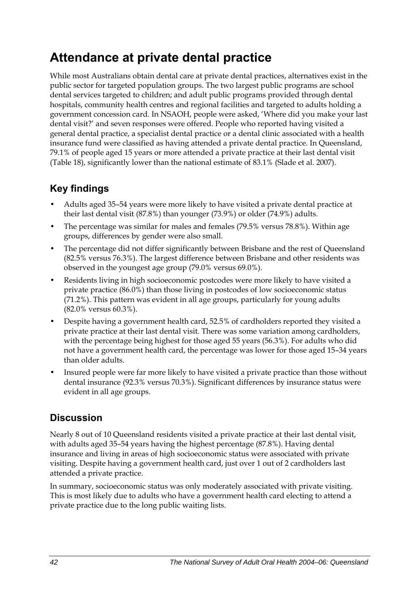## **Attendance at private dental practice**

While most Australians obtain dental care at private dental practices, alternatives exist in the public sector for targeted population groups. The two largest public programs are school dental services targeted to children; and adult public programs provided through dental hospitals, community health centres and regional facilities and targeted to adults holding a government concession card. In NSAOH, people were asked, 'Where did you make your last dental visit?' and seven responses were offered. People who reported having visited a general dental practice, a specialist dental practice or a dental clinic associated with a health insurance fund were classified as having attended a private dental practice. In Queensland, 79.1% of people aged 15 years or more attended a private practice at their last dental visit ([Table 18](#page-50-0)), significantly lower than the national estimate of 83.1% (Slade et al. 2007).

## **Key findings**

- Adults aged 35–54 years were more likely to have visited a private dental practice at their last dental visit (87.8%) than younger (73.9%) or older (74.9%) adults.
- The percentage was similar for males and females (79.5% versus 78.8%). Within age groups, differences by gender were also small.
- The percentage did not differ significantly between Brisbane and the rest of Queensland (82.5% versus 76.3%). The largest difference between Brisbane and other residents was observed in the youngest age group (79.0% versus 69.0%).
- Residents living in high socioeconomic postcodes were more likely to have visited a private practice (86.0%) than those living in postcodes of low socioeconomic status (71.2%). This pattern was evident in all age groups, particularly for young adults (82.0% versus 60.3%).
- Despite having a government health card, 52.5% of cardholders reported they visited a private practice at their last dental visit. There was some variation among cardholders, with the percentage being highest for those aged 55 years (56.3%). For adults who did not have a government health card, the percentage was lower for those aged 15–34 years than older adults.
- Insured people were far more likely to have visited a private practice than those without dental insurance (92.3% versus 70.3%). Significant differences by insurance status were evident in all age groups.

### **Discussion**

Nearly 8 out of 10 Queensland residents visited a private practice at their last dental visit, with adults aged 35–54 years having the highest percentage (87.8%). Having dental insurance and living in areas of high socioeconomic status were associated with private visiting. Despite having a government health card, just over 1 out of 2 cardholders last attended a private practice.

In summary, socioeconomic status was only moderately associated with private visiting. This is most likely due to adults who have a government health card electing to attend a private practice due to the long public waiting lists.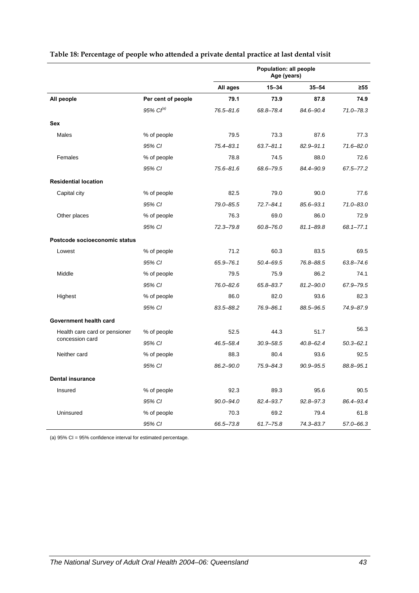|                               |                       | Population: all people<br>Age (years) |               |               |               |
|-------------------------------|-----------------------|---------------------------------------|---------------|---------------|---------------|
|                               |                       | All ages                              | $15 - 34$     | $35 - 54$     | $\geq 55$     |
| All people                    | Per cent of people    | 79.1                                  | 73.9          | 87.8          | 74.9          |
|                               | 95% Cl <sup>(a)</sup> | 76.5-81.6                             | 68.8-78.4     | 84.6-90.4     | $71.0 - 78.3$ |
| <b>Sex</b>                    |                       |                                       |               |               |               |
| Males                         | % of people           | 79.5                                  | 73.3          | 87.6          | 77.3          |
|                               | 95% CI                | $75.4 - 83.1$                         | $63.7 - 81.1$ | 82.9-91.1     | $71.6 - 82.0$ |
| Females                       | % of people           | 78.8                                  | 74.5          | 88.0          | 72.6          |
|                               | 95% CI                | $75.6 - 81.6$                         | 68.6-79.5     | 84.4-90.9     | 67.5-77.2     |
| <b>Residential location</b>   |                       |                                       |               |               |               |
| Capital city                  | % of people           | 82.5                                  | 79.0          | 90.0          | 77.6          |
|                               | 95% CI                | 79.0-85.5                             | $72.7 - 84.1$ | $85.6 - 93.1$ | $71.0 - 83.0$ |
| Other places                  | % of people           | 76.3                                  | 69.0          | 86.0          | 72.9          |
|                               | 95% CI                | $72.3 - 79.8$                         | $60.8 - 76.0$ | $81.1 - 89.8$ | $68.1 - 77.1$ |
| Postcode socioeconomic status |                       |                                       |               |               |               |
| Lowest                        | % of people           | 71.2                                  | 60.3          | 83.5          | 69.5          |
|                               | 95% CI                | 65.9-76.1                             | $50.4 - 69.5$ | 76.8-88.5     | $63.8 - 74.6$ |
| Middle                        | % of people           | 79.5                                  | 75.9          | 86.2          | 74.1          |
|                               | 95% CI                | 76.0-82.6                             | 65.8-83.7     | $81.2 - 90.0$ | 67.9-79.5     |
| Highest                       | % of people           | 86.0                                  | 82.0          | 93.6          | 82.3          |
|                               | 95% CI                | 83.5-88.2                             | 76.9-86.1     | 88.5-96.5     | 74.9-87.9     |
| Government health card        |                       |                                       |               |               |               |
| Health care card or pensioner | % of people           | 52.5                                  | 44.3          | 51.7          | 56.3          |
| concession card               | 95% CI                | 46.5-58.4                             | $30.9 - 58.5$ | $40.8 - 62.4$ | $50.3 - 62.1$ |
| Neither card                  | % of people           | 88.3                                  | 80.4          | 93.6          | 92.5          |
|                               | 95% CI                | 86.2-90.0                             | $75.9 - 84.3$ | $90.9 - 95.5$ | 88.8-95.1     |
| <b>Dental insurance</b>       |                       |                                       |               |               |               |
| Insured                       | % of people           | 92.3                                  | 89.3          | 95.6          | 90.5          |
|                               | 95% CI                | $90.0 - 94.0$                         | 82.4-93.7     | $92.8 - 97.3$ | 86.4-93.4     |
| Uninsured                     | % of people           | 70.3                                  | 69.2          | 79.4          | 61.8          |
|                               | 95% CI                | 66.5-73.8                             | $61.7 - 75.8$ | $74.3 - 83.7$ | 57.0-66.3     |

#### <span id="page-50-0"></span>**Table 18: Percentage of people who attended a private dental practice at last dental visit**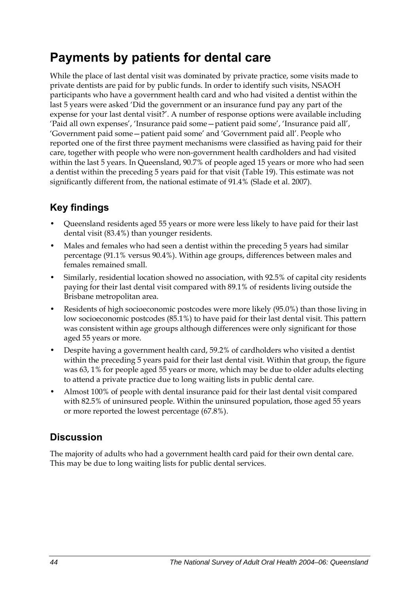## **Payments by patients for dental care**

While the place of last dental visit was dominated by private practice, some visits made to private dentists are paid for by public funds. In order to identify such visits, NSAOH participants who have a government health card and who had visited a dentist within the last 5 years were asked 'Did the government or an insurance fund pay any part of the expense for your last dental visit?'. A number of response options were available including 'Paid all own expenses', 'Insurance paid some—patient paid some', 'Insurance paid all', 'Government paid some—patient paid some' and 'Government paid all'. People who reported one of the first three payment mechanisms were classified as having paid for their care, together with people who were non-government health cardholders and had visited within the last 5 years. In Queensland, 90.7% of people aged 15 years or more who had seen a dentist within the preceding 5 years paid for that visit [\(Table 19\)](#page-52-0). This estimate was not significantly different from, the national estimate of 91.4% (Slade et al. 2007).

## **Key findings**

- Queensland residents aged 55 years or more were less likely to have paid for their last dental visit (83.4%) than younger residents.
- Males and females who had seen a dentist within the preceding 5 years had similar percentage (91.1% versus 90.4%). Within age groups, differences between males and females remained small.
- Similarly, residential location showed no association, with 92.5% of capital city residents paying for their last dental visit compared with 89.1% of residents living outside the Brisbane metropolitan area.
- Residents of high socioeconomic postcodes were more likely (95.0%) than those living in low socioeconomic postcodes (85.1%) to have paid for their last dental visit. This pattern was consistent within age groups although differences were only significant for those aged 55 years or more.
- Despite having a government health card, 59.2% of cardholders who visited a dentist within the preceding 5 years paid for their last dental visit. Within that group, the figure was 63, 1% for people aged 55 years or more, which may be due to older adults electing to attend a private practice due to long waiting lists in public dental care.
- Almost 100% of people with dental insurance paid for their last dental visit compared with 82.5% of uninsured people. Within the uninsured population, those aged 55 years or more reported the lowest percentage (67.8%).

## **Discussion**

The majority of adults who had a government health card paid for their own dental care. This may be due to long waiting lists for public dental services.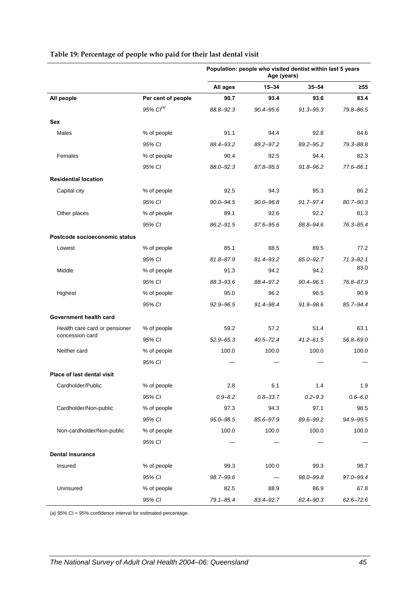|                               |                    | Population: people who visited dentist within last 5 years<br>Age (years) |               |               |               |
|-------------------------------|--------------------|---------------------------------------------------------------------------|---------------|---------------|---------------|
|                               |                    | All ages                                                                  | $15 - 34$     | $35 - 54$     | $\geq 55$     |
| All people                    | Per cent of people | 90.7                                                                      | 93.4          | 93.6          | 83.4          |
|                               | $95\%$ $Cl^{(a)}$  | 88.8-92.3                                                                 | 90.4-95.6     | $91.3 - 95.3$ | 79.8-86.5     |
| Sex                           |                    |                                                                           |               |               |               |
| Males                         | % of people        | 91.1                                                                      | 94.4          | 92.8          | 84.6          |
|                               | 95% CI             | 88.4-93.2                                                                 | 89.2-97.2     | 89.2-95.2     | 79.3-88.8     |
| Females                       | % of people        | 90.4                                                                      | 92.5          | 94.4          | 82.3          |
|                               | 95% CI             | 88.0-92.3                                                                 | 87.8-95.5     | 91.8-96.2     | $77.6 - 86.1$ |
| <b>Residential location</b>   |                    |                                                                           |               |               |               |
| Capital city                  | % of people        | 92.5                                                                      | 94.3          | 95.3          | 86.2          |
|                               | 95% CI             | $90.0 - 94.5$                                                             | $90.0 - 96.8$ | 91.7-97.4     | 80.7-90.3     |
| Other places                  | % of people        | 89.1                                                                      | 92.6          | 92.2          | 81.3          |
|                               | 95% CI             | 86.2-91.5                                                                 | 87.6-95.6     | 88.8-94.6     | 76.3-85.4     |
| Postcode socioeconomic status |                    |                                                                           |               |               |               |
| Lowest                        | % of people        | 85.1                                                                      | 88.5          | 89.5          | 77.2          |
|                               | 95% CI             | $81.8 - 87.9$                                                             | 81.4-93.2     | 85.0-92.7     | $71.3 - 82.1$ |
| Middle                        | % of people        | 91.3                                                                      | 94.2          | 94.2          | 83.0          |
|                               | 95% CI             | 88.3-93.6                                                                 | 88.4-97.2     | $90.4 - 96.5$ | 76.8-87.9     |
| Highest                       | % of people        | 95.0                                                                      | 96.2          | 96.5          | 90.9          |
|                               | 95% CI             | 92.9-96.5                                                                 | 91.4–98.4     | 91.9-98.6     | 85.7-94.4     |
| Government health card        |                    |                                                                           |               |               |               |
| Health care card or pensioner | % of people        | 59.2                                                                      | 57.2          | 51.4          | 63.1          |
| concession card               | 95% CI             | $52.9 - 65.3$                                                             | 40.5–72.4     | $41.2 - 61.5$ | 56.8-69.0     |
| Neither card                  | % of people        | 100.0                                                                     | 100.0         | 100.0         | 100.0         |
|                               | 95% CI             |                                                                           |               |               |               |
| Place of last dental visit    |                    |                                                                           |               |               |               |
| Cardholder/Public             | % of people        | 2.8                                                                       | 6.1           | 1.4           | 1.9           |
|                               | 95% CI             | $0.9 - 8.2$                                                               | $0.8 - 33.7$  | $0.2 - 9.3$   | $0.6 - 6.0$   |
| Cardholder/Non-public         | % of people        | 97.3                                                                      | 94.3          | 97.1          | 98.5          |
|                               | 95% CI             | $95.0 - 98.5$                                                             | 85.6-97.9     | 89.6-99.2     | 94.9-99.5     |
| Non-cardholder/Non-public     | % of people        | 100.0                                                                     | 100.0         | 100.0         | 100.0         |
|                               | 95% CI             |                                                                           |               |               |               |
| <b>Dental insurance</b>       |                    |                                                                           |               |               |               |
| Insured                       | % of people        | 99.3                                                                      | 100.0         | 99.3          | 98.7          |
|                               | 95% CI             | 98.7-99.6                                                                 |               | 98.0-99.8     | 97.0-99.4     |
| Uninsured                     | % of people        | 82.5                                                                      | 88.9          | 86.9          | 67.8          |
|                               | 95% CI             | $79.1 - 85.4$                                                             | 83.4-92.7     | 82.4-90.3     | $62.6 - 72.6$ |

#### <span id="page-52-0"></span>**Table 19: Percentage of people who paid for their last dental visit**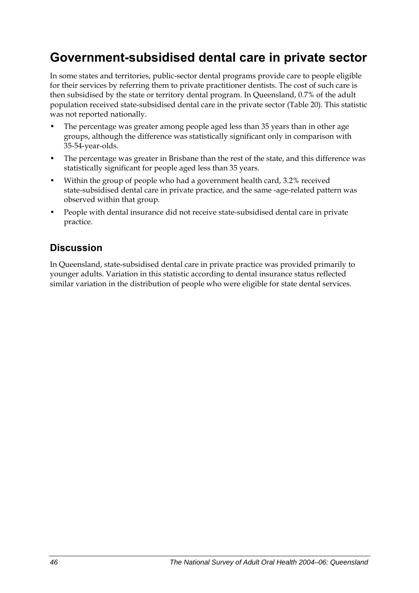## **Government-subsidised dental care in private sector**

In some states and territories, public-sector dental programs provide care to people eligible for their services by referring them to private practitioner dentists. The cost of such care is then subsidised by the state or territory dental program. In Queensland, 0.7% of the adult population received state-subsidised dental care in the private sector [\(Table 20\)](#page-54-0). This statistic was not reported nationally.

- The percentage was greater among people aged less than 35 years than in other age groups, although the difference was statistically significant only in comparison with 35-54-year-olds.
- The percentage was greater in Brisbane than the rest of the state, and this difference was statistically significant for people aged less than 35 years.
- Within the group of people who had a government health card, 3.2% received state-subsidised dental care in private practice, and the same -age-related pattern was observed within that group.
- People with dental insurance did not receive state-subsidised dental care in private practice.

### **Discussion**

In Queensland, state-subsidised dental care in private practice was provided primarily to younger adults. Variation in this statistic according to dental insurance status reflected similar variation in the distribution of people who were eligible for state dental services.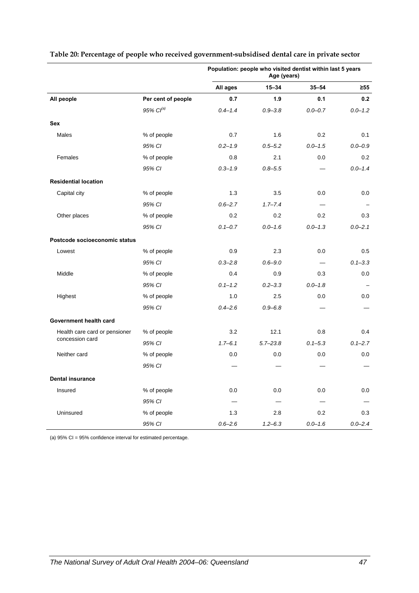|                               |                       | Population: people who visited dentist within last 5 years<br>Age (years) |              |             |             |
|-------------------------------|-----------------------|---------------------------------------------------------------------------|--------------|-------------|-------------|
|                               |                       | All ages                                                                  | $15 - 34$    | $35 - 54$   | $\geq 55$   |
| All people                    | Per cent of people    | 0.7                                                                       | 1.9          | 0.1         | 0.2         |
|                               | 95% Cl <sup>(a)</sup> | $0.4 - 1.4$                                                               | $0.9 - 3.8$  | $0.0 - 0.7$ | $0.0 - 1.2$ |
| <b>Sex</b>                    |                       |                                                                           |              |             |             |
| Males                         | % of people           | 0.7                                                                       | 1.6          | 0.2         | 0.1         |
|                               | 95% CI                | $0.2 - 1.9$                                                               | $0.5 - 5.2$  | $0.0 - 1.5$ | $0.0 - 0.9$ |
| Females                       | % of people           | 0.8                                                                       | 2.1          | 0.0         | 0.2         |
|                               | 95% CI                | $0.3 - 1.9$                                                               | $0.8 - 5.5$  |             | $0.0 - 1.4$ |
| <b>Residential location</b>   |                       |                                                                           |              |             |             |
| Capital city                  | % of people           | 1.3                                                                       | 3.5          | 0.0         | 0.0         |
|                               | 95% CI                | $0.6 - 2.7$                                                               | $1.7 - 7.4$  |             |             |
| Other places                  | % of people           | 0.2                                                                       | 0.2          | 0.2         | 0.3         |
|                               | 95% CI                | $0.1 - 0.7$                                                               | $0.0 - 1.6$  | $0.0 - 1.3$ | $0.0 - 2.1$ |
| Postcode socioeconomic status |                       |                                                                           |              |             |             |
| Lowest                        | % of people           | 0.9                                                                       | 2.3          | 0.0         | 0.5         |
|                               | 95% CI                | $0.3 - 2.8$                                                               | $0.6 - 9.0$  |             | $0.1 - 3.3$ |
| Middle                        | % of people           | 0.4                                                                       | 0.9          | 0.3         | 0.0         |
|                               | 95% CI                | $0.1 - 1.2$                                                               | $0.2 - 3.3$  | $0.0 - 1.8$ |             |
| Highest                       | % of people           | 1.0                                                                       | 2.5          | 0.0         | 0.0         |
|                               | 95% CI                | $0.4 - 2.6$                                                               | $0.9 - 6.8$  |             |             |
| Government health card        |                       |                                                                           |              |             |             |
| Health care card or pensioner | % of people           | 3.2                                                                       | 12.1         | 0.8         | 0.4         |
| concession card               | 95% CI                | $1.7 - 6.1$                                                               | $5.7 - 23.8$ | $0.1 - 5.3$ | $0.1 - 2.7$ |
| Neither card                  | % of people           | 0.0                                                                       | 0.0          | 0.0         | 0.0         |
|                               | 95% CI                |                                                                           |              |             |             |
| <b>Dental insurance</b>       |                       |                                                                           |              |             |             |
| Insured                       | % of people           | 0.0                                                                       | 0.0          | 0.0         | 0.0         |
|                               | 95% CI                |                                                                           |              |             |             |
| Uninsured                     | % of people           | 1.3                                                                       | 2.8          | 0.2         | 0.3         |
|                               | 95% CI                | $0.6 - 2.6$                                                               | $1.2 - 6.3$  | $0.0 - 1.6$ | $0.0 - 2.4$ |

#### <span id="page-54-0"></span>**Table 20: Percentage of people who received government-subsidised dental care in private sector**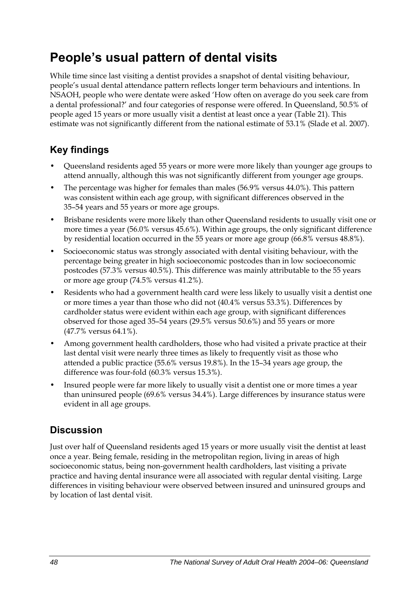## **People's usual pattern of dental visits**

While time since last visiting a dentist provides a snapshot of dental visiting behaviour, people's usual dental attendance pattern reflects longer term behaviours and intentions. In NSAOH, people who were dentate were asked 'How often on average do you seek care from a dental professional?' and four categories of response were offered. In Queensland, 50.5% of people aged 15 years or more usually visit a dentist at least once a year [\(Table 21\)](#page-56-0). This estimate was not significantly different from the national estimate of 53.1% (Slade et al. 2007).

## **Key findings**

- Queensland residents aged 55 years or more were more likely than younger age groups to attend annually, although this was not significantly different from younger age groups.
- The percentage was higher for females than males (56.9% versus 44.0%). This pattern was consistent within each age group, with significant differences observed in the 35–54 years and 55 years or more age groups.
- Brisbane residents were more likely than other Queensland residents to usually visit one or more times a year (56.0% versus 45.6%). Within age groups, the only significant difference by residential location occurred in the 55 years or more age group (66.8% versus 48.8%).
- Socioeconomic status was strongly associated with dental visiting behaviour, with the percentage being greater in high socioeconomic postcodes than in low socioeconomic postcodes (57.3% versus 40.5%). This difference was mainly attributable to the 55 years or more age group (74.5% versus 41.2%).
- Residents who had a government health card were less likely to usually visit a dentist one or more times a year than those who did not (40.4% versus 53.3%). Differences by cardholder status were evident within each age group, with significant differences observed for those aged 35–54 years (29.5% versus 50.6%) and 55 years or more (47.7% versus 64.1%).
- Among government health cardholders, those who had visited a private practice at their last dental visit were nearly three times as likely to frequently visit as those who attended a public practice (55.6% versus 19.8%). In the 15–34 years age group, the difference was four-fold (60.3% versus 15.3%).
- Insured people were far more likely to usually visit a dentist one or more times a year than uninsured people (69.6% versus 34.4%). Large differences by insurance status were evident in all age groups.

## **Discussion**

Just over half of Queensland residents aged 15 years or more usually visit the dentist at least once a year. Being female, residing in the metropolitan region, living in areas of high socioeconomic status, being non-government health cardholders, last visiting a private practice and having dental insurance were all associated with regular dental visiting. Large differences in visiting behaviour were observed between insured and uninsured groups and by location of last dental visit.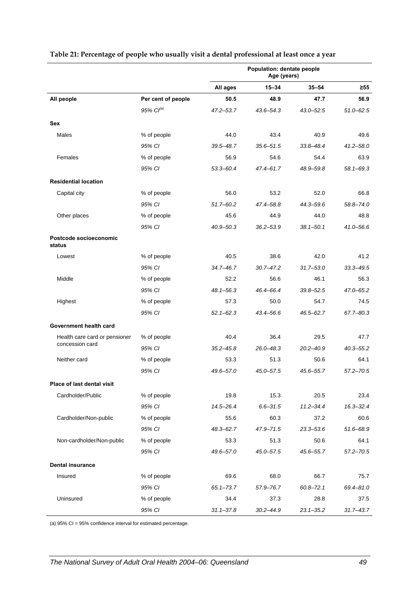|                                  |                    | Population: dentate people<br>Age (years) |               |               |               |
|----------------------------------|--------------------|-------------------------------------------|---------------|---------------|---------------|
|                                  |                    | All ages                                  | $15 - 34$     | $35 - 54$     | $\geq 55$     |
| All people                       | Per cent of people | 50.5                                      | 48.9          | 47.7          | 56.9          |
|                                  | 95% $Cl^{(a)}$     | $47.2 - 53.7$                             | 43.6–54.3     | $43.0 - 52.5$ | $51.0 - 62.5$ |
| Sex                              |                    |                                           |               |               |               |
| Males                            | % of people        | 44.0                                      | 43.4          | 40.9          | 49.6          |
|                                  | 95% CI             | $39.5 - 48.7$                             | $35.6 - 51.5$ | $33.8 - 48.4$ | $41.2 - 58.0$ |
| Females                          | % of people        | 56.9                                      | 54.6          | 54.4          | 63.9          |
|                                  | 95% CI             | $53.3 - 60.4$                             | 47.4-61.7     | 48.9-59.8     | 58.1-69.3     |
| <b>Residential location</b>      |                    |                                           |               |               |               |
| Capital city                     | % of people        | 56.0                                      | 53.2          | 52.0          | 66.8          |
|                                  | 95% CI             | $51.7 - 60.2$                             | 47.4-58.8     | 44.3-59.6     | 58.8-74.0     |
| Other places                     | % of people        | 45.6                                      | 44.9          | 44.0          | 48.8          |
|                                  | 95% CI             | $40.9 - 50.3$                             | $36.2 - 53.9$ | $38.1 - 50.1$ | $41.0 - 56.6$ |
| Postcode socioeconomic<br>status |                    |                                           |               |               |               |
| Lowest                           | % of people        | 40.5                                      | 38.6          | 42.0          | 41.2          |
|                                  | 95% CI             | 34.7-46.7                                 | $30.7 - 47.2$ | $31.7 - 53.0$ | $33.3 - 49.5$ |
| Middle                           | % of people        | 52.2                                      | 56.6          | 46.1          | 56.3          |
|                                  | 95% CI             | $48.1 - 56.3$                             | 46.4-66.4     | $39.8 - 52.5$ | 47.0-65.2     |
| Highest                          | % of people        | 57.3                                      | 50.0          | 54.7          | 74.5          |
|                                  | 95% CI             | $52.1 - 62.3$                             | 43.4-56.6     | 46.5-62.7     | 67.7-80.3     |
| Government health card           |                    |                                           |               |               |               |
| Health care card or pensioner    | % of people        | 40.4                                      | 36.4          | 29.5          | 47.7          |
| concession card                  | 95% CI             | $35.2 - 45.8$                             | $26.0 - 48.3$ | $20.2 - 40.9$ | $40.3 - 55.2$ |
| Neither card                     | % of people        | 53.3                                      | 51.3          | 50.6          | 64.1          |
|                                  | 95% CI             | 49.6-57.0                                 | $45.0 - 57.5$ | 45.6-55.7     | $57.2 - 70.5$ |
| Place of last dental visit       |                    |                                           |               |               |               |
| Cardholder/Public                | % of people        | 19.8                                      | 15.3          | 20.5          | 23.4          |
|                                  | 95% CI             | 14.5-26.4                                 | $6.6 - 31.5$  | $11.2 - 34.4$ | $16.3 - 32.4$ |
| Cardholder/Non-public            | % of people        | 55.6                                      | 60.3          | 37.2          | 60.6          |
|                                  | 95% CI             | 48.3-62.7                                 | 47.9-71.5     | $23.3 - 53.6$ | 51.6-68.9     |
| Non-cardholder/Non-public        | % of people        | 53.3                                      | 51.3          | 50.6          | 64.1          |
|                                  | 95% CI             | 49.6-57.0                                 | 45.0-57.5     | 45.6-55.7     | $57.2 - 70.5$ |
| <b>Dental insurance</b>          |                    |                                           |               |               |               |
| Insured                          | % of people        | 69.6                                      | 68.0          | 66.7          | 75.7          |
|                                  | 95% CI             | $65.1 - 73.7$                             | 57.9-76.7     | $60.8 - 72.1$ | 69.4-81.0     |
| Uninsured                        | % of people        | 34.4                                      | 37.3          | 28.8          | 37.5          |
|                                  | 95% CI             | $31.1 - 37.8$                             | $30.2 - 44.9$ | $23.1 - 35.2$ | $31.7 - 43.7$ |

#### <span id="page-56-0"></span>**Table 21: Percentage of people who usually visit a dental professional at least once a year**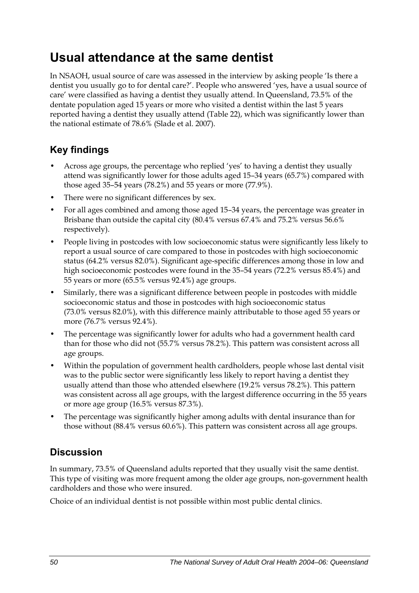## **Usual attendance at the same dentist**

In NSAOH, usual source of care was assessed in the interview by asking people 'Is there a dentist you usually go to for dental care?'. People who answered 'yes, have a usual source of care' were classified as having a dentist they usually attend. In Queensland, 73.5% of the dentate population aged 15 years or more who visited a dentist within the last 5 years reported having a dentist they usually attend [\(Table 22\)](#page-58-0), which was significantly lower than the national estimate of 78.6% (Slade et al. 2007).

## **Key findings**

- Across age groups, the percentage who replied 'yes' to having a dentist they usually attend was significantly lower for those adults aged 15–34 years (65.7%) compared with those aged 35–54 years (78.2%) and 55 years or more (77.9%).
- There were no significant differences by sex.
- For all ages combined and among those aged 15–34 years, the percentage was greater in Brisbane than outside the capital city (80.4% versus 67.4% and 75.2% versus 56.6% respectively).
- People living in postcodes with low socioeconomic status were significantly less likely to report a usual source of care compared to those in postcodes with high socioeconomic status (64.2% versus 82.0%). Significant age-specific differences among those in low and high socioeconomic postcodes were found in the 35–54 years (72.2% versus 85.4%) and 55 years or more (65.5% versus 92.4%) age groups.
- Similarly, there was a significant difference between people in postcodes with middle socioeconomic status and those in postcodes with high socioeconomic status (73.0% versus 82.0%), with this difference mainly attributable to those aged 55 years or more (76.7% versus 92.4%).
- The percentage was significantly lower for adults who had a government health card than for those who did not (55.7% versus 78.2%). This pattern was consistent across all age groups.
- Within the population of government health cardholders, people whose last dental visit was to the public sector were significantly less likely to report having a dentist they usually attend than those who attended elsewhere (19.2% versus 78.2%). This pattern was consistent across all age groups, with the largest difference occurring in the 55 years or more age group (16.5% versus 87.3%).
- The percentage was significantly higher among adults with dental insurance than for those without (88.4% versus 60.6%). This pattern was consistent across all age groups.

## **Discussion**

In summary, 73.5% of Queensland adults reported that they usually visit the same dentist. This type of visiting was more frequent among the older age groups, non-government health cardholders and those who were insured.

Choice of an individual dentist is not possible within most public dental clinics.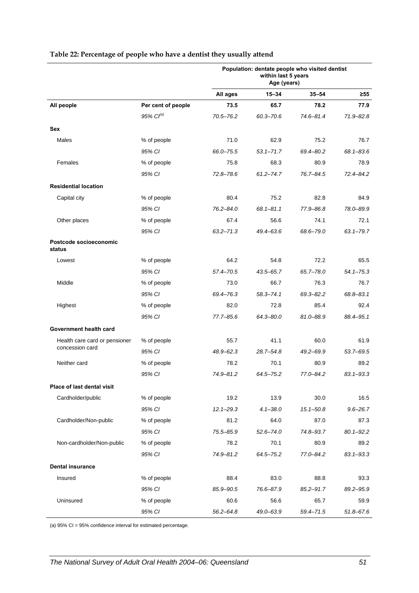|                                  |                    | Population: dentate people who visited dentist<br>within last 5 years<br>Age (years) |               |               |               |  |
|----------------------------------|--------------------|--------------------------------------------------------------------------------------|---------------|---------------|---------------|--|
|                                  |                    | All ages                                                                             | $15 - 34$     | $35 - 54$     | ≥55           |  |
| All people                       | Per cent of people | 73.5                                                                                 | 65.7          | 78.2          | 77.9          |  |
|                                  | $95\%$ $Cl^{(a)}$  | 70.5-76.2                                                                            | $60.3 - 70.6$ | 74.6-81.4     | 71.9-82.8     |  |
| Sex                              |                    |                                                                                      |               |               |               |  |
| Males                            | % of people        | 71.0                                                                                 | 62.9          | 75.2          | 76.7          |  |
|                                  | 95% CI             | 66.0-75.5                                                                            | $53.1 - 71.7$ | 69.4-80.2     | $68.1 - 83.6$ |  |
| Females                          | % of people        | 75.8                                                                                 | 68.3          | 80.9          | 78.9          |  |
|                                  | 95% CI             | $72.8 - 78.6$                                                                        | $61.2 - 74.7$ | 76.7-84.5     | 72.4-84.2     |  |
| <b>Residential location</b>      |                    |                                                                                      |               |               |               |  |
| Capital city                     | % of people        | 80.4                                                                                 | 75.2          | 82.8          | 84.9          |  |
|                                  | 95% CI             | 76.2-84.0                                                                            | $68.1 - 81.1$ | 77.9-86.8     | 78.0-89.9     |  |
| Other places                     | % of people        | 67.4                                                                                 | 56.6          | 74.1          | 72.1          |  |
|                                  | 95% CI             | $63.2 - 71.3$                                                                        | 49.4-63.6     | 68.6-79.0     | $63.1 - 79.7$ |  |
| Postcode socioeconomic<br>status |                    |                                                                                      |               |               |               |  |
| Lowest                           | % of people        | 64.2                                                                                 | 54.8          | 72.2          | 65.5          |  |
|                                  | 95% CI             | 57.4-70.5                                                                            | $43.5 - 65.7$ | 65.7-78.0     | $54.1 - 75.3$ |  |
| Middle                           | % of people        | 73.0                                                                                 | 66.7          | 76.3          | 76.7          |  |
|                                  | 95% CI             | 69.4-76.3                                                                            | $58.3 - 74.1$ | $69.3 - 82.2$ | 68.8-83.1     |  |
| Highest                          | % of people        | 82.0                                                                                 | 72.8          | 85.4          | 92.4          |  |
|                                  | 95% CI             | 77.7-85.6                                                                            | 64.3-80.0     | 81.0-88.9     | 88.4-95.1     |  |
| Government health card           |                    |                                                                                      |               |               |               |  |
| Health care card or pensioner    | % of people        | 55.7                                                                                 | 41.1          | 60.0          | 61.9          |  |
| concession card                  | 95% CI             | 48.9-62.3                                                                            | 28.7-54.8     | $49.2 - 69.9$ | $53.7 - 69.5$ |  |
| Neither card                     | % of people        | 78.2                                                                                 | 70.1          | 80.9          | 89.2          |  |
|                                  | 95% CI             | 74.9-81.2                                                                            | $64.5 - 75.2$ | 77.0-84.2     | $83.1 - 93.3$ |  |
| Place of last dental visit       |                    |                                                                                      |               |               |               |  |
| Cardholder/public                | % of people        | 19.2                                                                                 | 13.9          | 30.0          | 16.5          |  |
|                                  | 95% CI             | $12.1 - 29.3$                                                                        | $4.1 - 38.0$  | $15.1 - 50.8$ | $9.6 - 26.7$  |  |
| Cardholder/Non-public            | % of people        | 81.2                                                                                 | 64.0          | 87.0          | 87.3          |  |
|                                  | 95% CI             | 75.5-85.9                                                                            | $52.6 - 74.0$ | 74.8-93.7     | $80.1 - 92.2$ |  |
| Non-cardholder/Non-public        | % of people        | 78.2                                                                                 | 70.1          | 80.9          | 89.2          |  |
|                                  | 95% CI             | 74.9-81.2                                                                            | $64.5 - 75.2$ | 77.0-84.2     | $83.1 - 93.3$ |  |
| <b>Dental insurance</b>          |                    |                                                                                      |               |               |               |  |
| Insured                          | % of people        | 88.4                                                                                 | 83.0          | 88.8          | 93.3          |  |
|                                  | 95% CI             | 85.9-90.5                                                                            | 76.6-87.9     | $85.2 - 91.7$ | 89.2-95.9     |  |
| Uninsured                        | % of people        | 60.6                                                                                 | 56.6          | 65.7          | 59.9          |  |
|                                  | 95% CI             | $56.2 - 64.8$                                                                        | 49.0-63.9     | $59.4 - 71.5$ | $51.8 - 67.6$ |  |

#### <span id="page-58-0"></span>**Table 22: Percentage of people who have a dentist they usually attend**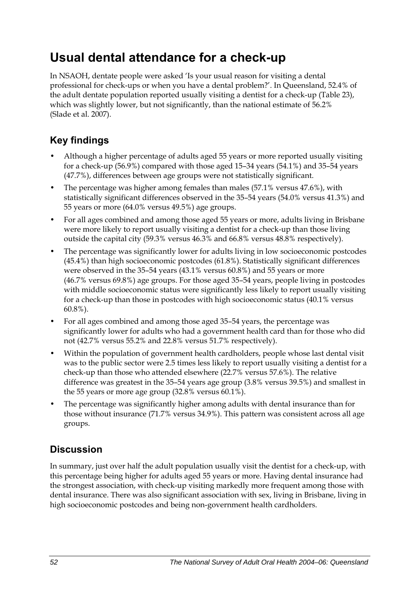## **Usual dental attendance for a check-up**

In NSAOH, dentate people were asked 'Is your usual reason for visiting a dental professional for check-ups or when you have a dental problem?'. In Queensland, 52.4% of the adult dentate population reported usually visiting a dentist for a check-up [\(Table 23\)](#page-60-0), which was slightly lower, but not significantly, than the national estimate of 56.2% (Slade et al. 2007).

## **Key findings**

- Although a higher percentage of adults aged 55 years or more reported usually visiting for a check-up (56.9%) compared with those aged 15–34 years (54.1%) and 35–54 years (47.7%), differences between age groups were not statistically significant.
- The percentage was higher among females than males (57.1% versus 47.6%), with statistically significant differences observed in the 35–54 years (54.0% versus 41.3%) and 55 years or more (64.0% versus 49.5%) age groups.
- For all ages combined and among those aged 55 years or more, adults living in Brisbane were more likely to report usually visiting a dentist for a check-up than those living outside the capital city (59.3% versus 46.3% and 66.8% versus 48.8% respectively).
- The percentage was significantly lower for adults living in low socioeconomic postcodes (45.4%) than high socioeconomic postcodes (61.8%). Statistically significant differences were observed in the 35–54 years (43.1% versus 60.8%) and 55 years or more (46.7% versus 69.8%) age groups. For those aged 35–54 years, people living in postcodes with middle socioeconomic status were significantly less likely to report usually visiting for a check-up than those in postcodes with high socioeconomic status (40.1% versus 60.8%).
- For all ages combined and among those aged 35–54 years, the percentage was significantly lower for adults who had a government health card than for those who did not (42.7% versus 55.2% and 22.8% versus 51.7% respectively).
- Within the population of government health cardholders, people whose last dental visit was to the public sector were 2.5 times less likely to report usually visiting a dentist for a check-up than those who attended elsewhere (22.7% versus 57.6%). The relative difference was greatest in the 35–54 years age group (3.8% versus 39.5%) and smallest in the 55 years or more age group (32.8% versus 60.1%).
- The percentage was significantly higher among adults with dental insurance than for those without insurance (71.7% versus 34.9%). This pattern was consistent across all age groups.

## **Discussion**

In summary, just over half the adult population usually visit the dentist for a check-up, with this percentage being higher for adults aged 55 years or more. Having dental insurance had the strongest association, with check-up visiting markedly more frequent among those with dental insurance. There was also significant association with sex, living in Brisbane, living in high socioeconomic postcodes and being non-government health cardholders.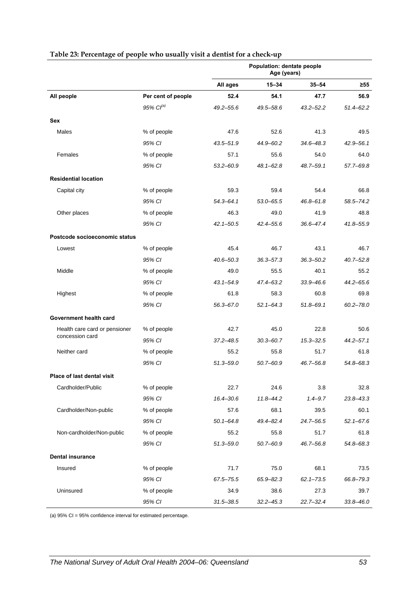<span id="page-60-0"></span>

|                               |                       | Population: dentate people<br>Age (years) |               |               |               |
|-------------------------------|-----------------------|-------------------------------------------|---------------|---------------|---------------|
|                               |                       | All ages                                  | $15 - 34$     | $35 - 54$     | $\geq 55$     |
| All people                    | Per cent of people    | 52.4                                      | 54.1          | 47.7          | 56.9          |
|                               | 95% Cl <sup>(a)</sup> | $49.2 - 55.6$                             | 49.5-58.6     | $43.2 - 52.2$ | $51.4 - 62.2$ |
| Sex                           |                       |                                           |               |               |               |
| Males                         | % of people           | 47.6                                      | 52.6          | 41.3          | 49.5          |
|                               | 95% CI                | $43.5 - 51.9$                             | 44.9-60.2     | 34.6-48.3     | $42.9 - 56.1$ |
| Females                       | % of people           | 57.1                                      | 55.6          | 54.0          | 64.0          |
|                               | 95% CI                | $53.2 - 60.9$                             | 48.1-62.8     | 48.7-59.1     | 57.7-69.8     |
| <b>Residential location</b>   |                       |                                           |               |               |               |
| Capital city                  | % of people           | 59.3                                      | 59.4          | 54.4          | 66.8          |
|                               | 95% CI                | $54.3 - 64.1$                             | $53.0 - 65.5$ | 46.8-61.8     | 58.5-74.2     |
| Other places                  | % of people           | 46.3                                      | 49.0          | 41.9          | 48.8          |
|                               | 95% CI                | $42.1 - 50.5$                             | 42.4-55.6     | 36.6-47.4     | 41.8-55.9     |
| Postcode socioeconomic status |                       |                                           |               |               |               |
| Lowest                        | % of people           | 45.4                                      | 46.7          | 43.1          | 46.7          |
|                               | 95% CI                | $40.6 - 50.3$                             | 36.3-57.3     | 36.3-50.2     | $40.7 - 52.8$ |
| Middle                        | % of people           | 49.0                                      | 55.5          | 40.1          | 55.2          |
|                               | 95% CI                | $43.1 - 54.9$                             | 47.4-63.2     | $33.9 - 46.6$ | $44.2 - 65.6$ |
| Highest                       | % of people           | 61.8                                      | 58.3          | 60.8          | 69.8          |
|                               | 95% CI                | $56.3 - 67.0$                             | $52.1 - 64.3$ | 51.8-69.1     | $60.2 - 78.0$ |
| Government health card        |                       |                                           |               |               |               |
| Health care card or pensioner | % of people           | 42.7                                      | 45.0          | 22.8          | 50.6          |
| concession card               | 95% CI                | $37.2 - 48.5$                             | $30.3 - 60.7$ | $15.3 - 32.5$ | $44.2 - 57.1$ |
| Neither card                  | % of people           | 55.2                                      | 55.8          | 51.7          | 61.8          |
|                               | 95% CI                | $51.3 - 59.0$                             | $50.7 - 60.9$ | 46.7-56.8     | 54.8-68.3     |
| Place of last dental visit    |                       |                                           |               |               |               |
| Cardholder/Public             | % of people           | 22.7                                      | 24.6          | 3.8           | 32.8          |
|                               | 95% CI                | $16.4 - 30.6$                             | $11.8 - 44.2$ | $1.4 - 9.7$   | 23.8-43.3     |
| Cardholder/Non-public         | % of people           | 57.6                                      | 68.1          | 39.5          | 60.1          |
|                               | 95% CI                | $50.1 - 64.8$                             | 49.4-82.4     | 24.7-56.5     | $52.1 - 67.6$ |
| Non-cardholder/Non-public     | % of people           | 55.2                                      | 55.8          | 51.7          | 61.8          |
|                               | 95% CI                | $51.3 - 59.0$                             | $50.7 - 60.9$ | 46.7-56.8     | 54.8-68.3     |
| <b>Dental insurance</b>       |                       |                                           |               |               |               |
| Insured                       | % of people           | 71.7                                      | 75.0          | 68.1          | 73.5          |
|                               | 95% CI                | 67.5-75.5                                 | 65.9-82.3     | $62.1 - 73.5$ | 66.8-79.3     |
| Uninsured                     | % of people           | 34.9                                      | 38.6          | 27.3          | 39.7          |
|                               | 95% CI                | $31.5 - 38.5$                             | $32.2 - 45.3$ | $22.7 - 32.4$ | $33.8 - 46.0$ |

#### **Table 23: Percentage of people who usually visit a dentist for a check-up**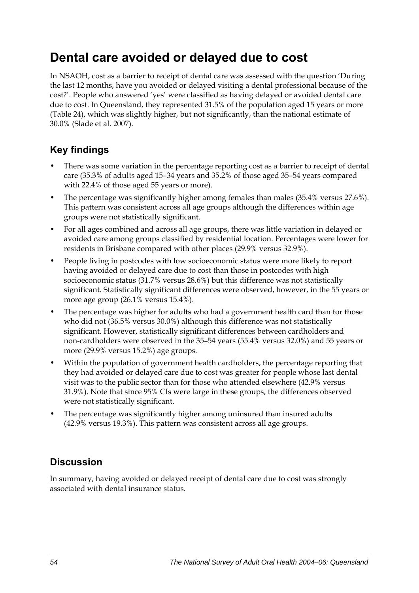## **Dental care avoided or delayed due to cost**

In NSAOH, cost as a barrier to receipt of dental care was assessed with the question 'During the last 12 months, have you avoided or delayed visiting a dental professional because of the cost?'. People who answered 'yes' were classified as having delayed or avoided dental care due to cost. In Queensland, they represented 31.5% of the population aged 15 years or more ([Table 24](#page-62-0)), which was slightly higher, but not significantly, than the national estimate of 30.0% (Slade et al. 2007).

### **Key findings**

- There was some variation in the percentage reporting cost as a barrier to receipt of dental care (35.3% of adults aged 15–34 years and 35.2% of those aged 35–54 years compared with 22.4% of those aged 55 years or more).
- The percentage was significantly higher among females than males (35.4% versus 27.6%). This pattern was consistent across all age groups although the differences within age groups were not statistically significant.
- For all ages combined and across all age groups, there was little variation in delayed or avoided care among groups classified by residential location. Percentages were lower for residents in Brisbane compared with other places (29.9% versus 32.9%).
- People living in postcodes with low socioeconomic status were more likely to report having avoided or delayed care due to cost than those in postcodes with high socioeconomic status (31.7% versus 28.6%) but this difference was not statistically significant. Statistically significant differences were observed, however, in the 55 years or more age group (26.1% versus 15.4%).
- The percentage was higher for adults who had a government health card than for those who did not (36.5% versus 30.0%) although this difference was not statistically significant. However, statistically significant differences between cardholders and non-cardholders were observed in the 35–54 years (55.4% versus 32.0%) and 55 years or more (29.9% versus 15.2%) age groups.
- Within the population of government health cardholders, the percentage reporting that they had avoided or delayed care due to cost was greater for people whose last dental visit was to the public sector than for those who attended elsewhere (42.9% versus 31.9%). Note that since 95% CIs were large in these groups, the differences observed were not statistically significant.
- The percentage was significantly higher among uninsured than insured adults (42.9% versus 19.3%). This pattern was consistent across all age groups.

## **Discussion**

In summary, having avoided or delayed receipt of dental care due to cost was strongly associated with dental insurance status.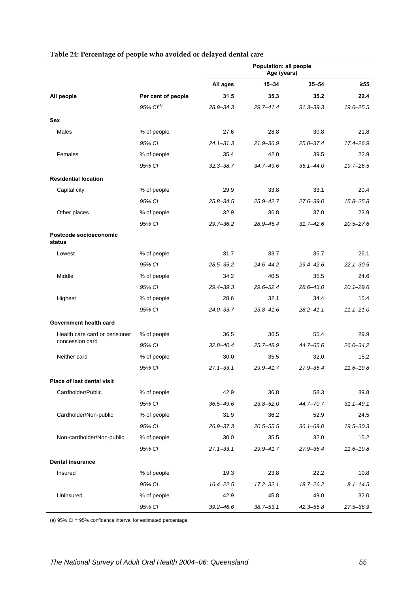<span id="page-62-0"></span>

|                                   |                       | Population: all people<br>Age (years) |               |               |               |
|-----------------------------------|-----------------------|---------------------------------------|---------------|---------------|---------------|
|                                   |                       | All ages                              | $15 - 34$     | $35 - 54$     | $\geq 55$     |
| All people                        | Per cent of people    | 31.5                                  | 35.3          | 35.2          | 22.4          |
|                                   | 95% Cl <sup>(a)</sup> | 28.9-34.3                             | $29.7 - 41.4$ | $31.3 - 39.3$ | 19.6-25.5     |
| Sex                               |                       |                                       |               |               |               |
| Males                             | % of people           | 27.6                                  | 28.8          | 30.8          | 21.8          |
|                                   | 95% CI                | $24.1 - 31.3$                         | $21.9 - 36.9$ | $25.0 - 37.4$ | 17.4-26.9     |
| Females                           | % of people           | 35.4                                  | 42.0          | 39.5          | 22.9          |
|                                   | 95% CI                | $32.3 - 38.7$                         | 34.7-49.6     | $35.1 - 44.0$ | 19.7-26.5     |
| <b>Residential location</b>       |                       |                                       |               |               |               |
| Capital city                      | % of people           | 29.9                                  | 33.8          | 33.1          | 20.4          |
|                                   | 95% CI                | $25.8 - 34.5$                         | $25.9 - 42.7$ | $27.6 - 39.0$ | $15.8 - 25.8$ |
| Other places                      | % of people           | 32.9                                  | 36.8          | 37.0          | 23.9          |
|                                   | 95% CI                | $29.7 - 36.2$                         | 28.9-45.4     | $31.7 - 42.6$ | $20.5 - 27.6$ |
| Postcode socioeconomic<br>status  |                       |                                       |               |               |               |
| Lowest                            | % of people           | 31.7                                  | 33.7          | 35.7          | 26.1          |
|                                   | 95% CI                | $28.5 - 35.2$                         | $24.6 - 44.2$ | 29.4-42.6     | $22.1 - 30.5$ |
| Middle                            | % of people           | 34.2                                  | 40.5          | 35.5          | 24.6          |
|                                   | 95% CI                | $29.4 - 39.3$                         | $29.6 - 52.4$ | $28.6 - 43.0$ | $20.1 - 29.6$ |
| Highest                           | % of people           | 28.6                                  | 32.1          | 34.4          | 15.4          |
|                                   | 95% CI                | $24.0 - 33.7$                         | $23.8 - 41.6$ | $28.2 - 41.1$ | $11.1 - 21.0$ |
| Government health card            |                       |                                       |               |               |               |
| Health care card or pensioner     | % of people           | 36.5                                  | 36.5          | 55.4          | 29.9          |
| concession card                   | 95% CI                | $32.8 - 40.4$                         | $25.7 - 48.9$ | 44.7-65.6     | $26.0 - 34.2$ |
| Neither card                      | % of people           | 30.0                                  | 35.5          | 32.0          | 15.2          |
|                                   | 95% CI                | $27.1 - 33.1$                         | 29.9-41.7     | 27.9-36.4     | $11.6 - 19.8$ |
| <b>Place of last dental visit</b> |                       |                                       |               |               |               |
| Cardholder/Public                 | % of people           | 42.9                                  | 36.8          | 58.3          | 39.8          |
|                                   | 95% CI                | $36.5 - 49.6$                         | $23.8 - 52.0$ | 44.7-70.7     | $31.1 - 49.1$ |
| Cardholder/Non-public             | % of people           | 31.9                                  | 36.2          | 52.9          | 24.5          |
|                                   | 95% CI                | 26.9-37.3                             | $20.5 - 55.5$ | $36.1 - 69.0$ | $19.5 - 30.3$ |
| Non-cardholder/Non-public         | % of people           | 30.0                                  | 35.5          | 32.0          | 15.2          |
|                                   | 95% CI                | $27.1 - 33.1$                         | 29.9-41.7     | 27.9-36.4     | 11.6-19.8     |
| <b>Dental insurance</b>           |                       |                                       |               |               |               |
| Insured                           | % of people           | 19.3                                  | 23.8          | 22.2          | 10.8          |
|                                   | 95% CI                | 16.4-22.5                             | $17.2 - 32.1$ | 18.7-26.2     | $8.1 - 14.5$  |
| Uninsured                         | % of people           | 42.9                                  | 45.8          | 49.0          | 32.0          |
|                                   | 95% CI                | $39.2 - 46.6$                         | $38.7 - 53.1$ | $42.3 - 55.8$ | 27.5-36.9     |

#### **Table 24: Percentage of people who avoided or delayed dental care**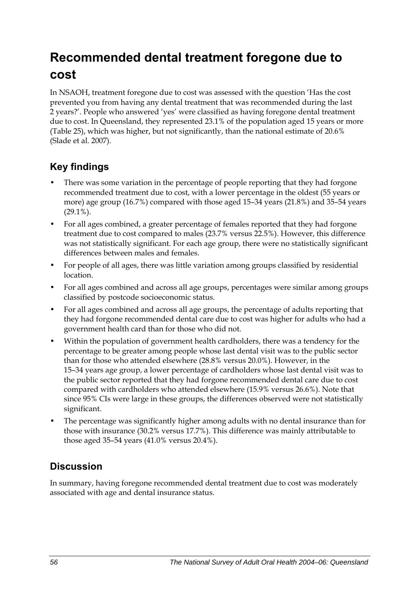# **Recommended dental treatment foregone due to cost**

In NSAOH, treatment foregone due to cost was assessed with the question 'Has the cost prevented you from having any dental treatment that was recommended during the last 2 years?'. People who answered 'yes' were classified as having foregone dental treatment due to cost. In Queensland, they represented 23.1% of the population aged 15 years or more ([Table 25](#page-64-0)), which was higher, but not significantly, than the national estimate of 20.6% (Slade et al. 2007).

### **Key findings**

- There was some variation in the percentage of people reporting that they had forgone recommended treatment due to cost, with a lower percentage in the oldest (55 years or more) age group (16.7%) compared with those aged 15–34 years (21.8%) and 35–54 years  $(29.1\%)$ .
- For all ages combined, a greater percentage of females reported that they had forgone treatment due to cost compared to males (23.7% versus 22.5%). However, this difference was not statistically significant. For each age group, there were no statistically significant differences between males and females.
- For people of all ages, there was little variation among groups classified by residential location.
- For all ages combined and across all age groups, percentages were similar among groups classified by postcode socioeconomic status.
- For all ages combined and across all age groups, the percentage of adults reporting that they had forgone recommended dental care due to cost was higher for adults who had a government health card than for those who did not.
- Within the population of government health cardholders, there was a tendency for the percentage to be greater among people whose last dental visit was to the public sector than for those who attended elsewhere (28.8% versus 20.0%). However, in the 15–34 years age group, a lower percentage of cardholders whose last dental visit was to the public sector reported that they had forgone recommended dental care due to cost compared with cardholders who attended elsewhere (15.9% versus 26.6%). Note that since 95% CIs were large in these groups, the differences observed were not statistically significant.
- The percentage was significantly higher among adults with no dental insurance than for those with insurance (30.2% versus 17.7%). This difference was mainly attributable to those aged 35–54 years (41.0% versus 20.4%).

## **Discussion**

In summary, having foregone recommended dental treatment due to cost was moderately associated with age and dental insurance status.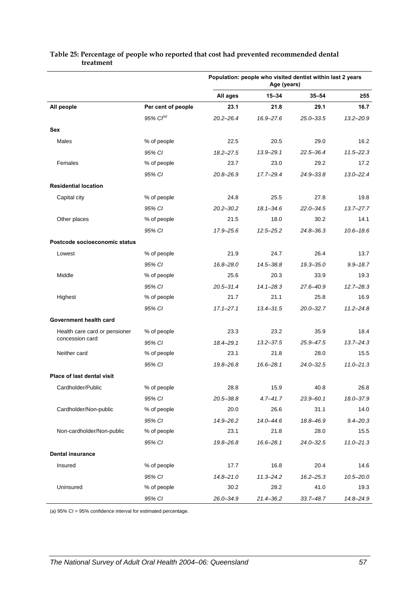|                               |                    | Population: people who visited dentist within last 2 years<br>Age (years) |               |               |               |
|-------------------------------|--------------------|---------------------------------------------------------------------------|---------------|---------------|---------------|
|                               |                    | All ages                                                                  | $15 - 34$     | $35 - 54$     | $\geq 55$     |
| All people                    | Per cent of people | 23.1                                                                      | 21.8          | 29.1          | 16.7          |
|                               | $95\%$ $Cl^{(a)}$  | $20.2 - 26.4$                                                             | 16.9-27.6     | $25.0 - 33.5$ | $13.2 - 20.9$ |
| Sex                           |                    |                                                                           |               |               |               |
| Males                         | % of people        | 22.5                                                                      | 20.5          | 29.0          | 16.2          |
|                               | 95% CI             | $18.2 - 27.5$                                                             | 13.9-29.1     | $22.5 - 36.4$ | $11.5 - 22.3$ |
| Females                       | % of people        | 23.7                                                                      | 23.0          | 29.2          | 17.2          |
|                               | 95% CI             | 20.8-26.9                                                                 | $17.7 - 29.4$ | 24.9-33.8     | $13.0 - 22.4$ |
| <b>Residential location</b>   |                    |                                                                           |               |               |               |
| Capital city                  | % of people        | 24.8                                                                      | 25.5          | 27.8          | 19.8          |
|                               | 95% CI             | $20.2 - 30.2$                                                             | $18.1 - 34.6$ | $22.0 - 34.5$ | $13.7 - 27.7$ |
| Other places                  | % of people        | 21.5                                                                      | 18.0          | 30.2          | 14.1          |
|                               | 95% CI             | 17.9-25.6                                                                 | $12.5 - 25.2$ | $24.8 - 36.3$ | $10.6 - 18.6$ |
| Postcode socioeconomic status |                    |                                                                           |               |               |               |
| Lowest                        | % of people        | 21.9                                                                      | 24.7          | 26.4          | 13.7          |
|                               | 95% CI             | 16.8-28.0                                                                 | 14.5-38.8     | $19.3 - 35.0$ | $9.9 - 18.7$  |
| Middle                        | % of people        | 25.6                                                                      | 20.3          | 33.9          | 19.3          |
|                               | 95% CI             | $20.5 - 31.4$                                                             | $14.1 - 28.3$ | 27.6-40.9     | $12.7 - 28.3$ |
| Highest                       | % of people        | 21.7                                                                      | 21.1          | 25.8          | 16.9          |
|                               | 95% CI             | $17.1 - 27.1$                                                             | $13.4 - 31.5$ | $20.0 - 32.7$ | $11.2 - 24.8$ |
| Government health card        |                    |                                                                           |               |               |               |
| Health care card or pensioner | % of people        | 23.3                                                                      | 23.2          | 35.9          | 18.4          |
| concession card               | 95% CI             | 18.4-29.1                                                                 | $13.2 - 37.5$ | 25.9-47.5     | $13.7 - 24.3$ |
| Neither card                  | % of people        | 23.1                                                                      | 21.8          | 28.0          | 15.5          |
|                               | 95% CI             | 19.8-26.8                                                                 | $16.6 - 28.1$ | $24.0 - 32.5$ | $11.0 - 21.3$ |
| Place of last dental visit    |                    |                                                                           |               |               |               |
| Cardholder/Public             | % of people        | 28.8                                                                      | 15.9          | 40.8          | 26.8          |
|                               | 95% CI             | $20.5 - 38.8$                                                             | $4.7 - 41.7$  | 23.9-60.1     | 18.0-37.9     |
| Cardholder/Non-public         | % of people        | 20.0                                                                      | 26.6          | 31.1          | 14.0          |
|                               | 95% CI             | 14.9-26.2                                                                 | $14.0 - 44.6$ | 18.8-46.9     | $9.4 - 20.3$  |
| Non-cardholder/Non-public     | % of people        | 23.1                                                                      | 21.8          | 28.0          | 15.5          |
|                               | 95% CI             | 19.8-26.8                                                                 | $16.6 - 28.1$ | $24.0 - 32.5$ | $11.0 - 21.3$ |
| <b>Dental insurance</b>       |                    |                                                                           |               |               |               |
| Insured                       | % of people        | 17.7                                                                      | 16.8          | 20.4          | 14.6          |
|                               | 95% CI             | $14.8 - 21.0$                                                             | $11.3 - 24.2$ | $16.2 - 25.3$ | $10.5 - 20.0$ |
| Uninsured                     | % of people        | 30.2                                                                      | 28.2          | 41.0          | 19.3          |
|                               | 95% CI             | 26.0-34.9                                                                 | 21.4-36.2     | $33.7 - 48.7$ | 14.8-24.9     |

#### <span id="page-64-0"></span>**Table 25: Percentage of people who reported that cost had prevented recommended dental treatment**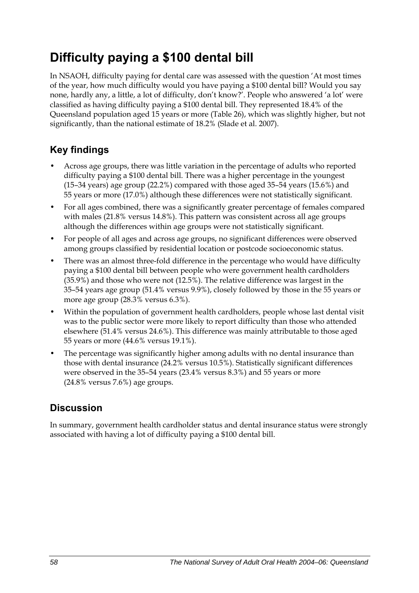## **Difficulty paying a \$100 dental bill**

In NSAOH, difficulty paying for dental care was assessed with the question 'At most times of the year, how much difficulty would you have paying a \$100 dental bill? Would you say none, hardly any, a little, a lot of difficulty, don't know?'. People who answered 'a lot' were classified as having difficulty paying a \$100 dental bill. They represented 18.4% of the Queensland population aged 15 years or more [\(Table 26\)](#page-66-0), which was slightly higher, but not significantly, than the national estimate of 18.2% (Slade et al. 2007).

## **Key findings**

- Across age groups, there was little variation in the percentage of adults who reported difficulty paying a \$100 dental bill. There was a higher percentage in the youngest (15–34 years) age group (22.2%) compared with those aged 35–54 years (15.6%) and 55 years or more (17.0%) although these differences were not statistically significant.
- For all ages combined, there was a significantly greater percentage of females compared with males (21.8% versus 14.8%). This pattern was consistent across all age groups although the differences within age groups were not statistically significant.
- For people of all ages and across age groups, no significant differences were observed among groups classified by residential location or postcode socioeconomic status.
- There was an almost three-fold difference in the percentage who would have difficulty paying a \$100 dental bill between people who were government health cardholders (35.9%) and those who were not (12.5%). The relative difference was largest in the 35–54 years age group (51.4% versus 9.9%), closely followed by those in the 55 years or more age group (28.3% versus 6.3%).
- Within the population of government health cardholders, people whose last dental visit was to the public sector were more likely to report difficulty than those who attended elsewhere (51.4% versus 24.6%). This difference was mainly attributable to those aged 55 years or more (44.6% versus 19.1%).
- The percentage was significantly higher among adults with no dental insurance than those with dental insurance (24.2% versus 10.5%). Statistically significant differences were observed in the 35–54 years (23.4% versus 8.3%) and 55 years or more (24.8% versus 7.6%) age groups.

## **Discussion**

In summary, government health cardholder status and dental insurance status were strongly associated with having a lot of difficulty paying a \$100 dental bill.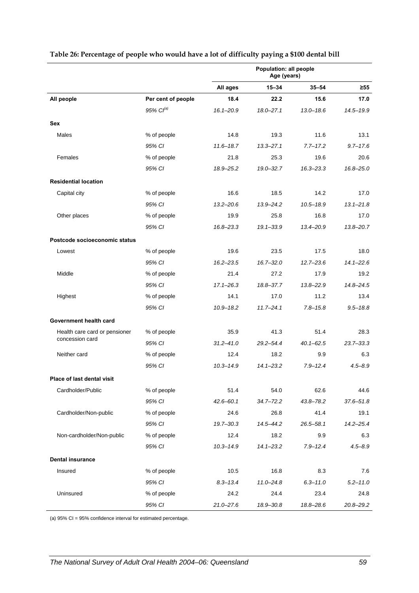|                               |                    | Population: all people<br>Age (years) |               |               |               |
|-------------------------------|--------------------|---------------------------------------|---------------|---------------|---------------|
|                               |                    | All ages                              | $15 - 34$     | $35 - 54$     | $\geq 55$     |
| All people                    | Per cent of people | 18.4                                  | 22.2          | 15.6          | 17.0          |
|                               | $95\%$ $Cl^{(a)}$  | $16.1 - 20.9$                         | $18.0 - 27.1$ | $13.0 - 18.6$ | $14.5 - 19.9$ |
| Sex                           |                    |                                       |               |               |               |
| Males                         | % of people        | 14.8                                  | 19.3          | 11.6          | 13.1          |
|                               | 95% CI             | $11.6 - 18.7$                         | $13.3 - 27.1$ | $7.7 - 17.2$  | $9.7 - 17.6$  |
| Females                       | % of people        | 21.8                                  | 25.3          | 19.6          | 20.6          |
|                               | 95% CI             | 18.9-25.2                             | $19.0 - 32.7$ | $16.3 - 23.3$ | 16.8-25.0     |
| <b>Residential location</b>   |                    |                                       |               |               |               |
| Capital city                  | % of people        | 16.6                                  | 18.5          | 14.2          | 17.0          |
|                               | 95% CI             | $13.2 - 20.6$                         | $13.9 - 24.2$ | $10.5 - 18.9$ | $13.1 - 21.8$ |
| Other places                  | % of people        | 19.9                                  | 25.8          | 16.8          | 17.0          |
|                               | 95% CI             | $16.8 - 23.3$                         | $19.1 - 33.9$ | 13.4-20.9     | $13.8 - 20.7$ |
| Postcode socioeconomic status |                    |                                       |               |               |               |
| Lowest                        | % of people        | 19.6                                  | 23.5          | 17.5          | 18.0          |
|                               | 95% CI             | $16.2 - 23.5$                         | $16.7 - 32.0$ | $12.7 - 23.6$ | $14.1 - 22.6$ |
| Middle                        | % of people        | 21.4                                  | 27.2          | 17.9          | 19.2          |
|                               | 95% CI             | $17.1 - 26.3$                         | 18.8-37.7     | $13.8 - 22.9$ | $14.8 - 24.5$ |
| Highest                       | % of people        | 14.1                                  | 17.0          | 11.2          | 13.4          |
|                               | 95% CI             | $10.9 - 18.2$                         | $11.7 - 24.1$ | $7.8 - 15.8$  | $9.5 - 18.8$  |
| Government health card        |                    |                                       |               |               |               |
| Health care card or pensioner | % of people        | 35.9                                  | 41.3          | 51.4          | 28.3          |
| concession card               | 95% CI             | $31.2 - 41.0$                         | $29.2 - 54.4$ | $40.1 - 62.5$ | $23.7 - 33.3$ |
| Neither card                  | % of people        | 12.4                                  | 18.2          | 9.9           | 6.3           |
|                               | 95% CI             | $10.3 - 14.9$                         | $14.1 - 23.2$ | $7.9 - 12.4$  | $4.5 - 8.9$   |
| Place of last dental visit    |                    |                                       |               |               |               |
| Cardholder/Public             | % of people        | 51.4                                  | 54.0          | 62.6          | 44.6          |
|                               | 95% CI             | $42.6 - 60.1$                         | $34.7 - 72.2$ | $43.8 - 78.2$ | $37.6 - 51.8$ |
| Cardholder/Non-public         | % of people        | 24.6                                  | 26.8          | 41.4          | 19.1          |
|                               | 95% CI             | $19.7 - 30.3$                         | 14.5-44.2     | $26.5 - 58.1$ | $14.2 - 25.4$ |
| Non-cardholder/Non-public     | % of people        | 12.4                                  | 18.2          | 9.9           | 6.3           |
|                               | 95% CI             | $10.3 - 14.9$                         | $14.1 - 23.2$ | $7.9 - 12.4$  | $4.5 - 8.9$   |
| <b>Dental insurance</b>       |                    |                                       |               |               |               |
| Insured                       | % of people        | 10.5                                  | 16.8          | 8.3           | 7.6           |
|                               | 95% CI             | $8.3 - 13.4$                          | $11.0 - 24.8$ | $6.3 - 11.0$  | $5.2 - 11.0$  |
| Uninsured                     | % of people        | 24.2                                  | 24.4          | 23.4          | 24.8          |
|                               | 95% CI             | $21.0 - 27.6$                         | 18.9-30.8     | 18.8-28.6     | 20.8-29.2     |

#### <span id="page-66-0"></span>**Table 26: Percentage of people who would have a lot of difficulty paying a \$100 dental bill**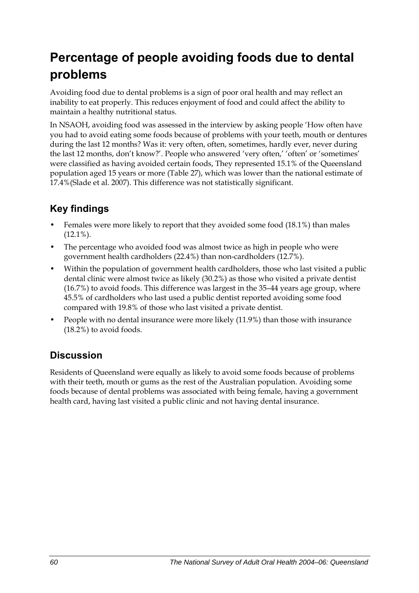# **Percentage of people avoiding foods due to dental problems**

Avoiding food due to dental problems is a sign of poor oral health and may reflect an inability to eat properly. This reduces enjoyment of food and could affect the ability to maintain a healthy nutritional status.

In NSAOH, avoiding food was assessed in the interview by asking people 'How often have you had to avoid eating some foods because of problems with your teeth, mouth or dentures during the last 12 months? Was it: very often, often, sometimes, hardly ever, never during the last 12 months, don't know?'. People who answered 'very often,' 'often' or 'sometimes' were classified as having avoided certain foods, They represented 15.1% of the Queensland population aged 15 years or more [\(Table 27\)](#page-68-0), which was lower than the national estimate of 17.4%(Slade et al. 2007). This difference was not statistically significant.

## **Key findings**

- Females were more likely to report that they avoided some food (18.1%) than males (12.1%).
- The percentage who avoided food was almost twice as high in people who were government health cardholders (22.4%) than non-cardholders (12.7%).
- Within the population of government health cardholders, those who last visited a public dental clinic were almost twice as likely (30.2%) as those who visited a private dentist (16.7%) to avoid foods. This difference was largest in the 35–44 years age group, where 45.5% of cardholders who last used a public dentist reported avoiding some food compared with 19.8% of those who last visited a private dentist.
- People with no dental insurance were more likely (11.9%) than those with insurance (18.2%) to avoid foods.

## **Discussion**

Residents of Queensland were equally as likely to avoid some foods because of problems with their teeth, mouth or gums as the rest of the Australian population. Avoiding some foods because of dental problems was associated with being female, having a government health card, having last visited a public clinic and not having dental insurance.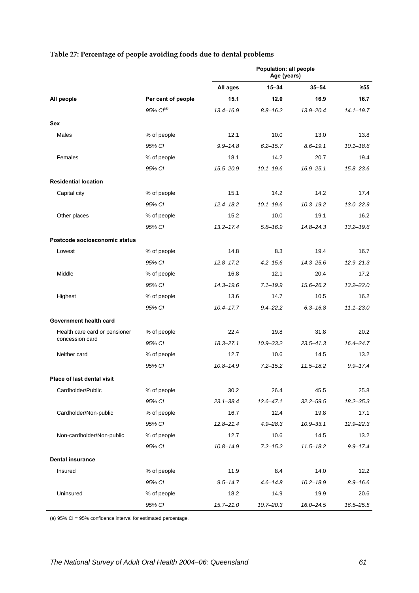|                               |                    | Population: all people<br>Age (years) |               |               |               |
|-------------------------------|--------------------|---------------------------------------|---------------|---------------|---------------|
|                               |                    | All ages                              | $15 - 34$     | $35 - 54$     | $\geq 55$     |
| All people                    | Per cent of people | 15.1                                  | 12.0          | 16.9          | 16.7          |
|                               | $95\%$ $Cl^{(a)}$  | $13.4 - 16.9$                         | $8.8 - 16.2$  | 13.9-20.4     | $14.1 - 19.7$ |
| Sex                           |                    |                                       |               |               |               |
| Males                         | % of people        | 12.1                                  | 10.0          | 13.0          | 13.8          |
|                               | 95% CI             | $9.9 - 14.8$                          | $6.2 - 15.7$  | $8.6 - 19.1$  | $10.1 - 18.6$ |
| Females                       | % of people        | 18.1                                  | 14.2          | 20.7          | 19.4          |
|                               | 95% CI             | 15.5-20.9                             | $10.1 - 19.6$ | $16.9 - 25.1$ | $15.8 - 23.6$ |
| <b>Residential location</b>   |                    |                                       |               |               |               |
| Capital city                  | % of people        | 15.1                                  | 14.2          | 14.2          | 17.4          |
|                               | 95% CI             | $12.4 - 18.2$                         | $10.1 - 19.6$ | $10.3 - 19.2$ | $13.0 - 22.9$ |
| Other places                  | % of people        | 15.2                                  | 10.0          | 19.1          | 16.2          |
|                               | 95% CI             | $13.2 - 17.4$                         | $5.8 - 16.9$  | $14.8 - 24.3$ | $13.2 - 19.6$ |
| Postcode socioeconomic status |                    |                                       |               |               |               |
| Lowest                        | % of people        | 14.8                                  | 8.3           | 19.4          | 16.7          |
|                               | 95% CI             | $12.8 - 17.2$                         | $4.2 - 15.6$  | $14.3 - 25.6$ | $12.9 - 21.3$ |
| Middle                        | % of people        | 16.8                                  | 12.1          | 20.4          | 17.2          |
|                               | 95% CI             | $14.3 - 19.6$                         | $7.1 - 19.9$  | $15.6 - 26.2$ | $13.2 - 22.0$ |
| Highest                       | % of people        | 13.6                                  | 14.7          | 10.5          | 16.2          |
|                               | 95% CI             | $10.4 - 17.7$                         | $9.4 - 22.2$  | $6.3 - 16.8$  | $11.1 - 23.0$ |
| Government health card        |                    |                                       |               |               |               |
| Health care card or pensioner | % of people        | 22.4                                  | 19.8          | 31.8          | 20.2          |
| concession card               | 95% CI             | $18.3 - 27.1$                         | $10.9 - 33.2$ | $23.5 - 41.3$ | 16.4-24.7     |
| Neither card                  | % of people        | 12.7                                  | 10.6          | 14.5          | 13.2          |
|                               | 95% CI             | $10.8 - 14.9$                         | $7.2 - 15.2$  | $11.5 - 18.2$ | $9.9 - 17.4$  |
| Place of last dental visit    |                    |                                       |               |               |               |
| Cardholder/Public             | % of people        | 30.2                                  | 26.4          | 45.5          | 25.8          |
|                               | 95% CI             | $23.1 - 38.4$                         | $12.6 - 47.1$ | $32.2 - 59.5$ | $18.2 - 35.3$ |
| Cardholder/Non-public         | % of people        | 16.7                                  | 12.4          | 19.8          | 17.1          |
|                               | 95% CI             | $12.8 - 21.4$                         | $4.9 - 28.3$  | $10.9 - 33.1$ | $12.9 - 22.3$ |
| Non-cardholder/Non-public     | % of people        | 12.7                                  | 10.6          | 14.5          | 13.2          |
|                               | 95% CI             | $10.8 - 14.9$                         | $7.2 - 15.2$  | $11.5 - 18.2$ | $9.9 - 17.4$  |
| <b>Dental insurance</b>       |                    |                                       |               |               |               |
| Insured                       | % of people        | 11.9                                  | 8.4           | 14.0          | 12.2          |
|                               | 95% CI             | $9.5 - 14.7$                          | $4.6 - 14.8$  | $10.2 - 18.9$ | $8.9 - 16.6$  |
| Uninsured                     | % of people        | 18.2                                  | 14.9          | 19.9          | 20.6          |
|                               | 95% CI             | $15.7 - 21.0$                         | $10.7 - 20.3$ | $16.0 - 24.5$ | 16.5-25.5     |

#### <span id="page-68-0"></span>**Table 27: Percentage of people avoiding foods due to dental problems**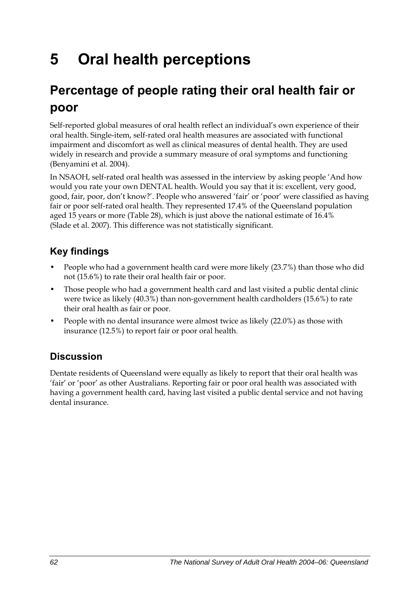# **5 Oral health perceptions**

# **Percentage of people rating their oral health fair or poor**

Self-reported global measures of oral health reflect an individual's own experience of their oral health. Single-item, self-rated oral health measures are associated with functional impairment and discomfort as well as clinical measures of dental health. They are used widely in research and provide a summary measure of oral symptoms and functioning (Benyamini et al. 2004).

In NSAOH, self-rated oral health was assessed in the interview by asking people 'And how would you rate your own DENTAL health. Would you say that it is: excellent, very good, good, fair, poor, don't know?'. People who answered 'fair' or 'poor' were classified as having fair or poor self-rated oral health. They represented 17.4% of the Queensland population aged 15 years or more [\(Table 28](#page-70-0)), which is just above the national estimate of 16.4% (Slade et al. 2007). This difference was not statistically significant.

## **Key findings**

- People who had a government health card were more likely (23.7%) than those who did not (15.6%) to rate their oral health fair or poor.
- Those people who had a government health card and last visited a public dental clinic were twice as likely (40.3%) than non-government health cardholders (15.6%) to rate their oral health as fair or poor.
- People with no dental insurance were almost twice as likely (22.0%) as those with insurance (12.5%) to report fair or poor oral health.

## **Discussion**

Dentate residents of Queensland were equally as likely to report that their oral health was 'fair' or 'poor' as other Australians. Reporting fair or poor oral health was associated with having a government health card, having last visited a public dental service and not having dental insurance.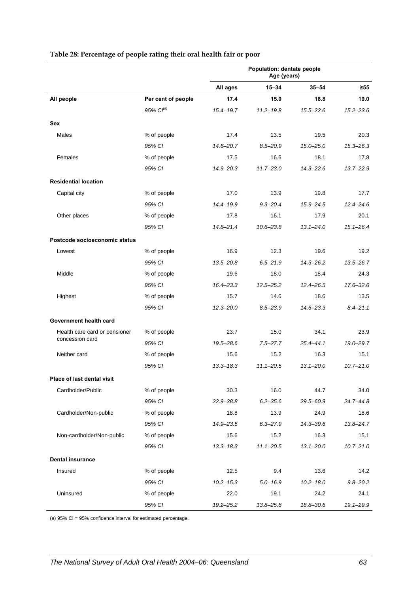<span id="page-70-0"></span>

|                                                  |                       | Population: dentate people<br>Age (years) |               |               |               |
|--------------------------------------------------|-----------------------|-------------------------------------------|---------------|---------------|---------------|
|                                                  |                       | All ages                                  | $15 - 34$     | $35 - 54$     | $\geq 55$     |
| All people                                       | Per cent of people    | 17.4                                      | 15.0          | 18.8          | 19.0          |
|                                                  | 95% Cl <sup>(a)</sup> | $15.4 - 19.7$                             | $11.2 - 19.8$ | $15.5 - 22.6$ | $15.2 - 23.6$ |
| <b>Sex</b>                                       |                       |                                           |               |               |               |
| Males                                            | % of people           | 17.4                                      | 13.5          | 19.5          | 20.3          |
|                                                  | 95% CI                | 14.6-20.7                                 | $8.5 - 20.9$  | $15.0 - 25.0$ | $15.3 - 26.3$ |
| Females                                          | % of people           | 17.5                                      | 16.6          | 18.1          | 17.8          |
|                                                  | 95% CI                | 14.9-20.3                                 | $11.7 - 23.0$ | $14.3 - 22.6$ | $13.7 - 22.9$ |
| <b>Residential location</b>                      |                       |                                           |               |               |               |
| Capital city                                     | % of people           | 17.0                                      | 13.9          | 19.8          | 17.7          |
|                                                  | 95% CI                | $14.4 - 19.9$                             | $9.3 - 20.4$  | 15.9-24.5     | $12.4 - 24.6$ |
| Other places                                     | % of people           | 17.8                                      | 16.1          | 17.9          | 20.1          |
|                                                  | 95% CI                | $14.8 - 21.4$                             | $10.6 - 23.8$ | $13.1 - 24.0$ | $15.1 - 26.4$ |
| Postcode socioeconomic status                    |                       |                                           |               |               |               |
| Lowest                                           | % of people           | 16.9                                      | 12.3          | 19.6          | 19.2          |
|                                                  | 95% CI                | $13.5 - 20.8$                             | $6.5 - 21.9$  | $14.3 - 26.2$ | $13.5 - 26.7$ |
| Middle                                           | % of people           | 19.6                                      | 18.0          | 18.4          | 24.3          |
|                                                  | 95% CI                | $16.4 - 23.3$                             | $12.5 - 25.2$ | $12.4 - 26.5$ | 17.6-32.6     |
| Highest                                          | % of people           | 15.7                                      | 14.6          | 18.6          | 13.5          |
|                                                  | 95% CI                | $12.3 - 20.0$                             | $8.5 - 23.9$  | $14.6 - 23.3$ | $8.4 - 21.1$  |
| Government health card                           |                       |                                           |               |               |               |
| Health care card or pensioner<br>concession card | % of people           | 23.7                                      | 15.0          | 34.1          | 23.9          |
|                                                  | 95% CI                | 19.5-28.6                                 | $7.5 - 27.7$  | $25.4 - 44.1$ | 19.0-29.7     |
| Neither card                                     | % of people           | 15.6                                      | 15.2          | 16.3          | 15.1          |
|                                                  | 95% CI                | $13.3 - 18.3$                             | $11.1 - 20.5$ | $13.1 - 20.0$ | $10.7 - 21.0$ |
| Place of last dental visit                       |                       |                                           |               |               |               |
| Cardholder/Public                                | % of people           | 30.3                                      | 16.0          | 44.7          | 34.0          |
|                                                  | 95% CI                | 22.9-38.8                                 | $6.2 - 35.6$  | 29.5-60.9     | $24.7 - 44.8$ |
| Cardholder/Non-public                            | % of people           | 18.8                                      | 13.9          | 24.9          | 18.6          |
|                                                  | 95% CI                | 14.9-23.5                                 | $6.3 - 27.9$  | $14.3 - 39.6$ | $13.8 - 24.7$ |
| Non-cardholder/Non-public                        | % of people           | 15.6                                      | 15.2          | 16.3          | 15.1          |
|                                                  | 95% CI                | $13.3 - 18.3$                             | $11.1 - 20.5$ | $13.1 - 20.0$ | $10.7 - 21.0$ |
| <b>Dental insurance</b>                          |                       |                                           |               |               |               |
| Insured                                          | % of people           | 12.5                                      | 9.4           | 13.6          | 14.2          |
|                                                  | 95% CI                | $10.2 - 15.3$                             | $5.0 - 16.9$  | $10.2 - 18.0$ | $9.8 - 20.2$  |
| Uninsured                                        | % of people           | 22.0                                      | 19.1          | 24.2          | 24.1          |
|                                                  | 95% CI                | $19.2 - 25.2$                             | 13.8-25.8     | 18.8-30.6     | 19.1-29.9     |

#### **Table 28: Percentage of people rating their oral health fair or poor**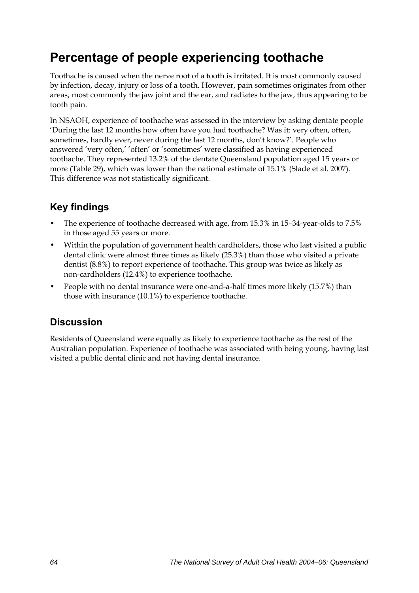## **Percentage of people experiencing toothache**

Toothache is caused when the nerve root of a tooth is irritated. It is most commonly caused by infection, decay, injury or loss of a tooth. However, pain sometimes originates from other areas, most commonly the jaw joint and the ear, and radiates to the jaw, thus appearing to be tooth pain.

In NSAOH, experience of toothache was assessed in the interview by asking dentate people 'During the last 12 months how often have you had toothache? Was it: very often, often, sometimes, hardly ever, never during the last 12 months, don't know?'. People who answered 'very often,' 'often' or 'sometimes' were classified as having experienced toothache. They represented 13.2% of the dentate Queensland population aged 15 years or more ([Table 29](#page-72-0)), which was lower than the national estimate of 15.1% (Slade et al. 2007). This difference was not statistically significant.

## **Key findings**

- The experience of toothache decreased with age, from 15.3% in 15–34-year-olds to 7.5% in those aged 55 years or more.
- Within the population of government health cardholders, those who last visited a public dental clinic were almost three times as likely (25.3%) than those who visited a private dentist (8.8%) to report experience of toothache. This group was twice as likely as non-cardholders (12.4%) to experience toothache.
- People with no dental insurance were one-and-a-half times more likely (15.7%) than those with insurance (10.1%) to experience toothache.

## **Discussion**

Residents of Queensland were equally as likely to experience toothache as the rest of the Australian population. Experience of toothache was associated with being young, having last visited a public dental clinic and not having dental insurance.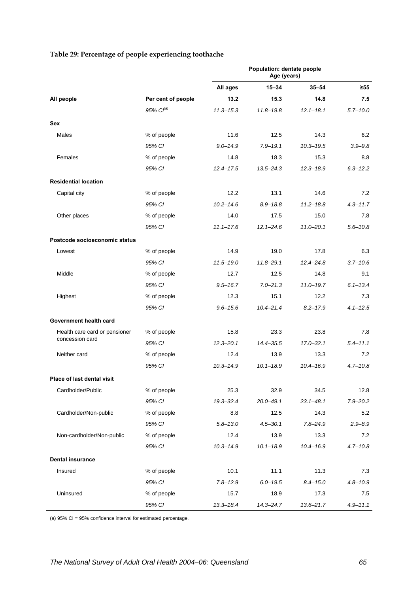|                               |                       | Population: dentate people<br>Age (years) |               |               |              |
|-------------------------------|-----------------------|-------------------------------------------|---------------|---------------|--------------|
|                               |                       | All ages                                  | $15 - 34$     | $35 - 54$     | $\geq 55$    |
| All people                    | Per cent of people    | 13.2                                      | 15.3          | 14.8          | 7.5          |
|                               | 95% Cl <sup>(a)</sup> | $11.3 - 15.3$                             | $11.8 - 19.8$ | $12.1 - 18.1$ | $5.7 - 10.0$ |
| Sex                           |                       |                                           |               |               |              |
| Males                         | % of people           | 11.6                                      | 12.5          | 14.3          | 6.2          |
|                               | 95% CI                | $9.0 - 14.9$                              | $7.9 - 19.1$  | $10.3 - 19.5$ | $3.9 - 9.8$  |
| Females                       | % of people           | 14.8                                      | 18.3          | 15.3          | 8.8          |
|                               | 95% CI                | $12.4 - 17.5$                             | $13.5 - 24.3$ | $12.3 - 18.9$ | $6.3 - 12.2$ |
| <b>Residential location</b>   |                       |                                           |               |               |              |
| Capital city                  | % of people           | 12.2                                      | 13.1          | 14.6          | 7.2          |
|                               | 95% CI                | $10.2 - 14.6$                             | $8.9 - 18.8$  | $11.2 - 18.8$ | $4.3 - 11.7$ |
| Other places                  | % of people           | 14.0                                      | 17.5          | 15.0          | 7.8          |
|                               | 95% CI                | $11.1 - 17.6$                             | $12.1 - 24.6$ | $11.0 - 20.1$ | $5.6 - 10.8$ |
| Postcode socioeconomic status |                       |                                           |               |               |              |
| Lowest                        | % of people           | 14.9                                      | 19.0          | 17.8          | 6.3          |
|                               | 95% CI                | $11.5 - 19.0$                             | $11.8 - 29.1$ | $12.4 - 24.8$ | $3.7 - 10.6$ |
| Middle                        | % of people           | 12.7                                      | 12.5          | 14.8          | 9.1          |
|                               | 95% CI                | $9.5 - 16.7$                              | $7.0 - 21.3$  | $11.0 - 19.7$ | $6.1 - 13.4$ |
| Highest                       | % of people           | 12.3                                      | 15.1          | 12.2          | 7.3          |
|                               | 95% CI                | $9.6 - 15.6$                              | $10.4 - 21.4$ | $8.2 - 17.9$  | $4.1 - 12.5$ |
| Government health card        |                       |                                           |               |               |              |
| Health care card or pensioner | % of people           | 15.8                                      | 23.3          | 23.8          | 7.8          |
| concession card               | 95% CI                | $12.3 - 20.1$                             | $14.4 - 35.5$ | $17.0 - 32.1$ | $5.4 - 11.1$ |
| Neither card                  | % of people           | 12.4                                      | 13.9          | 13.3          | 7.2          |
|                               | 95% CI                | $10.3 - 14.9$                             | $10.1 - 18.9$ | $10.4 - 16.9$ | $4.7 - 10.8$ |
| Place of last dental visit    |                       |                                           |               |               |              |
| Cardholder/Public             | % of people           | 25.3                                      | 32.9          | 34.5          | 12.8         |
|                               | 95% CI                | $19.3 - 32.4$                             | $20.0 - 49.1$ | $23.1 - 48.1$ | $7.9 - 20.2$ |
| Cardholder/Non-public         | % of people           | 8.8                                       | 12.5          | 14.3          | 5.2          |
|                               | 95% CI                | $5.8 - 13.0$                              | $4.5 - 30.1$  | $7.8 - 24.9$  | $2.9 - 8.9$  |
| Non-cardholder/Non-public     | % of people           | 12.4                                      | 13.9          | 13.3          | 7.2          |
|                               | 95% CI                | $10.3 - 14.9$                             | $10.1 - 18.9$ | $10.4 - 16.9$ | $4.7 - 10.8$ |
| <b>Dental insurance</b>       |                       |                                           |               |               |              |
| Insured                       | % of people           | 10.1                                      | 11.1          | 11.3          | 7.3          |
|                               | 95% CI                | $7.8 - 12.9$                              | $6.0 - 19.5$  | $8.4 - 15.0$  | $4.8 - 10.9$ |
| Uninsured                     | % of people           | 15.7                                      | 18.9          | 17.3          | 7.5          |
|                               | 95% CI                | $13.3 - 18.4$                             | $14.3 - 24.7$ | $13.6 - 21.7$ | $4.9 - 11.1$ |

#### <span id="page-72-0"></span>**Table 29: Percentage of people experiencing toothache**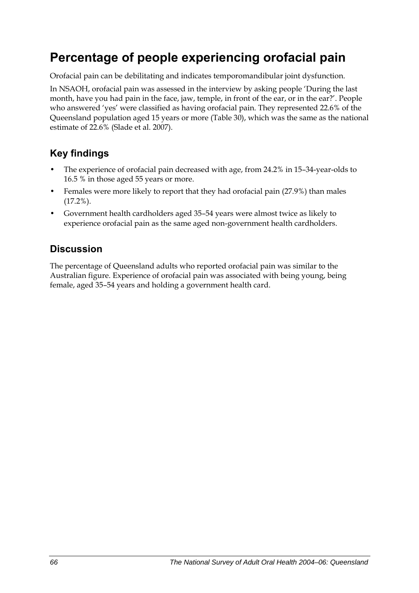## **Percentage of people experiencing orofacial pain**

Orofacial pain can be debilitating and indicates temporomandibular joint dysfunction.

In NSAOH, orofacial pain was assessed in the interview by asking people 'During the last month, have you had pain in the face, jaw, temple, in front of the ear, or in the ear?'. People who answered 'yes' were classified as having orofacial pain. They represented 22.6% of the Queensland population aged 15 years or more [\(Table 30\)](#page-74-0), which was the same as the national estimate of 22.6% (Slade et al. 2007).

### **Key findings**

- The experience of orofacial pain decreased with age, from 24.2% in 15–34-year-olds to 16.5 % in those aged 55 years or more.
- Females were more likely to report that they had orofacial pain (27.9%) than males (17.2%).
- Government health cardholders aged 35–54 years were almost twice as likely to experience orofacial pain as the same aged non-government health cardholders.

## **Discussion**

The percentage of Queensland adults who reported orofacial pain was similar to the Australian figure. Experience of orofacial pain was associated with being young, being female, aged 35–54 years and holding a government health card.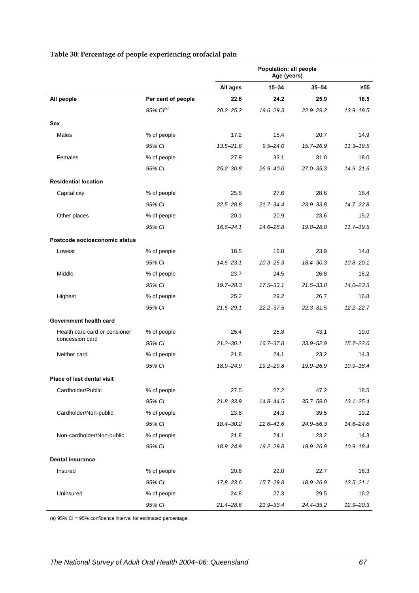|                               |                       | Population: all people<br>Age (years) |               |               |               |
|-------------------------------|-----------------------|---------------------------------------|---------------|---------------|---------------|
|                               |                       | All ages                              | $15 - 34$     | $35 - 54$     | ≥55           |
| All people                    | Per cent of people    | 22.6                                  | 24.2          | 25.9          | 16.5          |
|                               | 95% Cl <sup>(a)</sup> | $20.2 - 25.2$                         | $19.6 - 29.3$ | $22.9 - 29.2$ | $13.9 - 19.5$ |
| <b>Sex</b>                    |                       |                                       |               |               |               |
| Males                         | % of people           | 17.2                                  | 15.4          | 20.7          | 14.9          |
|                               | 95% CI                | $13.5 - 21.6$                         | $9.5 - 24.0$  | $15.7 - 26.9$ | $11.3 - 19.5$ |
| Females                       | % of people           | 27.9                                  | 33.1          | 31.0          | 18.0          |
|                               | 95% CI                | $25.2 - 30.8$                         | 26.9-40.0     | $27.0 - 35.3$ | $14.9 - 21.6$ |
| <b>Residential location</b>   |                       |                                       |               |               |               |
| Capital city                  | % of people           | 25.5                                  | 27.6          | 28.6          | 18.4          |
|                               | 95% CI                | $22.5 - 28.8$                         | $21.7 - 34.4$ | $23.9 - 33.8$ | $14.7 - 22.8$ |
| Other places                  | % of people           | 20.1                                  | 20.9          | 23.6          | 15.2          |
|                               | 95% CI                | $16.6 - 24.1$                         | $14.6 - 28.8$ | 19.8-28.0     | $11.7 - 19.5$ |
| Postcode socioeconomic status |                       |                                       |               |               |               |
| Lowest                        | % of people           | 18.5                                  | 16.8          | 23.9          | 14.8          |
|                               | 95% CI                | $14.6 - 23.1$                         | $10.3 - 26.3$ | 18.4-30.3     | $10.8 - 20.1$ |
| Middle                        | % of people           | 23.7                                  | 24.5          | 26.8          | 18.2          |
|                               | 95% CI                | $19.7 - 28.3$                         | $17.5 - 33.1$ | $21.5 - 33.0$ | $14.0 - 23.3$ |
| Highest                       | % of people           | 25.2                                  | 29.2          | 26.7          | 16.8          |
|                               | 95% CI                | $21.6 - 29.1$                         | $22.2 - 37.5$ | $22.3 - 31.5$ | $12.2 - 22.7$ |
| Government health card        |                       |                                       |               |               |               |
| Health care card or pensioner | % of people           | 25.4                                  | 25.8          | 43.1          | 19.0          |
| concession card               | 95% CI                | $21.2 - 30.1$                         | $16.7 - 37.8$ | $33.9 - 52.9$ | $15.7 - 22.6$ |
| Neither card                  | % of people           | 21.8                                  | 24.1          | 23.2          | 14.3          |
|                               | 95% CI                | 18.9-24.9                             | $19.2 - 29.8$ | 19.9-26.9     | $10.9 - 18.4$ |
| Place of last dental visit    |                       |                                       |               |               |               |
| Cardholder/Public             | % of people           | 27.5                                  | 27.2          | 47.2          | 18.5          |
|                               | 95% CI                | 21.8-33.9                             | 14.8-44.5     | $35.7 - 59.0$ | $13.1 - 25.4$ |
| Cardholder/Non-public         | % of people           | 23.8                                  | 24.3          | 39.5          | 19.2          |
|                               | 95% CI                | 18.4-30.2                             | $12.6 - 41.6$ | 24.9-56.3     | $14.6 - 24.8$ |
| Non-cardholder/Non-public     | % of people           | 21.8                                  | 24.1          | 23.2          | 14.3          |
|                               | 95% CI                | 18.9-24.9                             | $19.2 - 29.8$ | 19.9-26.9     | $10.9 - 18.4$ |
| <b>Dental insurance</b>       |                       |                                       |               |               |               |
| Insured                       | % of people           | 20.6                                  | 22.0          | 22.7          | 16.3          |
|                               | 95% CI                | $17.8 - 23.6$                         | $15.7 - 29.8$ | 18.9-26.9     | $12.5 - 21.1$ |
| Uninsured                     | % of people           | 24.8                                  | 27.3          | 29.5          | 16.2          |
|                               | 95% CI                | 21.4-28.6                             | 21.9-33.4     | 24.4-35.2     | $12.9 - 20.3$ |

#### <span id="page-74-1"></span><span id="page-74-0"></span>**Table 30: Percentage of people experiencing orofacial pain**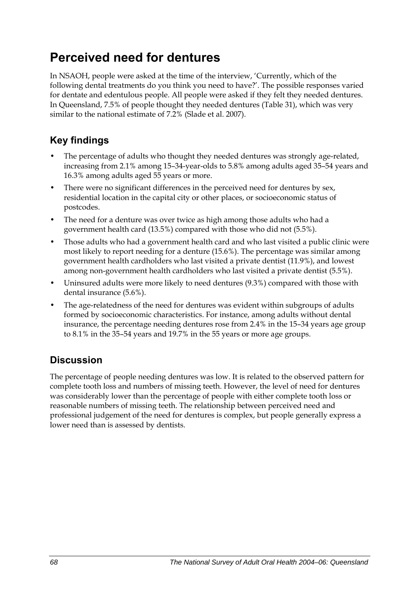## **Perceived need for dentures**

In NSAOH, people were asked at the time of the interview, 'Currently, which of the following dental treatments do you think you need to have?'. The possible responses varied for dentate and edentulous people. All people were asked if they felt they needed dentures. In Queensland, 7.5% of people thought they needed dentures [\(Table 31\)](#page-76-0), which was very similar to the national estimate of 7.2% (Slade et al. 2007).

### **Key findings**

- The percentage of adults who thought they needed dentures was strongly age-related, increasing from 2.1% among 15–34-year-olds to 5.8% among adults aged 35–54 years and 16.3% among adults aged 55 years or more.
- There were no significant differences in the perceived need for dentures by sex, residential location in the capital city or other places, or socioeconomic status of postcodes.
- The need for a denture was over twice as high among those adults who had a government health card (13.5%) compared with those who did not (5.5%).
- Those adults who had a government health card and who last visited a public clinic were most likely to report needing for a denture (15.6%). The percentage was similar among government health cardholders who last visited a private dentist (11.9%), and lowest among non-government health cardholders who last visited a private dentist (5.5%).
- Uninsured adults were more likely to need dentures (9.3%) compared with those with dental insurance (5.6%).
- The age-relatedness of the need for dentures was evident within subgroups of adults formed by socioeconomic characteristics. For instance, among adults without dental insurance, the percentage needing dentures rose from 2.4% in the 15–34 years age group to 8.1% in the 35–54 years and 19.7% in the 55 years or more age groups.

### **Discussion**

The percentage of people needing dentures was low. It is related to the observed pattern for complete tooth loss and numbers of missing teeth. However, the level of need for dentures was considerably lower than the percentage of people with either complete tooth loss or reasonable numbers of missing teeth. The relationship between perceived need and professional judgement of the need for dentures is complex, but people generally express a lower need than is assessed by dentists.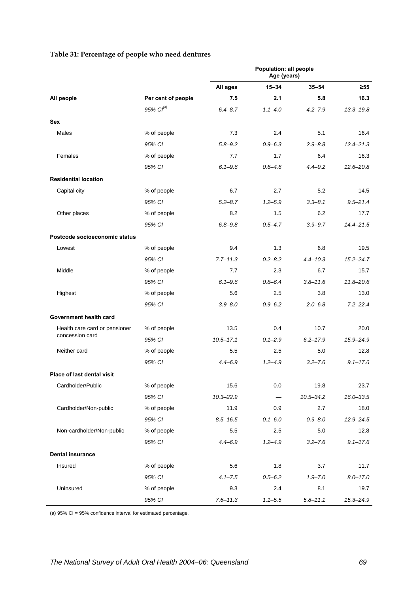<span id="page-76-0"></span>

|                               |                    | Population: all people<br>Age (years) |             |               |               |
|-------------------------------|--------------------|---------------------------------------|-------------|---------------|---------------|
|                               |                    | All ages                              | $15 - 34$   | $35 - 54$     | $\geq 55$     |
| All people                    | Per cent of people | 7.5                                   | 2.1         | 5.8           | 16.3          |
|                               | $95\%$ $Cl^{(a)}$  | $6.4 - 8.7$                           | $1.1 - 4.0$ | $4.2 - 7.9$   | $13.3 - 19.8$ |
| <b>Sex</b>                    |                    |                                       |             |               |               |
| Males                         | % of people        | 7.3                                   | 2.4         | 5.1           | 16.4          |
|                               | 95% CI             | $5.8 - 9.2$                           | $0.9 - 6.3$ | $2.9 - 8.8$   | $12.4 - 21.3$ |
| Females                       | % of people        | 7.7                                   | 1.7         | 6.4           | 16.3          |
|                               | 95% CI             | $6.1 - 9.6$                           | $0.6 - 4.6$ | $4.4 - 9.2$   | $12.6 - 20.8$ |
| <b>Residential location</b>   |                    |                                       |             |               |               |
| Capital city                  | % of people        | 6.7                                   | 2.7         | 5.2           | 14.5          |
|                               | 95% CI             | $5.2 - 8.7$                           | $1.2 - 5.9$ | $3.3 - 8.1$   | $9.5 - 21.4$  |
| Other places                  | % of people        | 8.2                                   | 1.5         | 6.2           | 17.7          |
|                               | 95% CI             | $6.8 - 9.8$                           | $0.5 - 4.7$ | $3.9 - 9.7$   | $14.4 - 21.5$ |
| Postcode socioeconomic status |                    |                                       |             |               |               |
| Lowest                        | % of people        | 9.4                                   | 1.3         | 6.8           | 19.5          |
|                               | 95% CI             | $7.7 - 11.3$                          | $0.2 - 8.2$ | $4.4 - 10.3$  | $15.2 - 24.7$ |
| Middle                        | % of people        | 7.7                                   | 2.3         | 6.7           | 15.7          |
|                               | 95% CI             | $6.1 - 9.6$                           | $0.8 - 6.4$ | $3.8 - 11.6$  | $11.8 - 20.6$ |
| Highest                       | % of people        | 5.6                                   | 2.5         | 3.8           | 13.0          |
|                               | 95% CI             | $3.9 - 8.0$                           | $0.9 - 6.2$ | $2.0 - 6.8$   | $7.2 - 22.4$  |
| Government health card        |                    |                                       |             |               |               |
| Health care card or pensioner | % of people        | 13.5                                  | 0.4         | 10.7          | 20.0          |
| concession card               | 95% CI             | $10.5 - 17.1$                         | $0.1 - 2.9$ | $6.2 - 17.9$  | 15.9-24.9     |
| Neither card                  | % of people        | $5.5\,$                               | 2.5         | 5.0           | 12.8          |
|                               | 95% CI             | $4.4 - 6.9$                           | $1.2 - 4.9$ | $3.2 - 7.6$   | $9.1 - 17.6$  |
| Place of last dental visit    |                    |                                       |             |               |               |
| Cardholder/Public             | % of people        | 15.6                                  | 0.0         | 19.8          | 23.7          |
|                               | 95% CI             | $10.3 - 22.9$                         |             | $10.5 - 34.2$ | $16.0 - 33.5$ |
| Cardholder/Non-public         | % of people        | 11.9                                  | 0.9         | 2.7           | 18.0          |
|                               | 95% CI             | $8.5 - 16.5$                          | $0.1 - 6.0$ | $0.9 - 8.0$   | $12.9 - 24.5$ |
| Non-cardholder/Non-public     | % of people        | 5.5                                   | 2.5         | 5.0           | 12.8          |
|                               | 95% CI             | $4.4 - 6.9$                           | $1.2 - 4.9$ | $3.2 - 7.6$   | $9.1 - 17.6$  |
| <b>Dental insurance</b>       |                    |                                       |             |               |               |
| Insured                       | % of people        | 5.6                                   | 1.8         | 3.7           | 11.7          |
|                               | 95% CI             | $4.1 - 7.5$                           | $0.5 - 6.2$ | $1.9 - 7.0$   | $8.0 - 17.0$  |
| Uninsured                     | % of people        | 9.3                                   | 2.4         | 8.1           | 19.7          |
|                               | 95% CI             | $7.6 - 11.3$                          | $1.1 - 5.5$ | $5.8 - 11.1$  | $15.3 - 24.9$ |

#### <span id="page-76-1"></span>**Table 31: Percentage of people who need dentures**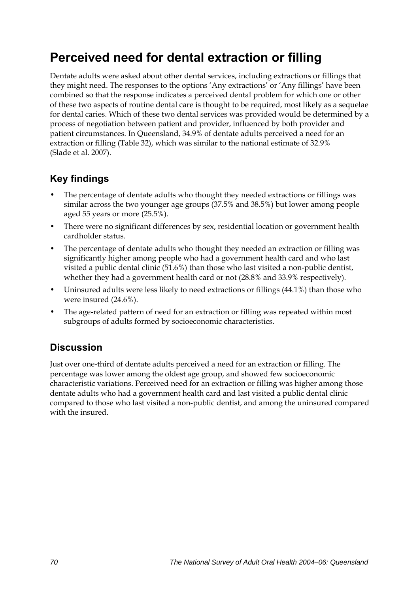## **Perceived need for dental extraction or filling**

Dentate adults were asked about other dental services, including extractions or fillings that they might need. The responses to the options 'Any extractions' or 'Any fillings' have been combined so that the response indicates a perceived dental problem for which one or other of these two aspects of routine dental care is thought to be required, most likely as a sequelae for dental caries. Which of these two dental services was provided would be determined by a process of negotiation between patient and provider, influenced by both provider and patient circumstances. In Queensland, 34.9% of dentate adults perceived a need for an extraction or filling ([Table 32](#page-78-0)), which was similar to the national estimate of 32.9% (Slade et al. 2007).

### **Key findings**

- The percentage of dentate adults who thought they needed extractions or fillings was similar across the two younger age groups (37.5% and 38.5%) but lower among people aged 55 years or more (25.5%).
- There were no significant differences by sex, residential location or government health cardholder status.
- The percentage of dentate adults who thought they needed an extraction or filling was significantly higher among people who had a government health card and who last visited a public dental clinic (51.6%) than those who last visited a non-public dentist, whether they had a government health card or not (28.8% and 33.9% respectively).
- Uninsured adults were less likely to need extractions or fillings (44.1%) than those who were insured (24.6%).
- The age-related pattern of need for an extraction or filling was repeated within most subgroups of adults formed by socioeconomic characteristics.

## **Discussion**

Just over one-third of dentate adults perceived a need for an extraction or filling. The percentage was lower among the oldest age group, and showed few socioeconomic characteristic variations. Perceived need for an extraction or filling was higher among those dentate adults who had a government health card and last visited a public dental clinic compared to those who last visited a non-public dentist, and among the uninsured compared with the insured.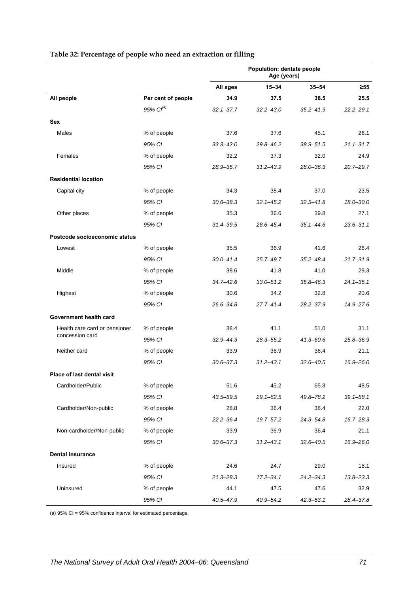<span id="page-78-0"></span>

|                               |                       | Population: dentate people<br>Age (years) |               |               |               |
|-------------------------------|-----------------------|-------------------------------------------|---------------|---------------|---------------|
|                               |                       | All ages                                  | $15 - 34$     | $35 - 54$     | ≥55           |
| All people                    | Per cent of people    | 34.9                                      | 37.5          | 38.5          | 25.5          |
|                               | 95% Cl <sup>(a)</sup> | $32.1 - 37.7$                             | $32.2 - 43.0$ | $35.2 - 41.9$ | $22.2 - 29.1$ |
| <b>Sex</b>                    |                       |                                           |               |               |               |
| Males                         | % of people           | 37.6                                      | 37.6          | 45.1          | 26.1          |
|                               | 95% CI                | $33.3 - 42.0$                             | 29.8-46.2     | $38.9 - 51.5$ | $21.1 - 31.7$ |
| Females                       | % of people           | 32.2                                      | 37.3          | 32.0          | 24.9          |
|                               | 95% CI                | 28.9-35.7                                 | $31.2 - 43.9$ | $28.0 - 36.3$ | $20.7 - 29.7$ |
| <b>Residential location</b>   |                       |                                           |               |               |               |
| Capital city                  | % of people           | 34.3                                      | 38.4          | 37.0          | 23.5          |
|                               | 95% CI                | $30.6 - 38.3$                             | $32.1 - 45.2$ | $32.5 - 41.8$ | $18.0 - 30.0$ |
| Other places                  | % of people           | 35.3                                      | 36.6          | 39.8          | 27.1          |
|                               | 95% CI                | $31.4 - 39.5$                             | 28.6-45.4     | $35.1 - 44.6$ | $23.6 - 31.1$ |
| Postcode socioeconomic status |                       |                                           |               |               |               |
| Lowest                        | % of people           | 35.5                                      | 36.9          | 41.6          | 26.4          |
|                               | 95% CI                | $30.0 - 41.4$                             | $25.7 - 49.7$ | $35.2 - 48.4$ | $21.7 - 31.9$ |
| Middle                        | % of people           | 38.6                                      | 41.8          | 41.0          | 29.3          |
|                               | 95% CI                | $34.7 - 42.6$                             | $33.0 - 51.2$ | $35.8 - 46.3$ | $24.1 - 35.1$ |
| Highest                       | % of people           | 30.6                                      | 34.2          | 32.8          | 20.6          |
|                               | 95% CI                | 26.6-34.8                                 | $27.7 - 41.4$ | $28.2 - 37.9$ | 14.9-27.6     |
| Government health card        |                       |                                           |               |               |               |
| Health care card or pensioner | % of people           | 38.4                                      | 41.1          | 51.0          | 31.1          |
| concession card               | 95% CI                | $32.9 - 44.3$                             | $28.3 - 55.2$ | $41.3 - 60.6$ | $25.8 - 36.9$ |
| Neither card                  | % of people           | 33.9                                      | 36.9          | 36.4          | 21.1          |
|                               | 95% CI                | $30.6 - 37.3$                             | $31.2 - 43.1$ | $32.6 - 40.5$ | $16.9 - 26.0$ |
| Place of last dental visit    |                       |                                           |               |               |               |
| Cardholder/Public             | % of people           | 51.6                                      | 45.2          | 65.3          | 48.5          |
|                               | 95% CI                | 43.5-59.5                                 | $29.1 - 62.5$ | 49.8-78.2     | $39.1 - 58.1$ |
| Cardholder/Non-public         | % of people           | 28.8                                      | 36.4          | 38.4          | 22.0          |
|                               | 95% CI                | 22.2-36.4                                 | 19.7-57.2     | $24.3 - 54.8$ | 16.7-28.3     |
| Non-cardholder/Non-public     | % of people           | 33.9                                      | 36.9          | 36.4          | 21.1          |
|                               | 95% CI                | $30.6 - 37.3$                             | $31.2 - 43.1$ | $32.6 - 40.5$ | 16.9-26.0     |
| <b>Dental insurance</b>       |                       |                                           |               |               |               |
| Insured                       | % of people           | 24.6                                      | 24.7          | 29.0          | 18.1          |
|                               | 95% CI                | $21.3 - 28.3$                             | $17.2 - 34.1$ | $24.2 - 34.3$ | 13.8-23.3     |
| Uninsured                     | % of people           | 44.1                                      | 47.5          | 47.6          | 32.9          |
|                               | 95% CI                | 40.5-47.9                                 | $40.9 - 54.2$ | $42.3 - 53.1$ | 28.4-37.8     |

#### <span id="page-78-1"></span>**Table 32: Percentage of people who need an extraction or filling**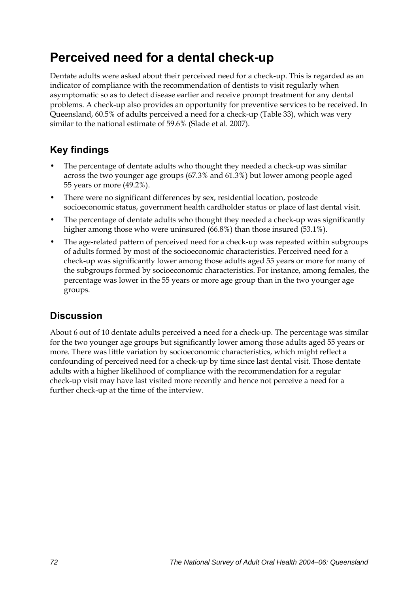## **Perceived need for a dental check-up**

Dentate adults were asked about their perceived need for a check-up. This is regarded as an indicator of compliance with the recommendation of dentists to visit regularly when asymptomatic so as to detect disease earlier and receive prompt treatment for any dental problems. A check-up also provides an opportunity for preventive services to be received. In Queensland, 60.5% of adults perceived a need for a check-up ([Table 33](#page-80-0)), which was very similar to the national estimate of 59.6% (Slade et al. 2007).

## **Key findings**

- The percentage of dentate adults who thought they needed a check-up was similar across the two younger age groups (67.3% and 61.3%) but lower among people aged 55 years or more (49.2%).
- There were no significant differences by sex, residential location, postcode socioeconomic status, government health cardholder status or place of last dental visit.
- The percentage of dentate adults who thought they needed a check-up was significantly higher among those who were uninsured (66.8%) than those insured (53.1%).
- The age-related pattern of perceived need for a check-up was repeated within subgroups of adults formed by most of the socioeconomic characteristics. Perceived need for a check-up was significantly lower among those adults aged 55 years or more for many of the subgroups formed by socioeconomic characteristics. For instance, among females, the percentage was lower in the 55 years or more age group than in the two younger age groups.

## **Discussion**

About 6 out of 10 dentate adults perceived a need for a check-up. The percentage was similar for the two younger age groups but significantly lower among those adults aged 55 years or more. There was little variation by socioeconomic characteristics, which might reflect a confounding of perceived need for a check-up by time since last dental visit. Those dentate adults with a higher likelihood of compliance with the recommendation for a regular check-up visit may have last visited more recently and hence not perceive a need for a further check-up at the time of the interview.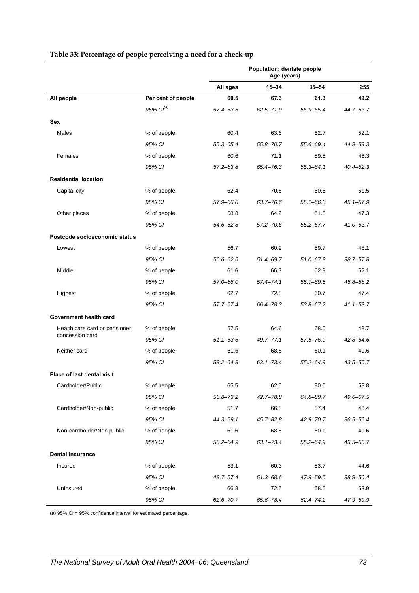<span id="page-80-0"></span>

|                               |                       | Population: dentate people<br>Age (years) |               |               |               |
|-------------------------------|-----------------------|-------------------------------------------|---------------|---------------|---------------|
|                               |                       | All ages                                  | $15 - 34$     | $35 - 54$     | $\geq 55$     |
| All people                    | Per cent of people    | 60.5                                      | 67.3          | 61.3          | 49.2          |
|                               | 95% Cl <sup>(a)</sup> | 57.4-63.5                                 | $62.5 - 71.9$ | 56.9-65.4     | 44.7-53.7     |
| Sex                           |                       |                                           |               |               |               |
| Males                         | % of people           | 60.4                                      | 63.6          | 62.7          | 52.1          |
|                               | 95% CI                | 55.3-65.4                                 | $55.8 - 70.7$ | 55.6-69.4     | 44.9-59.3     |
| Females                       | % of people           | 60.6                                      | 71.1          | 59.8          | 46.3          |
|                               | 95% CI                | $57.2 - 63.8$                             | 65.4-76.3     | $55.3 - 64.1$ | $40.4 - 52.3$ |
| <b>Residential location</b>   |                       |                                           |               |               |               |
| Capital city                  | % of people           | 62.4                                      | 70.6          | 60.8          | 51.5          |
|                               | 95% CI                | 57.9-66.8                                 | 63.7-76.6     | $55.1 - 66.3$ | $45.1 - 57.9$ |
| Other places                  | % of people           | 58.8                                      | 64.2          | 61.6          | 47.3          |
|                               | 95% CI                | $54.6 - 62.8$                             | $57.2 - 70.6$ | $55.2 - 67.7$ | 41.0-53.7     |
| Postcode socioeconomic status |                       |                                           |               |               |               |
| Lowest                        | % of people           | 56.7                                      | 60.9          | 59.7          | 48.1          |
|                               | 95% CI                | $50.6 - 62.6$                             | 51.4-69.7     | $51.0 - 67.8$ | 38.7-57.8     |
| Middle                        | % of people           | 61.6                                      | 66.3          | 62.9          | 52.1          |
|                               | 95% CI                | 57.0-66.0                                 | $57.4 - 74.1$ | $55.7 - 69.5$ | 45.8-58.2     |
| Highest                       | % of people           | 62.7                                      | 72.8          | 60.7          | 47.4          |
|                               | 95% CI                | 57.7-67.4                                 | 66.4-78.3     | $53.8 - 67.2$ | $41.1 - 53.7$ |
| Government health card        |                       |                                           |               |               |               |
| Health care card or pensioner | % of people           | 57.5                                      | 64.6          | 68.0          | 48.7          |
| concession card               | 95% CI                | $51.1 - 63.6$                             | $49.7 - 77.1$ | 57.5-76.9     | $42.8 - 54.6$ |
| Neither card                  | % of people           | 61.6                                      | 68.5          | 60.1          | 49.6          |
|                               | 95% CI                | 58.2-64.9                                 | $63.1 - 73.4$ | $55.2 - 64.9$ | 43.5-55.7     |
| Place of last dental visit    |                       |                                           |               |               |               |
| Cardholder/Public             | % of people           | 65.5                                      | 62.5          | 80.0          | 58.8          |
|                               | 95% CI                | 56.8-73.2                                 | $42.7 - 78.8$ | 64.8-89.7     | 49.6-67.5     |
| Cardholder/Non-public         | % of people           | 51.7                                      | 66.8          | 57.4          | 43.4          |
|                               | 95% CI                | 44.3-59.1                                 | $45.7 - 82.8$ | $42.9 - 70.7$ | 36.5-50.4     |
| Non-cardholder/Non-public     | % of people           | 61.6                                      | 68.5          | 60.1          | 49.6          |
|                               | 95% CI                | 58.2-64.9                                 | $63.1 - 73.4$ | $55.2 - 64.9$ | 43.5-55.7     |
| <b>Dental insurance</b>       |                       |                                           |               |               |               |
| Insured                       | % of people           | 53.1                                      | 60.3          | 53.7          | 44.6          |
|                               | 95% CI                | 48.7-57.4                                 | $51.3 - 68.6$ | 47.9-59.5     | 38.9-50.4     |
| Uninsured                     | % of people           | 66.8                                      | 72.5          | 68.6          | 53.9          |
|                               | 95% CI                | $62.6 - 70.7$                             | 65.6-78.4     | $62.4 - 74.2$ | 47.9-59.9     |

#### <span id="page-80-1"></span>**Table 33: Percentage of people perceiving a need for a check-up**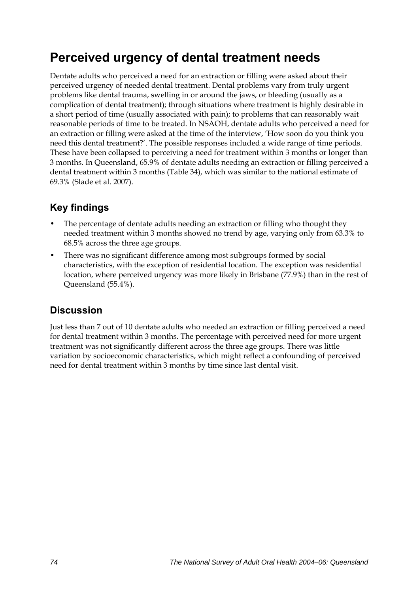## **Perceived urgency of dental treatment needs**

Dentate adults who perceived a need for an extraction or filling were asked about their perceived urgency of needed dental treatment. Dental problems vary from truly urgent problems like dental trauma, swelling in or around the jaws, or bleeding (usually as a complication of dental treatment); through situations where treatment is highly desirable in a short period of time (usually associated with pain); to problems that can reasonably wait reasonable periods of time to be treated. In NSAOH, dentate adults who perceived a need for an extraction or filling were asked at the time of the interview, 'How soon do you think you need this dental treatment?'. The possible responses included a wide range of time periods. These have been collapsed to perceiving a need for treatment within 3 months or longer than 3 months. In Queensland, 65.9% of dentate adults needing an extraction or filling perceived a dental treatment within 3 months ([Table 34](#page-82-0)), which was similar to the national estimate of 69.3% (Slade et al. 2007).

### **Key findings**

- The percentage of dentate adults needing an extraction or filling who thought they needed treatment within 3 months showed no trend by age, varying only from 63.3% to 68.5% across the three age groups.
- There was no significant difference among most subgroups formed by social characteristics, with the exception of residential location. The exception was residential location, where perceived urgency was more likely in Brisbane (77.9%) than in the rest of Queensland (55.4%).

### **Discussion**

Just less than 7 out of 10 dentate adults who needed an extraction or filling perceived a need for dental treatment within 3 months. The percentage with perceived need for more urgent treatment was not significantly different across the three age groups. There was little variation by socioeconomic characteristics, which might reflect a confounding of perceived need for dental treatment within 3 months by time since last dental visit.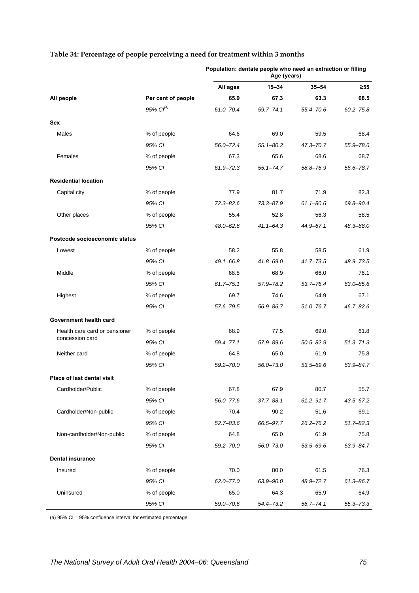|                                   |                    | Population: dentate people who need an extraction or filling<br>Age (years) |               |               |               |
|-----------------------------------|--------------------|-----------------------------------------------------------------------------|---------------|---------------|---------------|
|                                   |                    | All ages                                                                    | $15 - 34$     | $35 - 54$     | ≥55           |
| All people                        | Per cent of people | 65.9                                                                        | 67.3          | 63.3          | 68.5          |
|                                   | 95% $Cl^{(a)}$     | $61.0 - 70.4$                                                               | $59.7 - 74.1$ | 55.4-70.6     | $60.2 - 75.8$ |
| Sex                               |                    |                                                                             |               |               |               |
| Males                             | % of people        | 64.6                                                                        | 69.0          | 59.5          | 68.4          |
|                                   | 95% CI             | $56.0 - 72.4$                                                               | $55.1 - 80.2$ | $47.3 - 70.7$ | 55.9-78.6     |
| Females                           | % of people        | 67.3                                                                        | 65.6          | 68.6          | 68.7          |
|                                   | 95% CI             | 61.9-72.3                                                                   | $55.1 - 74.7$ | 58.8-76.9     | 56.6-78.7     |
| <b>Residential location</b>       |                    |                                                                             |               |               |               |
| Capital city                      | % of people        | 77.9                                                                        | 81.7          | 71.9          | 82.3          |
|                                   | 95% CI             | $72.3 - 82.6$                                                               | 73.3-87.9     | $61.1 - 80.6$ | 69.8-90.4     |
| Other places                      | % of people        | 55.4                                                                        | 52.8          | 56.3          | 58.5          |
|                                   | 95% CI             | 48.0-62.6                                                                   | $41.1 - 64.3$ | 44.9-67.1     | $48.3 - 68.0$ |
| Postcode socioeconomic status     |                    |                                                                             |               |               |               |
| Lowest                            | % of people        | 58.2                                                                        | 55.8          | 58.5          | 61.9          |
|                                   | 95% CI             | 49.1-66.8                                                                   | $41.8 - 69.0$ | $41.7 - 73.5$ | 48.9-73.5     |
| Middle                            | % of people        | 68.8                                                                        | 68.9          | 66.0          | 76.1          |
|                                   | 95% CI             | $61.7 - 75.1$                                                               | 57.9-78.2     | $53.7 - 76.4$ | $63.0 - 85.6$ |
| Highest                           | % of people        | 69.7                                                                        | 74.6          | 64.9          | 67.1          |
|                                   | 95% CI             | 57.6–79.5                                                                   | 56.9–86.7     | $51.0 - 76.7$ | $46.7 - 82.6$ |
| Government health card            |                    |                                                                             |               |               |               |
| Health care card or pensioner     | % of people        | 68.9                                                                        | 77.5          | 69.0          | 61.8          |
| concession card                   | 95% CI             | 59.4-77.1                                                                   | 57.9-89.6     | $50.5 - 82.9$ | $51.3 - 71.3$ |
| Neither card                      | % of people        | 64.8                                                                        | 65.0          | 61.9          | 75.8          |
|                                   | 95% CI             | $59.2 - 70.0$                                                               | $56.0 - 73.0$ | 53.5-69.6     | 63.9-84.7     |
| <b>Place of last dental visit</b> |                    |                                                                             |               |               |               |
| Cardholder/Public                 | % of people        | 67.8                                                                        | 67.9          | 80.7          | 55.7          |
|                                   | 95% CI             | $56.0 - 77.6$                                                               | 37.7-88.1     | $61.2 - 91.7$ | $43.5 - 67.2$ |
| Cardholder/Non-public             | % of people        | 70.4                                                                        | 90.2          | 51.6          | 69.1          |
|                                   | 95% CI             | $52.7 - 83.6$                                                               | 66.5-97.7     | $26.2 - 76.2$ | $51.7 - 82.3$ |
| Non-cardholder/Non-public         | % of people        | 64.8                                                                        | 65.0          | 61.9          | 75.8          |
|                                   | 95% CI             | $59.2 - 70.0$                                                               | $56.0 - 73.0$ | 53.5-69.6     | 63.9-84.7     |
| <b>Dental insurance</b>           |                    |                                                                             |               |               |               |
| Insured                           | % of people        | 70.0                                                                        | 80.0          | 61.5          | 76.3          |
|                                   | 95% CI             | $62.0 - 77.0$                                                               | 63.9-90.0     | 48.9-72.7     | 61.3-86.7     |
| Uninsured                         | % of people        | 65.0                                                                        | 64.3          | 65.9          | 64.9          |
|                                   | 95% CI             | 59.0-70.6                                                                   | 54.4-73.2     | $56.7 - 74.1$ | $55.3 - 73.3$ |

#### <span id="page-82-1"></span><span id="page-82-0"></span>**Table 34: Percentage of people perceiving a need for treatment within 3 months**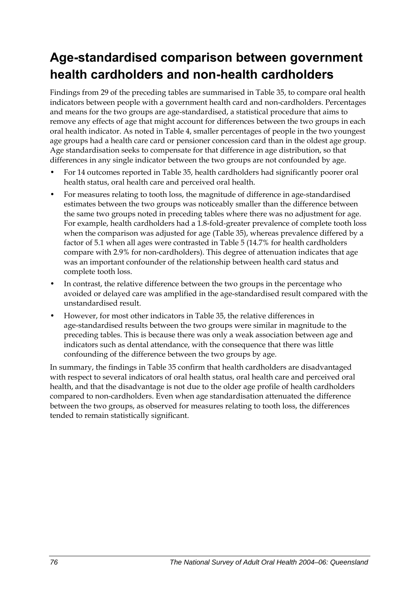## **Age-standardised comparison between government health cardholders and non-health cardholders**

Findings from 29 of the preceding tables are summarised in [Table 35,](#page-84-0) to compare oral health indicators between people with a government health card and non-cardholders. Percentages and means for the two groups are age-standardised, a statistical procedure that aims to remove any effects of age that might account for differences between the two groups in each oral health indicator. As noted in Table 4, smaller percentages of people in the two youngest age groups had a health care card or pensioner concession card than in the oldest age group. Age standardisation seeks to compensate for that difference in age distribution, so that differences in any single indicator between the two groups are not confounded by age.

- For 14 outcomes reported in [Table 35](#page-84-0), health cardholders had significantly poorer oral health status, oral health care and perceived oral health.
- For measures relating to tooth loss, the magnitude of difference in age-standardised estimates between the two groups was noticeably smaller than the difference between the same two groups noted in preceding tables where there was no adjustment for age. For example, health cardholders had a 1.8-fold-greater prevalence of complete tooth loss when the comparison was adjusted for age [\(Table 35\)](#page-84-0), whereas prevalence differed by a factor of 5.1 when all ages were contrasted in Table 5 (14.7% for health cardholders compare with 2.9% for non-cardholders). This degree of attenuation indicates that age was an important confounder of the relationship between health card status and complete tooth loss.
- In contrast, the relative difference between the two groups in the percentage who avoided or delayed care was amplified in the age-standardised result compared with the unstandardised result.
- However, for most other indicators in [Table 35,](#page-84-0) the relative differences in age-standardised results between the two groups were similar in magnitude to the preceding tables. This is because there was only a weak association between age and indicators such as dental attendance, with the consequence that there was little confounding of the difference between the two groups by age.

In summary, the findings in [Table 35](#page-84-0) confirm that health cardholders are disadvantaged with respect to several indicators of oral health status, oral health care and perceived oral health, and that the disadvantage is not due to the older age profile of health cardholders compared to non-cardholders. Even when age standardisation attenuated the difference between the two groups, as observed for measures relating to tooth loss, the differences tended to remain statistically significant.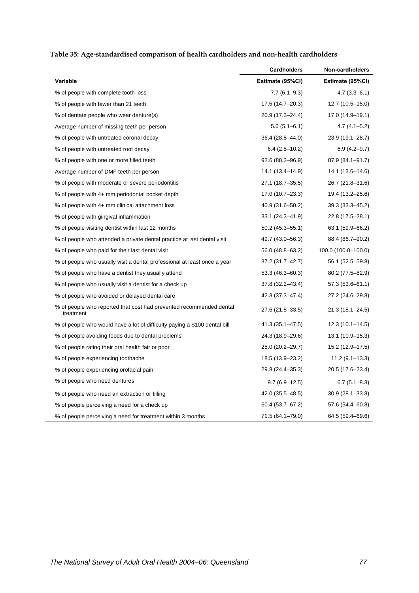<span id="page-84-1"></span>

| Table 35: Age-standardised comparison of health cardholders and non-health cardholders |  |  |
|----------------------------------------------------------------------------------------|--|--|
|                                                                                        |  |  |

<span id="page-84-0"></span>

|                                                                                  | <b>Cardholders</b>  | Non-cardholders     |
|----------------------------------------------------------------------------------|---------------------|---------------------|
| Variable                                                                         | Estimate (95%CI)    | Estimate (95%CI)    |
| % of people with complete tooth loss                                             | $7.7(6.1 - 9.3)$    | $4.7(3.3 - 6.1)$    |
| % of people with fewer than 21 teeth                                             | 17.5 (14.7–20.3)    | $12.7(10.5-15.0)$   |
| % of dentate people who wear denture(s)                                          | 20.9 (17.3-24.4)    | 17.0 (14.9–19.1)    |
| Average number of missing teeth per person                                       | $5.6(5.1 - 6.1)$    | $4.7(4.1 - 5.2)$    |
| % of people with untreated coronal decay                                         | 36.4 (28.8–44.0)    | 23.9 (19.1-28.7)    |
| % of people with untreated root decay                                            | $6.4(2.5-10.2)$     | $6.9(4.2 - 9.7)$    |
| % of people with one or more filled teeth                                        | 92.6 (88.3-96.9)    | 87.9 (84.1-91.7)    |
| Average number of DMF teeth per person                                           | 14.1 (13.4–14.9)    | 14.1 (13.6-14.6)    |
| % of people with moderate or severe periodontitis                                | 27.1 (18.7–35.5)    | 26.7 (21.8–31.6)    |
| % of people with 4+ mm periodontal pocket depth                                  | 17.0 (10.7-23.3)    | 19.4 (13.2-25.6)    |
| % of people with 4+ mm clinical attachment loss                                  | 40.9 (31.6-50.2)    | 39.3 (33.3–45.2)    |
| % of people with gingival inflammation                                           | $33.1(24.3 - 41.9)$ | 22.8 (17.5-28.1)    |
| % of people visiting dentist within last 12 months                               | $50.2(45.3 - 55.1)$ | 63.1 (59.9–66.2)    |
| % of people who attended a private dental practice at last dental visit          | 49.7 (43.0–56.3)    | 88.4 (86.7-90.2)    |
| % of people who paid for their last dental visit                                 | 56.0 (48.8–63.2)    | 100.0 (100.0-100.0) |
| % of people who usually visit a dental professional at least once a year         | 37.2 (31.7–42.7)    | 56.1 (52.5–59.8)    |
| % of people who have a dentist they usually attend                               | $53.3(46.3 - 60.3)$ | 80.2 (77.5-82.9)    |
| % of people who usually visit a dentist for a check up                           | 37.8 (32.2-43.4)    | 57.3 (53.6-61.1)    |
| % of people who avoided or delayed dental care                                   | 42.3 (37.3–47.4)    | 27.2 (24.6–29.8)    |
| % of people who reported that cost had prevented recommended dental<br>treatment | 27.6 (21.8-33.5)    | 21.3 (18.1–24.5)    |
| % of people who would have a lot of difficulty paying a \$100 dental bill        | 41.3 (35.1-47.5)    | $12.3(10.1 - 14.5)$ |
| % of people avoiding foods due to dental problems                                | 24.3 (18.9–29.6)    | $13.1(10.9-15.3)$   |
| % of people rating their oral health fair or poor                                | 25.0 (20.2-29.7)    | 15.2 (12.9-17.5)    |
| % of people experiencing toothache                                               | 18.5 (13.9–23.2)    | $11.2(9.1-13.3)$    |
| % of people experiencing orofacial pain                                          | 29.8 (24.4-35.3)    | 20.5 (17.6-23.4)    |
| % of people who need dentures                                                    | $9.7(6.9-12.5)$     | $6.7(5.1 - 8.3)$    |
| % of people who need an extraction or filling                                    | 42.0 (35.5-48.5)    | $30.9(28.1 - 33.8)$ |
| % of people perceiving a need for a check up                                     | 60.4 (53.7-67.2)    | 57.6 (54.4–60.8)    |
| % of people perceiving a need for treatment within 3 months                      | 71.5 (64.1-79.0)    | 64.5 (59.4–69.6)    |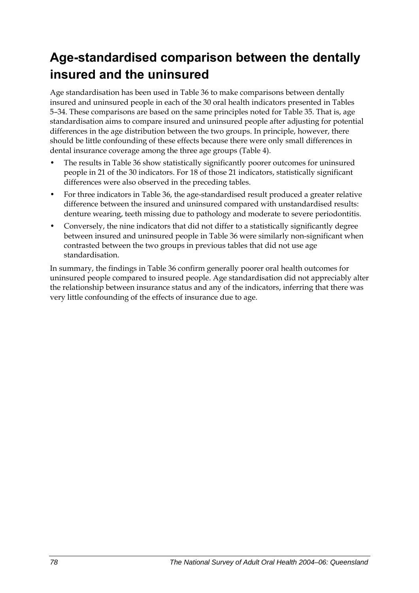## **Age-standardised comparison between the dentally insured and the uninsured**

Age standardisation has been used in [Table 36](#page-86-0) to make comparisons between dentally insured and uninsured people in each of the 30 oral health indicators presented in Tables 5–34. These comparisons are based on the same principles noted for [Table 35](#page-84-0). That is, age standardisation aims to compare insured and uninsured people after adjusting for potential differences in the age distribution between the two groups. In principle, however, there should be little confounding of these effects because there were only small differences in dental insurance coverage among the three age groups (Table 4).

- The results in [Table 36](#page-86-0) show statistically significantly poorer outcomes for uninsured people in 21 of the 30 indicators. For 18 of those 21 indicators, statistically significant differences were also observed in the preceding tables.
- For three indicators in [Table 36,](#page-86-0) the age-standardised result produced a greater relative difference between the insured and uninsured compared with unstandardised results: denture wearing, teeth missing due to pathology and moderate to severe periodontitis.
- Conversely, the nine indicators that did not differ to a statistically significantly degree between insured and uninsured people in [Table 36](#page-86-0) were similarly non-significant when contrasted between the two groups in previous tables that did not use age standardisation.

In summary, the findings in [Table 36](#page-86-0) confirm generally poorer oral health outcomes for uninsured people compared to insured people. Age standardisation did not appreciably alter the relationship between insurance status and any of the indicators, inferring that there was very little confounding of the effects of insurance due to age.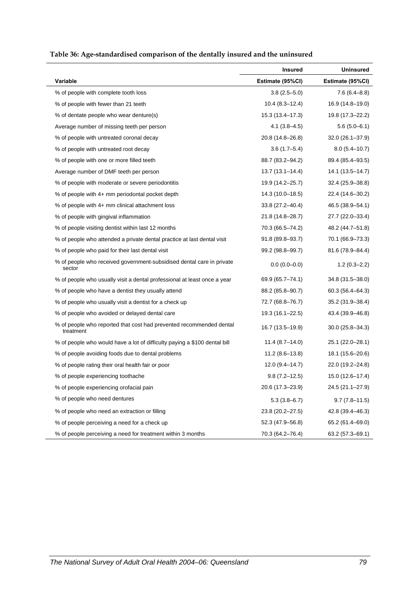<span id="page-86-1"></span>

|  | Table 36: Age-standardised comparison of the dentally insured and the uninsured |  |  |  |
|--|---------------------------------------------------------------------------------|--|--|--|
|--|---------------------------------------------------------------------------------|--|--|--|

<span id="page-86-0"></span>

|                                                                                  | <b>Insured</b>      | <b>Uninsured</b>    |
|----------------------------------------------------------------------------------|---------------------|---------------------|
| Variable                                                                         | Estimate (95%CI)    | Estimate (95%CI)    |
| % of people with complete tooth loss                                             | $3.8(2.5 - 5.0)$    | $7.6(6.4 - 8.8)$    |
| % of people with fewer than 21 teeth                                             | $10.4(8.3-12.4)$    | 16.9 (14.8-19.0)    |
| % of dentate people who wear denture(s)                                          | 15.3 (13.4–17.3)    | 19.8 (17.3-22.2)    |
| Average number of missing teeth per person                                       | $4.1(3.8-4.5)$      | $5.6(5.0-6.1)$      |
| % of people with untreated coronal decay                                         | 20.8 (14.8–26.8)    | $32.0(26.1 - 37.9)$ |
| % of people with untreated root decay                                            | $3.6(1.7 - 5.4)$    | $8.0(5.4 - 10.7)$   |
| % of people with one or more filled teeth                                        | 88.7 (83.2-94.2)    | 89.4 (85.4-93.5)    |
| Average number of DMF teeth per person                                           | $13.7(13.1 - 14.4)$ | 14.1 (13.5–14.7)    |
| % of people with moderate or severe periodontitis                                | 19.9 (14.2-25.7)    | 32.4 (25.9-38.8)    |
| % of people with 4+ mm periodontal pocket depth                                  | 14.3 (10.0-18.5)    | 22.4 (14.6-30.2)    |
| % of people with 4+ mm clinical attachment loss                                  | 33.8 (27.2–40.4)    | 46.5 (38.9-54.1)    |
| % of people with gingival inflammation                                           | 21.8 (14.8-28.7)    | 27.7 (22.0-33.4)    |
| % of people visiting dentist within last 12 months                               | 70.3 (66.5-74.2)    | 48.2 (44.7-51.8)    |
| % of people who attended a private dental practice at last dental visit          | 91.8 (89.8-93.7)    | 70.1 (66.9-73.3)    |
| % of people who paid for their last dental visit                                 | 99.2 (98.8-99.7)    | 81.6 (78.9-84.4)    |
| % of people who received government-subsidised dental care in private<br>sector  | $0.0(0.0-0.0)$      | $1.2(0.3 - 2.2)$    |
| % of people who usually visit a dental professional at least once a year         | 69.9 (65.7–74.1)    | 34.8 (31.5-38.0)    |
| % of people who have a dentist they usually attend                               | 88.2 (85.8-90.7)    | 60.3 (56.4–64.3)    |
| % of people who usually visit a dentist for a check up                           | 72.7 (68.8-76.7)    | 35.2 (31.9-38.4)    |
| % of people who avoided or delayed dental care                                   | 19.3 (16.1-22.5)    | 43.4 (39.9-46.8)    |
| % of people who reported that cost had prevented recommended dental<br>treatment | 16.7 (13.5-19.9)    | $30.0(25.8 - 34.3)$ |
| % of people who would have a lot of difficulty paying a \$100 dental bill        | $11.4(8.7-14.0)$    | 25.1 (22.0–28.1)    |
| % of people avoiding foods due to dental problems                                | $11.2(8.6-13.8)$    | 18.1 (15.6-20.6)    |
| % of people rating their oral health fair or poor                                | 12.0 (9.4-14.7)     | 22.0 (19.2-24.8)    |
| % of people experiencing toothache                                               | $9.8(7.2 - 12.5)$   | 15.0 (12.6-17.4)    |
| % of people experiencing orofacial pain                                          | 20.6 (17.3-23.9)    | 24.5 (21.1-27.9)    |
| % of people who need dentures                                                    | $5.3(3.8-6.7)$      | $9.7(7.8 - 11.5)$   |
| % of people who need an extraction or filling                                    | 23.8 (20.2-27.5)    | 42.8 (39.4-46.3)    |
| % of people perceiving a need for a check up                                     | 52.3 (47.9-56.8)    | 65.2 (61.4-69.0)    |
| % of people perceiving a need for treatment within 3 months                      | 70.3 (64.2-76.4)    | 63.2 (57.3-69.1)    |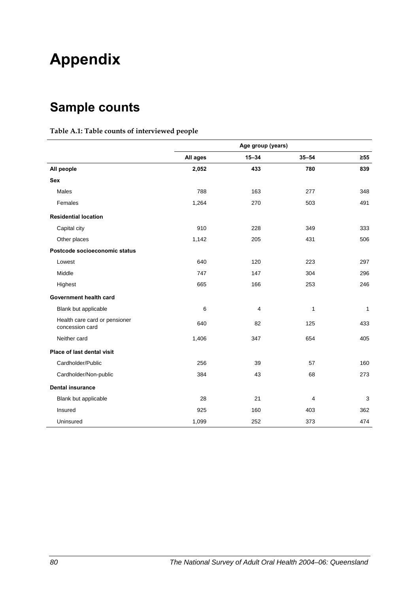# **Appendix**

## **Sample counts**

#### **Table A.1: Table counts of interviewed people**

|                                                  | Age group (years) |                |                |           |
|--------------------------------------------------|-------------------|----------------|----------------|-----------|
|                                                  | All ages          | $15 - 34$      | $35 - 54$      | $\geq 55$ |
| All people                                       | 2,052             | 433            | 780            | 839       |
| <b>Sex</b>                                       |                   |                |                |           |
| Males                                            | 788               | 163            | 277            | 348       |
| Females                                          | 1,264             | 270            | 503            | 491       |
| <b>Residential location</b>                      |                   |                |                |           |
| Capital city                                     | 910               | 228            | 349            | 333       |
| Other places                                     | 1,142             | 205            | 431            | 506       |
| Postcode socioeconomic status                    |                   |                |                |           |
| Lowest                                           | 640               | 120            | 223            | 297       |
| Middle                                           | 747               | 147            | 304            | 296       |
| Highest                                          | 665               | 166            | 253            | 246       |
| Government health card                           |                   |                |                |           |
| Blank but applicable                             | 6                 | $\overline{4}$ | 1              | 1         |
| Health care card or pensioner<br>concession card | 640               | 82             | 125            | 433       |
| Neither card                                     | 1,406             | 347            | 654            | 405       |
| Place of last dental visit                       |                   |                |                |           |
| Cardholder/Public                                | 256               | 39             | 57             | 160       |
| Cardholder/Non-public                            | 384               | 43             | 68             | 273       |
| <b>Dental insurance</b>                          |                   |                |                |           |
| Blank but applicable                             | 28                | 21             | $\overline{4}$ | 3         |
| Insured                                          | 925               | 160            | 403            | 362       |
| Uninsured                                        | 1,099             | 252            | 373            | 474       |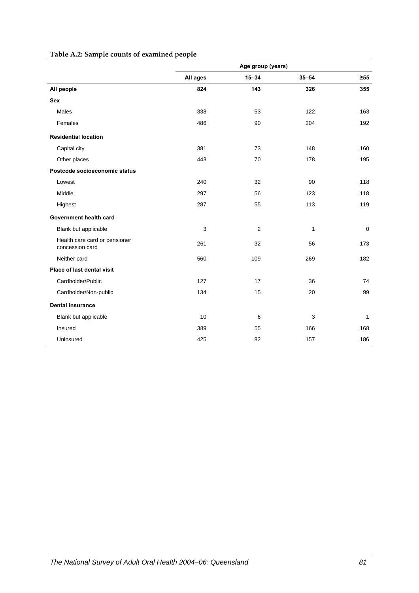|                                                  | Age group (years) |                |           |             |  |
|--------------------------------------------------|-------------------|----------------|-----------|-------------|--|
|                                                  | All ages          | $15 - 34$      | $35 - 54$ | $\geq 55$   |  |
| All people                                       | 824               | 143            | 326       | 355         |  |
| <b>Sex</b>                                       |                   |                |           |             |  |
| Males                                            | 338               | 53             | 122       | 163         |  |
| Females                                          | 486               | 90             | 204       | 192         |  |
| <b>Residential location</b>                      |                   |                |           |             |  |
| Capital city                                     | 381               | 73             | 148       | 160         |  |
| Other places                                     | 443               | 70             | 178       | 195         |  |
| Postcode socioeconomic status                    |                   |                |           |             |  |
| Lowest                                           | 240               | 32             | 90        | 118         |  |
| Middle                                           | 297               | 56             | 123       | 118         |  |
| Highest                                          | 287               | 55             | 113       | 119         |  |
| Government health card                           |                   |                |           |             |  |
| Blank but applicable                             | 3                 | $\overline{c}$ | 1         | $\mathbf 0$ |  |
| Health care card or pensioner<br>concession card | 261               | 32             | 56        | 173         |  |
| Neither card                                     | 560               | 109            | 269       | 182         |  |
| Place of last dental visit                       |                   |                |           |             |  |
| Cardholder/Public                                | 127               | 17             | 36        | 74          |  |
| Cardholder/Non-public                            | 134               | 15             | 20        | 99          |  |
| <b>Dental insurance</b>                          |                   |                |           |             |  |
| Blank but applicable                             | 10                | 6              | 3         | 1           |  |
| Insured                                          | 389               | 55             | 166       | 168         |  |
| Uninsured                                        | 425               | 82             | 157       | 186         |  |

#### **Table A.2: Sample counts of examined people**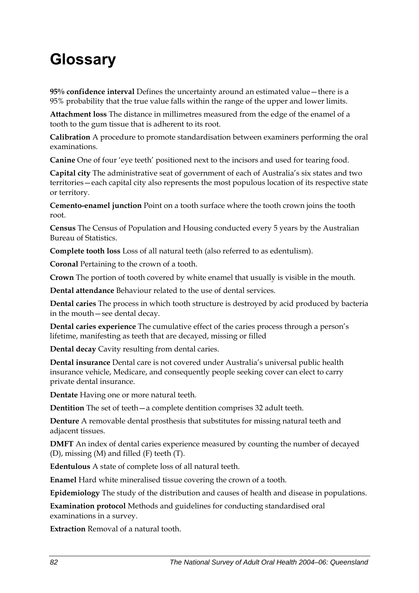# **Glossary**

**95% confidence interval** Defines the uncertainty around an estimated value—there is a 95% probability that the true value falls within the range of the upper and lower limits.

**Attachment loss** The distance in millimetres measured from the edge of the enamel of a tooth to the gum tissue that is adherent to its root.

**Calibration** A procedure to promote standardisation between examiners performing the oral examinations.

**Canine** One of four 'eye teeth' positioned next to the incisors and used for tearing food.

**Capital city** The administrative seat of government of each of Australia's six states and two territories—each capital city also represents the most populous location of its respective state or territory.

**Cemento-enamel junction** Point on a tooth surface where the tooth crown joins the tooth root.

**Census** The Census of Population and Housing conducted every 5 years by the Australian Bureau of Statistics.

**Complete tooth loss** Loss of all natural teeth (also referred to as edentulism).

**Coronal** Pertaining to the crown of a tooth.

**Crown** The portion of tooth covered by white enamel that usually is visible in the mouth.

**Dental attendance** Behaviour related to the use of dental services.

**Dental caries** The process in which tooth structure is destroyed by acid produced by bacteria in the mouth—see dental decay.

**Dental caries experience** The cumulative effect of the caries process through a person's lifetime, manifesting as teeth that are decayed, missing or filled

**Dental decay** Cavity resulting from dental caries.

**Dental insurance** Dental care is not covered under Australia's universal public health insurance vehicle, Medicare, and consequently people seeking cover can elect to carry private dental insurance.

**Dentate** Having one or more natural teeth.

**Dentition** The set of teeth—a complete dentition comprises 32 adult teeth.

**Denture** A removable dental prosthesis that substitutes for missing natural teeth and adjacent tissues.

**DMFT** An index of dental caries experience measured by counting the number of decayed (D), missing (M) and filled (F) teeth (T).

**Edentulous** A state of complete loss of all natural teeth.

**Enamel** Hard white mineralised tissue covering the crown of a tooth.

**Epidemiology** The study of the distribution and causes of health and disease in populations.

**Examination protocol** Methods and guidelines for conducting standardised oral examinations in a survey.

**Extraction** Removal of a natural tooth.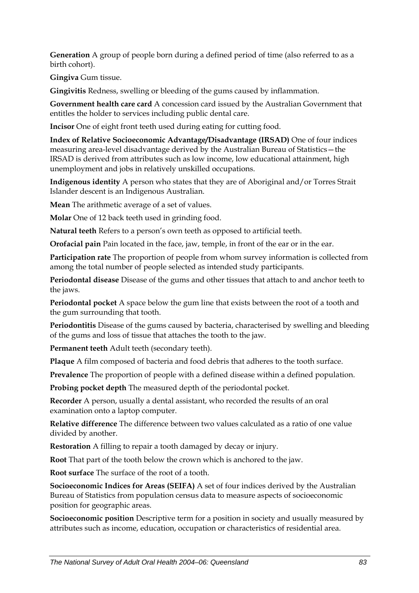**Generation** A group of people born during a defined period of time (also referred to as a birth cohort).

**Gingiva** Gum tissue.

**Gingivitis** Redness, swelling or bleeding of the gums caused by inflammation.

**Government health care card** A concession card issued by the Australian Government that entitles the holder to services including public dental care.

**Incisor** One of eight front teeth used during eating for cutting food.

**Index of Relative Socioeconomic Advantage/Disadvantage (IRSAD)** One of four indices measuring area-level disadvantage derived by the Australian Bureau of Statistics—the IRSAD is derived from attributes such as low income, low educational attainment, high unemployment and jobs in relatively unskilled occupations.

**Indigenous identity** A person who states that they are of Aboriginal and/or Torres Strait Islander descent is an Indigenous Australian.

**Mean** The arithmetic average of a set of values.

**Molar** One of 12 back teeth used in grinding food.

**Natural teeth** Refers to a person's own teeth as opposed to artificial teeth.

**Orofacial pain** Pain located in the face, jaw, temple, in front of the ear or in the ear.

**Participation rate** The proportion of people from whom survey information is collected from among the total number of people selected as intended study participants.

**Periodontal disease** Disease of the gums and other tissues that attach to and anchor teeth to the jaws.

**Periodontal pocket** A space below the gum line that exists between the root of a tooth and the gum surrounding that tooth.

**Periodontitis** Disease of the gums caused by bacteria, characterised by swelling and bleeding of the gums and loss of tissue that attaches the tooth to the jaw.

**Permanent teeth** Adult teeth (secondary teeth).

**Plaque** A film composed of bacteria and food debris that adheres to the tooth surface.

**Prevalence** The proportion of people with a defined disease within a defined population.

**Probing pocket depth** The measured depth of the periodontal pocket.

**Recorder** A person, usually a dental assistant, who recorded the results of an oral examination onto a laptop computer.

**Relative difference** The difference between two values calculated as a ratio of one value divided by another.

**Restoration** A filling to repair a tooth damaged by decay or injury.

**Root** That part of the tooth below the crown which is anchored to the jaw.

**Root surface** The surface of the root of a tooth.

**Socioeconomic Indices for Areas (SEIFA)** A set of four indices derived by the Australian Bureau of Statistics from population census data to measure aspects of socioeconomic position for geographic areas.

**Socioeconomic position** Descriptive term for a position in society and usually measured by attributes such as income, education, occupation or characteristics of residential area.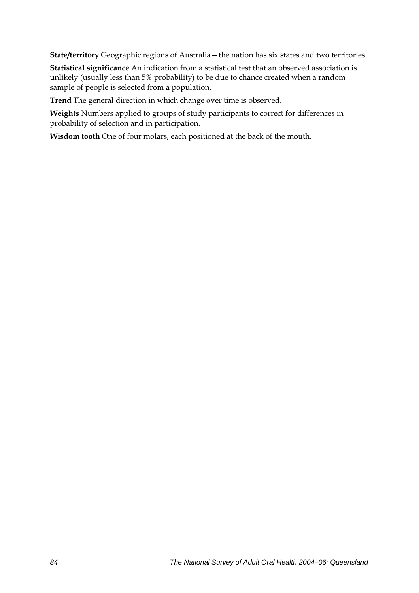**State/territory** Geographic regions of Australia—the nation has six states and two territories.

**Statistical significance** An indication from a statistical test that an observed association is unlikely (usually less than 5% probability) to be due to chance created when a random sample of people is selected from a population.

**Trend** The general direction in which change over time is observed.

**Weights** Numbers applied to groups of study participants to correct for differences in probability of selection and in participation.

**Wisdom tooth** One of four molars, each positioned at the back of the mouth.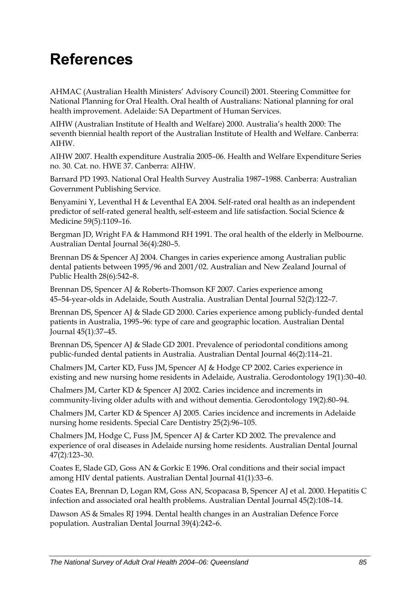# **References**

AHMAC (Australian Health Ministers' Advisory Council) 2001. Steering Committee for National Planning for Oral Health. Oral health of Australians: National planning for oral health improvement. Adelaide: SA Department of Human Services.

AIHW (Australian Institute of Health and Welfare) 2000. Australia's health 2000: The seventh biennial health report of the Australian Institute of Health and Welfare. Canberra: AIHW.

AIHW 2007. Health expenditure Australia 2005–06. Health and Welfare Expenditure Series no. 30. Cat. no. HWE 37. Canberra: AIHW.

Barnard PD 1993. National Oral Health Survey Australia 1987–1988. Canberra: Australian Government Publishing Service.

Benyamini Y, Leventhal H & Leventhal EA 2004. Self-rated oral health as an independent predictor of self-rated general health, self-esteem and life satisfaction. Social Science & Medicine 59(5)*:*1109–16.

Bergman JD, Wright FA & Hammond RH 1991. The oral health of the elderly in Melbourne. Australian Dental Journal 36(4)*:*280–5.

Brennan DS & Spencer AJ 2004. Changes in caries experience among Australian public dental patients between 1995/96 and 2001/02. Australian and New Zealand Journal of Public Health 28(6)*:*542–8.

Brennan DS, Spencer AJ & Roberts-Thomson KF 2007. Caries experience among 45–54-year-olds in Adelaide, South Australia. Australian Dental Journal 52(2)*:*122–7.

Brennan DS, Spencer AJ & Slade GD 2000. Caries experience among publicly-funded dental patients in Australia, 1995–96: type of care and geographic location. Australian Dental Journal 45(1)*:*37–45.

Brennan DS, Spencer AJ & Slade GD 2001. Prevalence of periodontal conditions among public-funded dental patients in Australia. Australian Dental Journal 46(2)*:*114–21.

Chalmers JM, Carter KD, Fuss JM, Spencer AJ & Hodge CP 2002. Caries experience in existing and new nursing home residents in Adelaide, Australia. Gerodontology 19(1)*:*30–40.

Chalmers JM, Carter KD & Spencer AJ 2002. Caries incidence and increments in community-living older adults with and without dementia. Gerodontology 19(2)*:*80–94.

Chalmers JM, Carter KD & Spencer AJ 2005. Caries incidence and increments in Adelaide nursing home residents. Special Care Dentistry 25(2)*:*96–105.

Chalmers JM, Hodge C, Fuss JM, Spencer AJ & Carter KD 2002. The prevalence and experience of oral diseases in Adelaide nursing home residents. Australian Dental Journal 47(2)*:*123–30.

Coates E, Slade GD, Goss AN & Gorkic E 1996. Oral conditions and their social impact among HIV dental patients. Australian Dental Journal 41(1)*:*33–6.

Coates EA, Brennan D, Logan RM, Goss AN, Scopacasa B, Spencer AJ et al. 2000. Hepatitis C infection and associated oral health problems. Australian Dental Journal 45(2)*:*108–14.

Dawson AS & Smales RJ 1994. Dental health changes in an Australian Defence Force population. Australian Dental Journal 39(4)*:*242–6.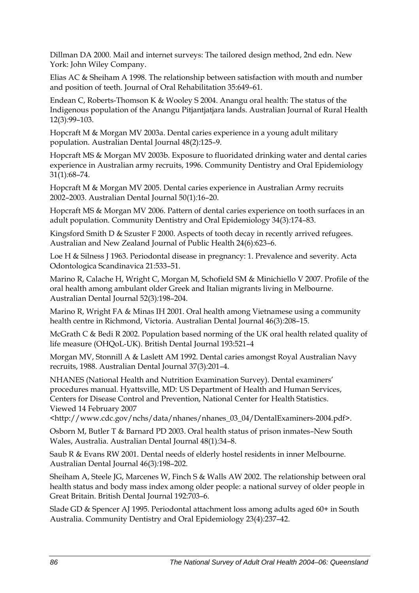Dillman DA 2000. Mail and internet surveys: The tailored design method, 2nd edn. New York: John Wiley Company.

Elias AC & Sheiham A 1998. The relationship between satisfaction with mouth and number and position of teeth. Journal of Oral Rehabilitation 35:649–61.

Endean C, Roberts-Thomson K & Wooley S 2004. Anangu oral health: The status of the Indigenous population of the Anangu Pitjantjatjara lands. Australian Journal of Rural Health 12(3)*:*99–103.

Hopcraft M & Morgan MV 2003a. Dental caries experience in a young adult military population. Australian Dental Journal 48(2)*:*125–9.

Hopcraft MS & Morgan MV 2003b. Exposure to fluoridated drinking water and dental caries experience in Australian army recruits, 1996. Community Dentistry and Oral Epidemiology 31(1)*:*68–74.

Hopcraft M & Morgan MV 2005. Dental caries experience in Australian Army recruits 2002–2003. Australian Dental Journal 50(1)*:*16–20.

Hopcraft MS & Morgan MV 2006. Pattern of dental caries experience on tooth surfaces in an adult population. Community Dentistry and Oral Epidemiology 34(3)*:*174–83.

Kingsford Smith D & Szuster F 2000. Aspects of tooth decay in recently arrived refugees. Australian and New Zealand Journal of Public Health 24(6)*:*623–6.

Loe H & Silness J 1963. Periodontal disease in pregnancy: 1. Prevalence and severity. Acta Odontologica Scandinavica 21:533–51.

Marino R, Calache H, Wright C, Morgan M, Schofield SM & Minichiello V 2007. Profile of the oral health among ambulant older Greek and Italian migrants living in Melbourne. Australian Dental Journal 52(3)*:*198–204.

Marino R, Wright FA & Minas IH 2001. Oral health among Vietnamese using a community health centre in Richmond, Victoria. Australian Dental Journal 46(3)*:*208–15.

McGrath C & Bedi R 2002. Population based norming of the UK oral health related quality of life measure (OHQoL-UK). British Dental Journal 193:521–4

Morgan MV, Stonnill A & Laslett AM 1992. Dental caries amongst Royal Australian Navy recruits, 1988. Australian Dental Journal 37(3)*:*201–4.

NHANES (National Health and Nutrition Examination Survey). Dental examiners' procedures manual. Hyattsville, MD: US Department of Health and Human Services, Centers for Disease Control and Prevention, National Center for Health Statistics. Viewed 14 February 2007

<http://www.cdc.gov/nchs/data/nhanes/nhanes\_03\_04/DentalExaminers-2004.pdf>.

Osborn M, Butler T & Barnard PD 2003. Oral health status of prison inmates–New South Wales, Australia. Australian Dental Journal 48(1)*:*34–8.

Saub R & Evans RW 2001. Dental needs of elderly hostel residents in inner Melbourne. Australian Dental Journal 46(3)*:*198–202.

Sheiham A, Steele JG, Marcenes W, Finch S & Walls AW 2002. The relationship between oral health status and body mass index among older people: a national survey of older people in Great Britain. British Dental Journal 192:703–6.

Slade GD & Spencer AJ 1995. Periodontal attachment loss among adults aged 60+ in South Australia. Community Dentistry and Oral Epidemiology 23(4)*:*237–42.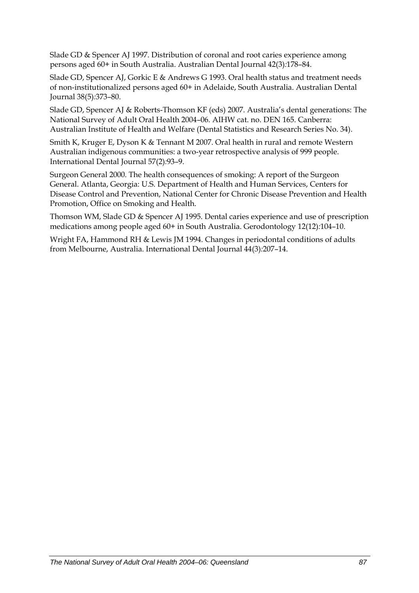Slade GD & Spencer AJ 1997. Distribution of coronal and root caries experience among persons aged 60+ in South Australia. Australian Dental Journal 42(3)*:*178–84.

Slade GD, Spencer AJ, Gorkic E & Andrews G 1993. Oral health status and treatment needs of non-institutionalized persons aged 60+ in Adelaide, South Australia. Australian Dental Journal 38(5)*:*373–80.

Slade GD, Spencer AJ & Roberts-Thomson KF (eds) 2007. Australia's dental generations: The National Survey of Adult Oral Health 2004–06. AIHW cat. no. DEN 165. Canberra: Australian Institute of Health and Welfare (Dental Statistics and Research Series No. 34).

Smith K, Kruger E, Dyson K & Tennant M 2007. Oral health in rural and remote Western Australian indigenous communities: a two-year retrospective analysis of 999 people. International Dental Journal 57(2)*:*93–9.

Surgeon General 2000. The health consequences of smoking: A report of the Surgeon General. Atlanta, Georgia: U.S. Department of Health and Human Services, Centers for Disease Control and Prevention, National Center for Chronic Disease Prevention and Health Promotion, Office on Smoking and Health.

Thomson WM, Slade GD & Spencer AJ 1995. Dental caries experience and use of prescription medications among people aged 60+ in South Australia. Gerodontology 12(12)*:*104–10.

Wright FA, Hammond RH & Lewis JM 1994. Changes in periodontal conditions of adults from Melbourne, Australia. International Dental Journal 44(3)*:*207–14.